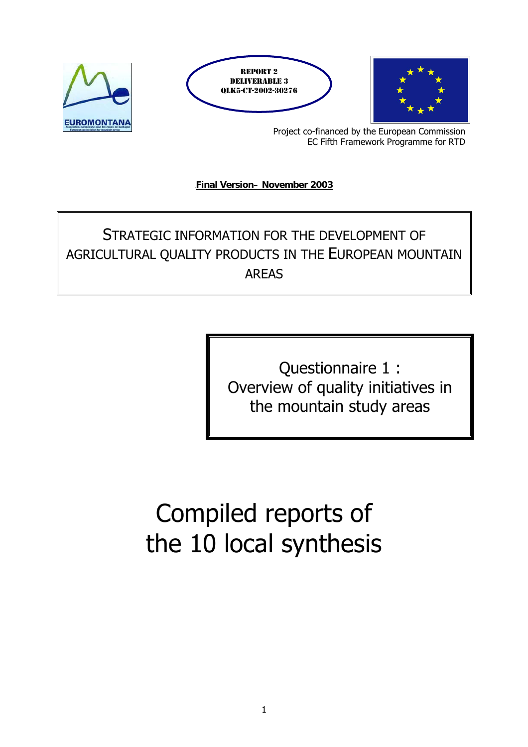

Project co-financed by the European Commission EC Fifth Framework Programme for RTD

**Final Version- November 2003** 

# STRATEGIC INFORMATION FOR THE DEVELOPMENT OF AGRICULTURAL QUALITY PRODUCTS IN THE EUROPEAN MOUNTAIN AREAS

Questionnaire 1 : Overview of quality initiatives in the mountain study areas

# Compiled reports of the 10 local synthesis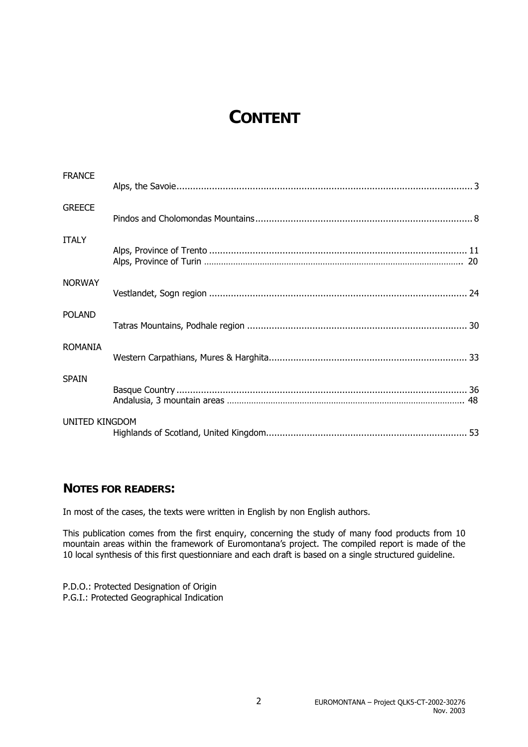# **CONTENT**

| <b>FRANCE</b>         |  |
|-----------------------|--|
|                       |  |
| <b>GREECE</b>         |  |
| <b>ITALY</b>          |  |
| <b>NORWAY</b>         |  |
| <b>POLAND</b>         |  |
| <b>ROMANIA</b>        |  |
| <b>SPAIN</b>          |  |
| <b>UNITED KINGDOM</b> |  |

### **NOTES FOR READERS:**

In most of the cases, the texts were written in English by non English authors.

This publication comes from the first enquiry, concerning the study of many food products from 10 mountain areas within the framework of Euromontana's project. The compiled report is made of the 10 local synthesis of this first questionniare and each draft is based on a single structured guideline.

P.D.O.: Protected Designation of Origin P.G.I.: Protected Geographical Indication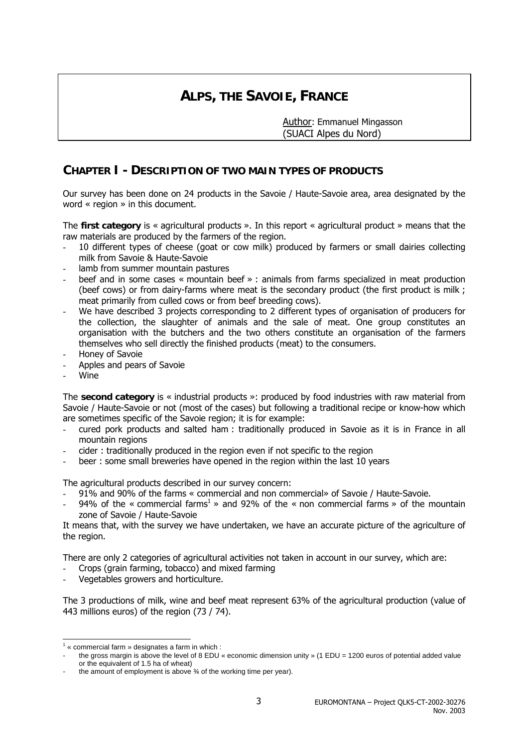# **ALPS, THE SAVOIE, FRANCE**

 Author: Emmanuel Mingasson (SUACI Alpes du Nord)

### **CHAPTER I - DESCRIPTION OF TWO MAIN TYPES OF PRODUCTS**

Our survey has been done on 24 products in the Savoie / Haute-Savoie area, area designated by the word « region » in this document.

The **first category** is « agricultural products ». In this report « agricultural product » means that the raw materials are produced by the farmers of the region.

- 10 different types of cheese (goat or cow milk) produced by farmers or small dairies collecting milk from Savoie & Haute-Savoie
- lamb from summer mountain pastures
- beef and in some cases « mountain beef » : animals from farms specialized in meat production (beef cows) or from dairy-farms where meat is the secondary product (the first product is milk ; meat primarily from culled cows or from beef breeding cows).
- We have described 3 projects corresponding to 2 different types of organisation of producers for the collection, the slaughter of animals and the sale of meat. One group constitutes an organisation with the butchers and the two others constitute an organisation of the farmers themselves who sell directly the finished products (meat) to the consumers.
- Honey of Savoie
- Apples and pears of Savoie
- Wine

The **second category** is « industrial products »: produced by food industries with raw material from Savoie / Haute-Savoie or not (most of the cases) but following a traditional recipe or know-how which are sometimes specific of the Savoie region; it is for example:

- cured pork products and salted ham : traditionally produced in Savoie as it is in France in all mountain regions
- cider : traditionally produced in the region even if not specific to the region
- beer : some small breweries have opened in the region within the last 10 years

The agricultural products described in our survey concern:

- 91% and 90% of the farms « commercial and non commercial» of Savoie / Haute-Savoie.
- 94% of the « commercial farms<sup>1</sup> » and 92% of the « non commercial farms » of the mountain zone of Savoie / Haute-Savoie

It means that, with the survey we have undertaken, we have an accurate picture of the agriculture of the region.

There are only 2 categories of agricultural activities not taken in account in our survey, which are:

- Crops (grain farming, tobacco) and mixed farming
- Vegetables growers and horticulture.

The 3 productions of milk, wine and beef meat represent 63% of the agricultural production (value of 443 millions euros) of the region (73 / 74).

 1 « commercial farm » designates a farm in which :

the gross margin is above the level of 8 EDU « economic dimension unity » (1 EDU = 1200 euros of potential added value or the equivalent of 1.5 ha of wheat)

the amount of employment is above 3⁄4 of the working time per year).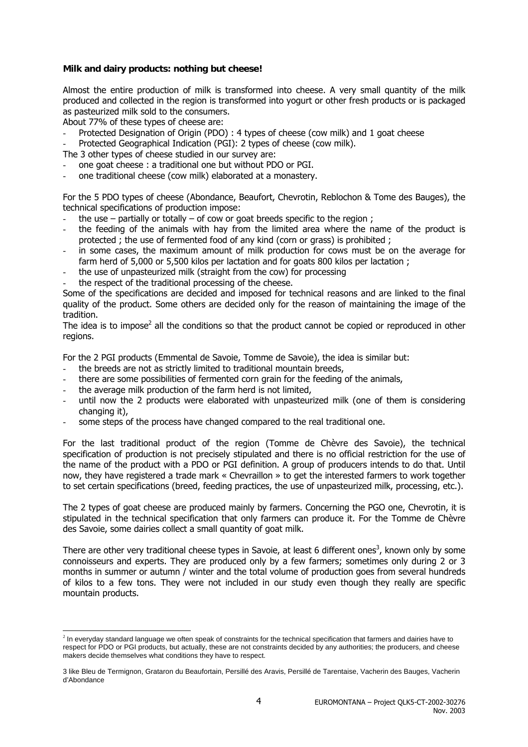#### **Milk and dairy products: nothing but cheese!**

Almost the entire production of milk is transformed into cheese. A very small quantity of the milk produced and collected in the region is transformed into yogurt or other fresh products or is packaged as pasteurized milk sold to the consumers.

About 77% of these types of cheese are:

- Protected Designation of Origin (PDO) : 4 types of cheese (cow milk) and 1 goat cheese
- Protected Geographical Indication (PGI): 2 types of cheese (cow milk).
- The 3 other types of cheese studied in our survey are:
- one goat cheese : a traditional one but without PDO or PGI.
- one traditional cheese (cow milk) elaborated at a monastery.

For the 5 PDO types of cheese (Abondance, Beaufort, Chevrotin, Reblochon & Tome des Bauges), the technical specifications of production impose:

- the use partially or totally of cow or goat breeds specific to the region;
- the feeding of the animals with hay from the limited area where the name of the product is protected ; the use of fermented food of any kind (corn or grass) is prohibited ;
- in some cases, the maximum amount of milk production for cows must be on the average for farm herd of 5,000 or 5,500 kilos per lactation and for goats 800 kilos per lactation ;
- the use of unpasteurized milk (straight from the cow) for processing
- the respect of the traditional processing of the cheese.

Some of the specifications are decided and imposed for technical reasons and are linked to the final quality of the product. Some others are decided only for the reason of maintaining the image of the tradition.

The idea is to impose<sup>2</sup> all the conditions so that the product cannot be copied or reproduced in other regions.

For the 2 PGI products (Emmental de Savoie, Tomme de Savoie), the idea is similar but:

- the breeds are not as strictly limited to traditional mountain breeds,
- there are some possibilities of fermented corn grain for the feeding of the animals,
- the average milk production of the farm herd is not limited,
- until now the 2 products were elaborated with unpasteurized milk (one of them is considering changing it),
- some steps of the process have changed compared to the real traditional one.

For the last traditional product of the region (Tomme de Chèvre des Savoie), the technical specification of production is not precisely stipulated and there is no official restriction for the use of the name of the product with a PDO or PGI definition. A group of producers intends to do that. Until now, they have registered a trade mark « Chevraillon » to get the interested farmers to work together to set certain specifications (breed, feeding practices, the use of unpasteurized milk, processing, etc.).

The 2 types of goat cheese are produced mainly by farmers. Concerning the PGO one, Chevrotin, it is stipulated in the technical specification that only farmers can produce it. For the Tomme de Chèvre des Savoie, some dairies collect a small quantity of goat milk.

There are other very traditional cheese types in Savoie, at least 6 different ones<sup>3</sup>, known only by some connoisseurs and experts. They are produced only by a few farmers; sometimes only during 2 or 3 months in summer or autumn / winter and the total volume of production goes from several hundreds of kilos to a few tons. They were not included in our study even though they really are specific mountain products.

 $\overline{\phantom{a}}$  $<sup>2</sup>$  In everyday standard language we often speak of constraints for the technical specification that farmers and dairies have to</sup> respect for PDO or PGI products, but actually, these are not constraints decided by any authorities; the producers, and cheese makers decide themselves what conditions they have to respect.

<sup>3</sup> like Bleu de Termignon, Grataron du Beaufortain, Persillé des Aravis, Persillé de Tarentaise, Vacherin des Bauges, Vacherin d'Abondance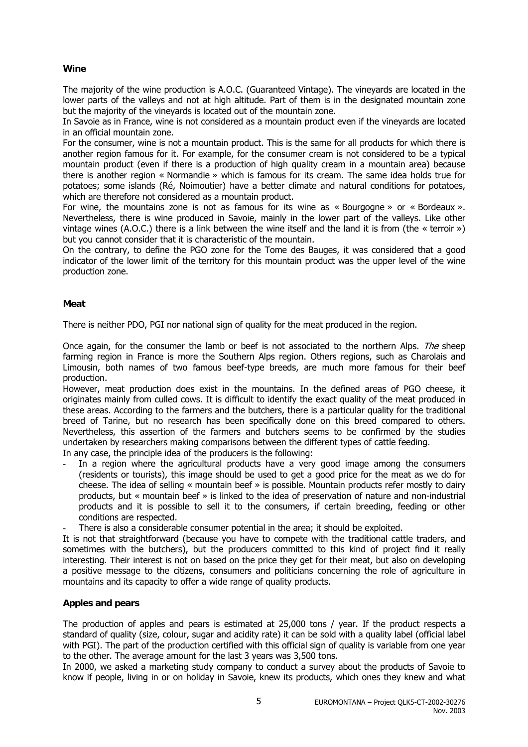#### **Wine**

The majority of the wine production is A.O.C. (Guaranteed Vintage). The vineyards are located in the lower parts of the valleys and not at high altitude. Part of them is in the designated mountain zone but the majority of the vineyards is located out of the mountain zone.

In Savoie as in France, wine is not considered as a mountain product even if the vineyards are located in an official mountain zone.

For the consumer, wine is not a mountain product. This is the same for all products for which there is another region famous for it. For example, for the consumer cream is not considered to be a typical mountain product (even if there is a production of high quality cream in a mountain area) because there is another region « Normandie » which is famous for its cream. The same idea holds true for potatoes; some islands (Ré, Noimoutier) have a better climate and natural conditions for potatoes, which are therefore not considered as a mountain product.

For wine, the mountains zone is not as famous for its wine as « Bourgogne » or « Bordeaux ». Nevertheless, there is wine produced in Savoie, mainly in the lower part of the valleys. Like other vintage wines (A.O.C.) there is a link between the wine itself and the land it is from (the « terroir ») but you cannot consider that it is characteristic of the mountain.

On the contrary, to define the PGO zone for the Tome des Bauges, it was considered that a good indicator of the lower limit of the territory for this mountain product was the upper level of the wine production zone.

#### **Meat**

There is neither PDO, PGI nor national sign of quality for the meat produced in the region.

Once again, for the consumer the lamb or beef is not associated to the northern Alps. The sheep farming region in France is more the Southern Alps region. Others regions, such as Charolais and Limousin, both names of two famous beef-type breeds, are much more famous for their beef production.

However, meat production does exist in the mountains. In the defined areas of PGO cheese, it originates mainly from culled cows. It is difficult to identify the exact quality of the meat produced in these areas. According to the farmers and the butchers, there is a particular quality for the traditional breed of Tarine, but no research has been specifically done on this breed compared to others. Nevertheless, this assertion of the farmers and butchers seems to be confirmed by the studies undertaken by researchers making comparisons between the different types of cattle feeding.

- In any case, the principle idea of the producers is the following:
- In a region where the agricultural products have a very good image among the consumers (residents or tourists), this image should be used to get a good price for the meat as we do for cheese. The idea of selling « mountain beef » is possible. Mountain products refer mostly to dairy products, but « mountain beef » is linked to the idea of preservation of nature and non-industrial products and it is possible to sell it to the consumers, if certain breeding, feeding or other conditions are respected.
- There is also a considerable consumer potential in the area; it should be exploited.

It is not that straightforward (because you have to compete with the traditional cattle traders, and sometimes with the butchers), but the producers committed to this kind of project find it really interesting. Their interest is not on based on the price they get for their meat, but also on developing a positive message to the citizens, consumers and politicians concerning the role of agriculture in mountains and its capacity to offer a wide range of quality products.

#### **Apples and pears**

The production of apples and pears is estimated at 25,000 tons / year. If the product respects a standard of quality (size, colour, sugar and acidity rate) it can be sold with a quality label (official label with PGI). The part of the production certified with this official sign of quality is variable from one year to the other. The average amount for the last 3 years was 3,500 tons.

In 2000, we asked a marketing study company to conduct a survey about the products of Savoie to know if people, living in or on holiday in Savoie, knew its products, which ones they knew and what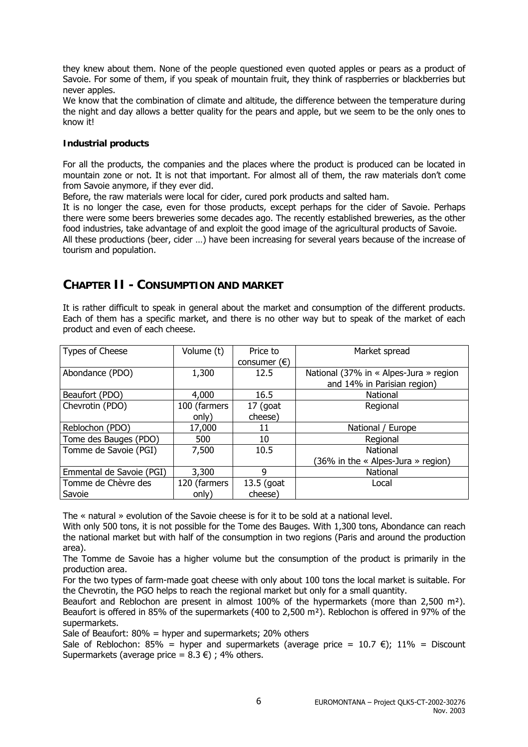they knew about them. None of the people questioned even quoted apples or pears as a product of Savoie. For some of them, if you speak of mountain fruit, they think of raspberries or blackberries but never apples.

We know that the combination of climate and altitude, the difference between the temperature during the night and day allows a better quality for the pears and apple, but we seem to be the only ones to know it!

#### **Industrial products**

For all the products, the companies and the places where the product is produced can be located in mountain zone or not. It is not that important. For almost all of them, the raw materials don't come from Savoie anymore, if they ever did.

Before, the raw materials were local for cider, cured pork products and salted ham.

It is no longer the case, even for those products, except perhaps for the cider of Savoie. Perhaps there were some beers breweries some decades ago. The recently established breweries, as the other food industries, take advantage of and exploit the good image of the agricultural products of Savoie. All these productions (beer, cider …) have been increasing for several years because of the increase of tourism and population.

### **CHAPTER II - CONSUMPTION AND MARKET**

It is rather difficult to speak in general about the market and consumption of the different products. Each of them has a specific market, and there is no other way but to speak of the market of each product and even of each cheese.

| Types of Cheese          | Volume (t)   | Price to              | Market spread                          |
|--------------------------|--------------|-----------------------|----------------------------------------|
|                          |              | consumer $(\epsilon)$ |                                        |
| Abondance (PDO)          | 1,300        | 12.5                  | National (37% in « Alpes-Jura » region |
|                          |              |                       | and 14% in Parisian region)            |
| Beaufort (PDO)           | 4,000        | 16.5                  | National                               |
| Chevrotin (PDO)          | 100 (farmers | $17$ (goat            | Regional                               |
|                          | only)        | cheese)               |                                        |
| Reblochon (PDO)          | 17,000       | 11                    | National / Europe                      |
| Tome des Bauges (PDO)    | 500          | 10                    | Regional                               |
| Tomme de Savoie (PGI)    | 7,500        | 10.5                  | National                               |
|                          |              |                       | (36% in the $\ll$ Alpes-Jura » region) |
| Emmental de Savoie (PGI) | 3,300        | 9                     | National                               |
| Tomme de Chèvre des      | 120 (farmers | 13.5 (goat            | Local                                  |
| Savoie                   | only)        | cheese)               |                                        |

The « natural » evolution of the Savoie cheese is for it to be sold at a national level.

With only 500 tons, it is not possible for the Tome des Bauges. With 1,300 tons, Abondance can reach the national market but with half of the consumption in two regions (Paris and around the production area).

The Tomme de Savoie has a higher volume but the consumption of the product is primarily in the production area.

For the two types of farm-made goat cheese with only about 100 tons the local market is suitable. For the Chevrotin, the PGO helps to reach the regional market but only for a small quantity.

Beaufort and Reblochon are present in almost 100% of the hypermarkets (more than 2,500  $m^2$ ). Beaufort is offered in 85% of the supermarkets (400 to 2,500 m²). Reblochon is offered in 97% of the supermarkets.

Sale of Beaufort: 80% = hyper and supermarkets; 20% others

Sale of Reblochon: 85% = hyper and supermarkets (average price =  $10.7 \infty$ ); 11% = Discount Supermarkets (average price =  $8.3 \in$ ); 4% others.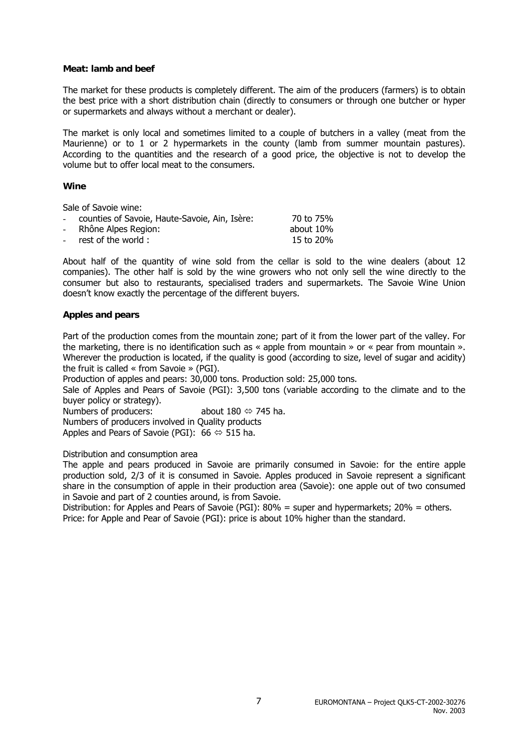#### **Meat: lamb and beef**

The market for these products is completely different. The aim of the producers (farmers) is to obtain the best price with a short distribution chain (directly to consumers or through one butcher or hyper or supermarkets and always without a merchant or dealer).

The market is only local and sometimes limited to a couple of butchers in a valley (meat from the Maurienne) or to 1 or 2 hypermarkets in the county (lamb from summer mountain pastures). According to the quantities and the research of a good price, the objective is not to develop the volume but to offer local meat to the consumers.

#### **Wine**

Sale of Savoie wine:

| 70 to 75%                                                                                        |
|--------------------------------------------------------------------------------------------------|
| about 10%                                                                                        |
| 15 to 20%                                                                                        |
| - counties of Savoie, Haute-Savoie, Ain, Isère:<br>- Rhône Alpes Region:<br>- rest of the world: |

About half of the quantity of wine sold from the cellar is sold to the wine dealers (about 12 companies). The other half is sold by the wine growers who not only sell the wine directly to the consumer but also to restaurants, specialised traders and supermarkets. The Savoie Wine Union doesn't know exactly the percentage of the different buyers.

#### **Apples and pears**

Part of the production comes from the mountain zone; part of it from the lower part of the valley. For the marketing, there is no identification such as « apple from mountain » or « pear from mountain ». Wherever the production is located, if the quality is good (according to size, level of sugar and acidity) the fruit is called « from Savoie » (PGI).

Production of apples and pears: 30,000 tons. Production sold: 25,000 tons.

Sale of Apples and Pears of Savoie (PGI): 3,500 tons (variable according to the climate and to the buyer policy or strategy).

Numbers of producers: about  $180 \Leftrightarrow 745$  ha.

Numbers of producers involved in Quality products

Apples and Pears of Savoie (PGI):  $66 \Leftrightarrow 515$  ha.

Distribution and consumption area

The apple and pears produced in Savoie are primarily consumed in Savoie: for the entire apple production sold, 2/3 of it is consumed in Savoie. Apples produced in Savoie represent a significant share in the consumption of apple in their production area (Savoie): one apple out of two consumed in Savoie and part of 2 counties around, is from Savoie.

Distribution: for Apples and Pears of Savoie (PGI): 80% = super and hypermarkets; 20% = others. Price: for Apple and Pear of Savoie (PGI): price is about 10% higher than the standard.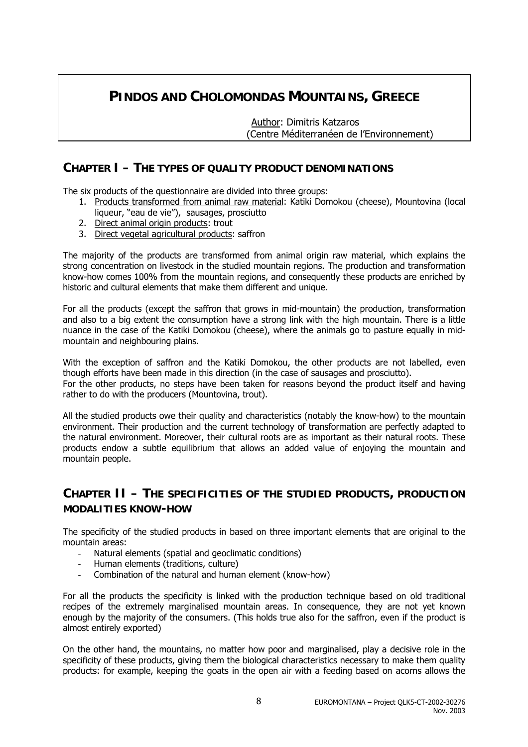### **PINDOS AND CHOLOMONDAS MOUNTAINS, GREECE**

 Author: Dimitris Katzaros (Centre Méditerranéen de l'Environnement)

### **CHAPTER I – THE TYPES OF QUALITY PRODUCT DENOMINATIONS**

The six products of the questionnaire are divided into three groups:

- 1. Products transformed from animal raw material: Katiki Domokou (cheese), Mountovina (local liqueur, "eau de vie"), sausages, prosciutto
- 2. Direct animal origin products: trout
- 3. Direct vegetal agricultural products: saffron

The majority of the products are transformed from animal origin raw material, which explains the strong concentration on livestock in the studied mountain regions. The production and transformation know-how comes 100% from the mountain regions, and consequently these products are enriched by historic and cultural elements that make them different and unique.

For all the products (except the saffron that grows in mid-mountain) the production, transformation and also to a big extent the consumption have a strong link with the high mountain. There is a little nuance in the case of the Katiki Domokou (cheese), where the animals go to pasture equally in midmountain and neighbouring plains.

With the exception of saffron and the Katiki Domokou, the other products are not labelled, even though efforts have been made in this direction (in the case of sausages and prosciutto). For the other products, no steps have been taken for reasons beyond the product itself and having rather to do with the producers (Mountovina, trout).

All the studied products owe their quality and characteristics (notably the know-how) to the mountain environment. Their production and the current technology of transformation are perfectly adapted to the natural environment. Moreover, their cultural roots are as important as their natural roots. These products endow a subtle equilibrium that allows an added value of enjoying the mountain and mountain people.

### **CHAPTER II – THE SPECIFICITIES OF THE STUDIED PRODUCTS, PRODUCTION MODALITIES KNOW-HOW**

The specificity of the studied products in based on three important elements that are original to the mountain areas:

- Natural elements (spatial and geoclimatic conditions)
- Human elements (traditions, culture)
- Combination of the natural and human element (know-how)

For all the products the specificity is linked with the production technique based on old traditional recipes of the extremely marginalised mountain areas. In consequence, they are not yet known enough by the majority of the consumers. (This holds true also for the saffron, even if the product is almost entirely exported)

On the other hand, the mountains, no matter how poor and marginalised, play a decisive role in the specificity of these products, giving them the biological characteristics necessary to make them quality products: for example, keeping the goats in the open air with a feeding based on acorns allows the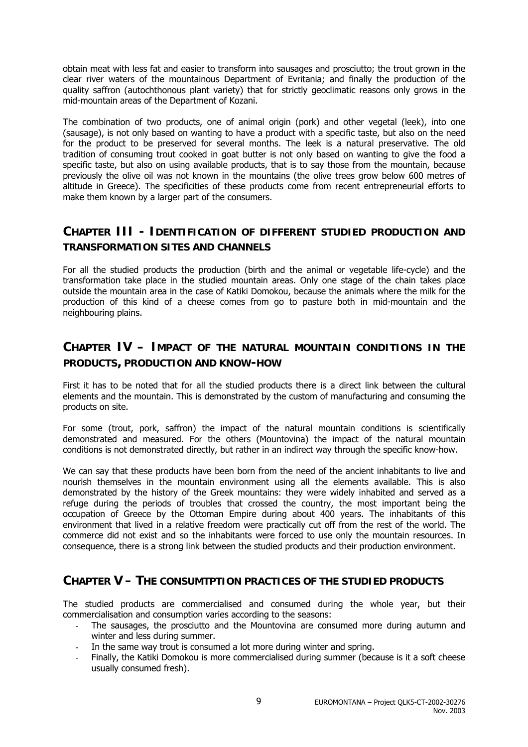obtain meat with less fat and easier to transform into sausages and prosciutto; the trout grown in the clear river waters of the mountainous Department of Evritania; and finally the production of the quality saffron (autochthonous plant variety) that for strictly geoclimatic reasons only grows in the mid-mountain areas of the Department of Kozani.

The combination of two products, one of animal origin (pork) and other vegetal (leek), into one (sausage), is not only based on wanting to have a product with a specific taste, but also on the need for the product to be preserved for several months. The leek is a natural preservative. The old tradition of consuming trout cooked in goat butter is not only based on wanting to give the food a specific taste, but also on using available products, that is to say those from the mountain, because previously the olive oil was not known in the mountains (the olive trees grow below 600 metres of altitude in Greece). The specificities of these products come from recent entrepreneurial efforts to make them known by a larger part of the consumers.

### **CHAPTER III - IDENTIFICATION OF DIFFERENT STUDIED PRODUCTION AND TRANSFORMATION SITES AND CHANNELS**

For all the studied products the production (birth and the animal or vegetable life-cycle) and the transformation take place in the studied mountain areas. Only one stage of the chain takes place outside the mountain area in the case of Katiki Domokou, because the animals where the milk for the production of this kind of a cheese comes from go to pasture both in mid-mountain and the neighbouring plains.

### **CHAPTER IV – IMPACT OF THE NATURAL MOUNTAIN CONDITIONS IN THE PRODUCTS, PRODUCTION AND KNOW-HOW**

First it has to be noted that for all the studied products there is a direct link between the cultural elements and the mountain. This is demonstrated by the custom of manufacturing and consuming the products on site.

For some (trout, pork, saffron) the impact of the natural mountain conditions is scientifically demonstrated and measured. For the others (Mountovina) the impact of the natural mountain conditions is not demonstrated directly, but rather in an indirect way through the specific know-how.

We can say that these products have been born from the need of the ancient inhabitants to live and nourish themselves in the mountain environment using all the elements available. This is also demonstrated by the history of the Greek mountains: they were widely inhabited and served as a refuge during the periods of troubles that crossed the country, the most important being the occupation of Greece by the Ottoman Empire during about 400 years. The inhabitants of this environment that lived in a relative freedom were practically cut off from the rest of the world. The commerce did not exist and so the inhabitants were forced to use only the mountain resources. In consequence, there is a strong link between the studied products and their production environment.

### **CHAPTER V – THE CONSUMTPTION PRACTICES OF THE STUDIED PRODUCTS**

The studied products are commercialised and consumed during the whole year, but their commercialisation and consumption varies according to the seasons:

- The sausages, the prosciutto and the Mountovina are consumed more during autumn and winter and less during summer.
- In the same way trout is consumed a lot more during winter and spring.
- Finally, the Katiki Domokou is more commercialised during summer (because is it a soft cheese usually consumed fresh).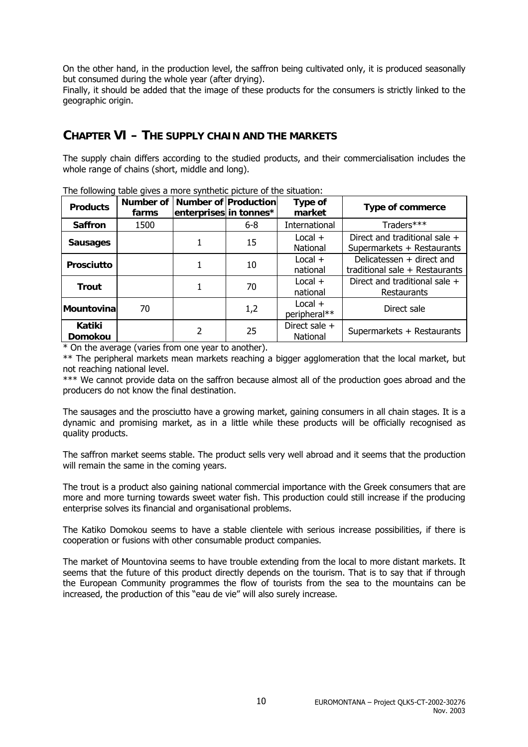On the other hand, in the production level, the saffron being cultivated only, it is produced seasonally but consumed during the whole year (after drying).

Finally, it should be added that the image of these products for the consumers is strictly linked to the geographic origin.

### **CHAPTER VI – THE SUPPLY CHAIN AND THE MARKETS**

The supply chain differs according to the studied products, and their commercialisation includes the whole range of chains (short, middle and long).

| The rendming table gives a more synthetic picture or the situation. |                    |                                                |         |                           |                                                             |
|---------------------------------------------------------------------|--------------------|------------------------------------------------|---------|---------------------------|-------------------------------------------------------------|
| <b>Products</b>                                                     | Number of<br>farms | Number of Production<br>enterprises in tonnes* |         | Type of<br>market         | <b>Type of commerce</b>                                     |
| <b>Saffron</b>                                                      | 1500               |                                                | $6 - 8$ | International             | Traders***                                                  |
| <b>Sausages</b>                                                     |                    |                                                | 15      | $Local +$<br>National     | Direct and traditional sale +<br>Supermarkets + Restaurants |
| <b>Prosciutto</b>                                                   |                    |                                                | 10      | $Local +$<br>national     | Delicatessen + direct and<br>traditional sale + Restaurants |
| <b>Trout</b>                                                        |                    |                                                | 70      | $Local +$<br>national     | Direct and traditional sale +<br>Restaurants                |
| Mountovina                                                          | 70                 |                                                | 1,2     | $Local +$<br>peripheral** | Direct sale                                                 |
| Katiki<br><b>Domokou</b>                                            |                    | 2                                              | 25      | Direct sale +<br>National | Supermarkets + Restaurants                                  |

The following table gives a more synthetic picture of the situation:

\* On the average (varies from one year to another).

\*\* The peripheral markets mean markets reaching a bigger agglomeration that the local market, but not reaching national level.

\*\*\* We cannot provide data on the saffron because almost all of the production goes abroad and the producers do not know the final destination.

The sausages and the prosciutto have a growing market, gaining consumers in all chain stages. It is a dynamic and promising market, as in a little while these products will be officially recognised as quality products.

The saffron market seems stable. The product sells very well abroad and it seems that the production will remain the same in the coming years.

The trout is a product also gaining national commercial importance with the Greek consumers that are more and more turning towards sweet water fish. This production could still increase if the producing enterprise solves its financial and organisational problems.

The Katiko Domokou seems to have a stable clientele with serious increase possibilities, if there is cooperation or fusions with other consumable product companies.

The market of Mountovina seems to have trouble extending from the local to more distant markets. It seems that the future of this product directly depends on the tourism. That is to say that if through the European Community programmes the flow of tourists from the sea to the mountains can be increased, the production of this "eau de vie" will also surely increase.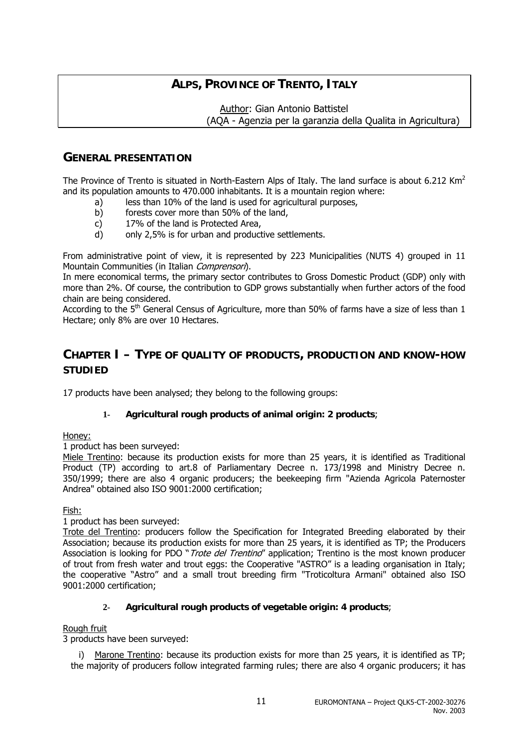### **ALPS, PROVINCE OF TRENTO, ITALY**

 Author: Gian Antonio Battistel (AQA - Agenzia per la garanzia della Qualita in Agricultura)

### **GENERAL PRESENTATION**

The Province of Trento is situated in North-Eastern Alps of Italy. The land surface is about 6.212 Km<sup>2</sup> and its population amounts to 470.000 inhabitants. It is a mountain region where:

- a) less than 10% of the land is used for agricultural purposes,
- b) forests cover more than 50% of the land,
- c) 17% of the land is Protected Area,
- d) only 2,5% is for urban and productive settlements.

From administrative point of view, it is represented by 223 Municipalities (NUTS 4) grouped in 11 Mountain Communities (in Italian Comprensori).

In mere economical terms, the primary sector contributes to Gross Domestic Product (GDP) only with more than 2%. Of course, the contribution to GDP grows substantially when further actors of the food chain are being considered.

According to the 5<sup>th</sup> General Census of Agriculture, more than 50% of farms have a size of less than 1 Hectare; only 8% are over 10 Hectares.

### **CHAPTER I – TYPE OF QUALITY OF PRODUCTS, PRODUCTION AND KNOW-HOW STUDIED**

17 products have been analysed; they belong to the following groups:

#### **1- Agricultural rough products of animal origin: 2 products**;

Honey:

1 product has been surveyed:

Miele Trentino: because its production exists for more than 25 years, it is identified as Traditional Product (TP) according to art.8 of Parliamentary Decree n. 173/1998 and Ministry Decree n. 350/1999; there are also 4 organic producers; the beekeeping firm "Azienda Agricola Paternoster Andrea" obtained also ISO 9001:2000 certification;

Fish:

1 product has been surveyed:

Trote del Trentino: producers follow the Specification for Integrated Breeding elaborated by their Association; because its production exists for more than 25 years, it is identified as TP; the Producers Association is looking for PDO "Trote del Trentino" application; Trentino is the most known producer of trout from fresh water and trout eggs: the Cooperative "ASTRO" is a leading organisation in Italy; the cooperative "Astro" and a small trout breeding firm "Troticoltura Armani" obtained also ISO 9001:2000 certification;

#### **2- Agricultural rough products of vegetable origin: 4 products**;

#### Rough fruit

3 products have been surveyed:

i) Marone Trentino: because its production exists for more than 25 years, it is identified as TP; the majority of producers follow integrated farming rules; there are also 4 organic producers; it has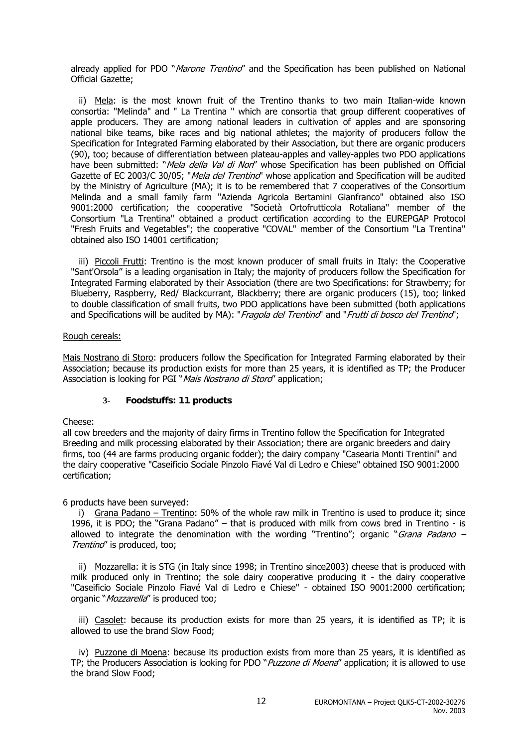already applied for PDO "Marone Trentino" and the Specification has been published on National Official Gazette;

ii) Mela: is the most known fruit of the Trentino thanks to two main Italian-wide known consortia: "Melinda" and " La Trentina " which are consortia that group different cooperatives of apple producers. They are among national leaders in cultivation of apples and are sponsoring national bike teams, bike races and big national athletes; the majority of producers follow the Specification for Integrated Farming elaborated by their Association, but there are organic producers (90), too; because of differentiation between plateau-apples and valley-apples two PDO applications have been submitted: "Mela della Val di Non" whose Specification has been published on Official Gazette of EC 2003/C 30/05; "Mela del Trentino" whose application and Specification will be audited by the Ministry of Agriculture (MA); it is to be remembered that 7 cooperatives of the Consortium Melinda and a small family farm "Azienda Agricola Bertamini Gianfranco" obtained also ISO 9001:2000 certification; the cooperative "Società Ortofrutticola Rotaliana" member of the Consortium "La Trentina" obtained a product certification according to the EUREPGAP Protocol "Fresh Fruits and Vegetables"; the cooperative "COVAL" member of the Consortium "La Trentina" obtained also ISO 14001 certification;

iii) Piccoli Frutti: Trentino is the most known producer of small fruits in Italy: the Cooperative "Sant'Orsola" is a leading organisation in Italy; the majority of producers follow the Specification for Integrated Farming elaborated by their Association (there are two Specifications: for Strawberry; for Blueberry, Raspberry, Red/ Blackcurrant, Blackberry; there are organic producers (15), too; linked to double classification of small fruits, two PDO applications have been submitted (both applications and Specifications will be audited by MA): "Fragola del Trentino" and "Frutti di bosco del Trentino";

#### Rough cereals:

Mais Nostrano di Storo: producers follow the Specification for Integrated Farming elaborated by their Association; because its production exists for more than 25 years, it is identified as TP; the Producer Association is looking for PGI "Mais Nostrano di Stord" application;

#### **3- Foodstuffs: 11 products**

#### Cheese:

all cow breeders and the majority of dairy firms in Trentino follow the Specification for Integrated Breeding and milk processing elaborated by their Association; there are organic breeders and dairy firms, too (44 are farms producing organic fodder); the dairy company "Casearia Monti Trentini" and the dairy cooperative "Caseificio Sociale Pinzolo Fiavé Val di Ledro e Chiese" obtained ISO 9001:2000 certification;

6 products have been surveyed:

i) Grana Padano – Trentino: 50% of the whole raw milk in Trentino is used to produce it; since 1996, it is PDO; the "Grana Padano" – that is produced with milk from cows bred in Trentino - is allowed to integrate the denomination with the wording "Trentino"; organic "Grana Padano – Trentino" is produced, too;

ii) Mozzarella: it is STG (in Italy since 1998; in Trentino since2003) cheese that is produced with milk produced only in Trentino; the sole dairy cooperative producing it - the dairy cooperative "Caseificio Sociale Pinzolo Fiavé Val di Ledro e Chiese" - obtained ISO 9001:2000 certification; organic "Mozzarella" is produced too;

iii) Casolet: because its production exists for more than 25 years, it is identified as TP; it is allowed to use the brand Slow Food;

iv) Puzzone di Moena: because its production exists from more than 25 years, it is identified as TP; the Producers Association is looking for PDO "Puzzone di Moena" application; it is allowed to use the brand Slow Food;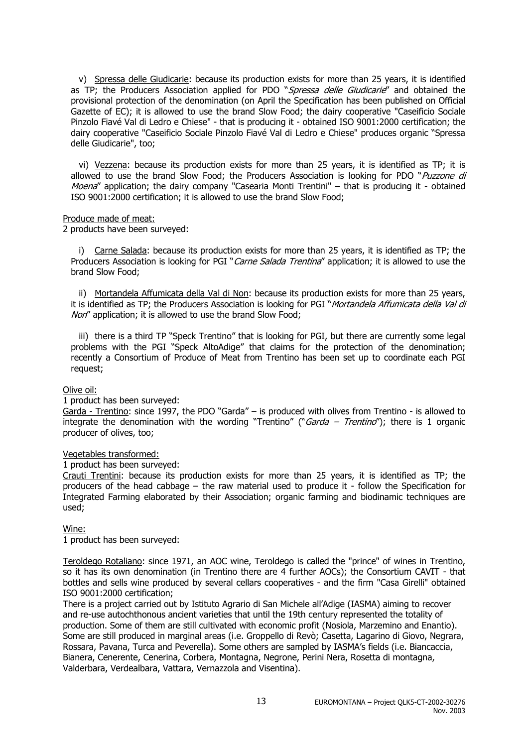v) Spressa delle Giudicarie: because its production exists for more than 25 years, it is identified as TP; the Producers Association applied for PDO "Spressa delle Giudicarie" and obtained the provisional protection of the denomination (on April the Specification has been published on Official Gazette of EC); it is allowed to use the brand Slow Food; the dairy cooperative "Caseificio Sociale Pinzolo Fiavé Val di Ledro e Chiese" - that is producing it - obtained ISO 9001:2000 certification; the dairy cooperative "Caseificio Sociale Pinzolo Fiavé Val di Ledro e Chiese" produces organic "Spressa delle Giudicarie", too;

vi) Vezzena: because its production exists for more than 25 years, it is identified as TP; it is allowed to use the brand Slow Food; the Producers Association is looking for PDO "Puzzone di Moena" application; the dairy company "Casearia Monti Trentini" – that is producing it - obtained ISO 9001:2000 certification; it is allowed to use the brand Slow Food;

#### Produce made of meat:

2 products have been surveyed:

i) Carne Salada: because its production exists for more than 25 years, it is identified as TP; the Producers Association is looking for PGI "*Carne Salada Trentina*" application; it is allowed to use the brand Slow Food;

ii) Mortandela Affumicata della Val di Non: because its production exists for more than 25 years, it is identified as TP; the Producers Association is looking for PGI "Mortandela Affumicata della Val di Non" application; it is allowed to use the brand Slow Food;

iii) there is a third TP "Speck Trentino" that is looking for PGI, but there are currently some legal problems with the PGI "Speck AltoAdige" that claims for the protection of the denomination; recently a Consortium of Produce of Meat from Trentino has been set up to coordinate each PGI request;

#### Olive oil:

#### 1 product has been surveyed:

Garda - Trentino: since 1997, the PDO "Garda" – is produced with olives from Trentino - is allowed to integrate the denomination with the wording "Trentino" ("Garda – Trentino"); there is 1 organic producer of olives, too;

#### Vegetables transformed:

#### 1 product has been surveyed:

Crauti Trentini: because its production exists for more than 25 years, it is identified as TP; the producers of the head cabbage – the raw material used to produce it - follow the Specification for Integrated Farming elaborated by their Association; organic farming and biodinamic techniques are used;

#### Wine:

1 product has been surveyed:

Teroldego Rotaliano: since 1971, an AOC wine, Teroldego is called the "prince" of wines in Trentino, so it has its own denomination (in Trentino there are 4 further AOCs); the Consortium CAVIT - that bottles and sells wine produced by several cellars cooperatives - and the firm "Casa Girelli" obtained ISO 9001:2000 certification;

There is a project carried out by Istituto Agrario di San Michele all'Adige (IASMA) aiming to recover and re-use autochthonous ancient varieties that until the 19th century represented the totality of production. Some of them are still cultivated with economic profit (Nosiola, Marzemino and Enantio). Some are still produced in marginal areas (i.e. Groppello di Revò; Casetta, Lagarino di Giovo, Negrara, Rossara, Pavana, Turca and Peverella). Some others are sampled by IASMA's fields (i.e. Biancaccia, Bianera, Cenerente, Cenerina, Corbera, Montagna, Negrone, Perini Nera, Rosetta di montagna, Valderbara, Verdealbara, Vattara, Vernazzola and Visentina).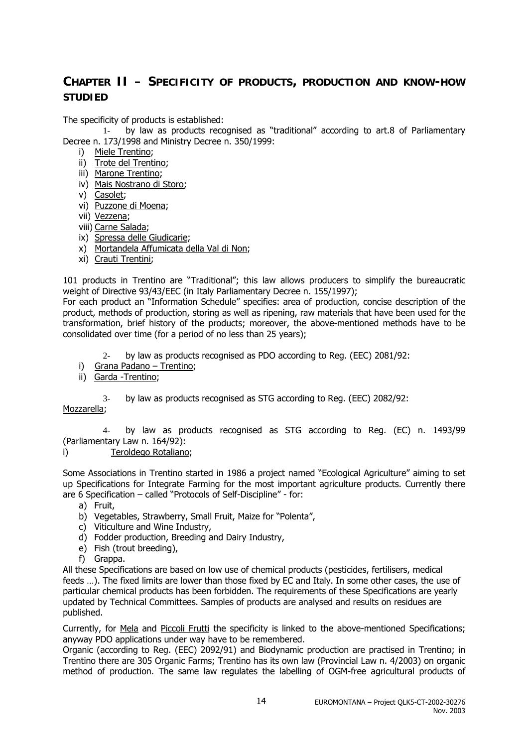### **CHAPTER II – SPECIFICITY OF PRODUCTS, PRODUCTION AND KNOW-HOW STUDIED**

The specificity of products is established:

1- by law as products recognised as "traditional" according to art.8 of Parliamentary Decree n. 173/1998 and Ministry Decree n. 350/1999:

- i) Miele Trentino;
- ii) Trote del Trentino;
- iii) Marone Trentino;
- iv) Mais Nostrano di Storo;
- v) Casolet;
- vi) Puzzone di Moena;
- vii) Vezzena;
- viii) Carne Salada;
- ix) Spressa delle Giudicarie;
- x) Mortandela Affumicata della Val di Non;
- xi) Crauti Trentini;

101 products in Trentino are "Traditional"; this law allows producers to simplify the bureaucratic weight of Directive 93/43/EEC (in Italy Parliamentary Decree n. 155/1997);

For each product an "Information Schedule" specifies: area of production, concise description of the product, methods of production, storing as well as ripening, raw materials that have been used for the transformation, brief history of the products; moreover, the above-mentioned methods have to be consolidated over time (for a period of no less than 25 years);

- 2- by law as products recognised as PDO according to Reg. (EEC) 2081/92:
- i) Grana Padano Trentino;
- ii) Garda -Trentino;
	- 3- by law as products recognised as STG according to Reg. (EEC) 2082/92:

Mozzarella;

4- by law as products recognised as STG according to Reg. (EC) n. 1493/99 (Parliamentary Law n. 164/92):

i) Teroldego Rotaliano;

Some Associations in Trentino started in 1986 a project named "Ecological Agriculture" aiming to set up Specifications for Integrate Farming for the most important agriculture products. Currently there are 6 Specification – called "Protocols of Self-Discipline" - for:

- a) Fruit,
- b) Vegetables, Strawberry, Small Fruit, Maize for "Polenta",
- c) Viticulture and Wine Industry,
- d) Fodder production, Breeding and Dairy Industry,
- e) Fish (trout breeding),
- f) Grappa.

All these Specifications are based on low use of chemical products (pesticides, fertilisers, medical feeds …). The fixed limits are lower than those fixed by EC and Italy. In some other cases, the use of particular chemical products has been forbidden. The requirements of these Specifications are yearly updated by Technical Committees. Samples of products are analysed and results on residues are published.

Currently, for Mela and Piccoli Frutti the specificity is linked to the above-mentioned Specifications; anyway PDO applications under way have to be remembered.

Organic (according to Reg. (EEC) 2092/91) and Biodynamic production are practised in Trentino; in Trentino there are 305 Organic Farms; Trentino has its own law (Provincial Law n. 4/2003) on organic method of production. The same law regulates the labelling of OGM-free agricultural products of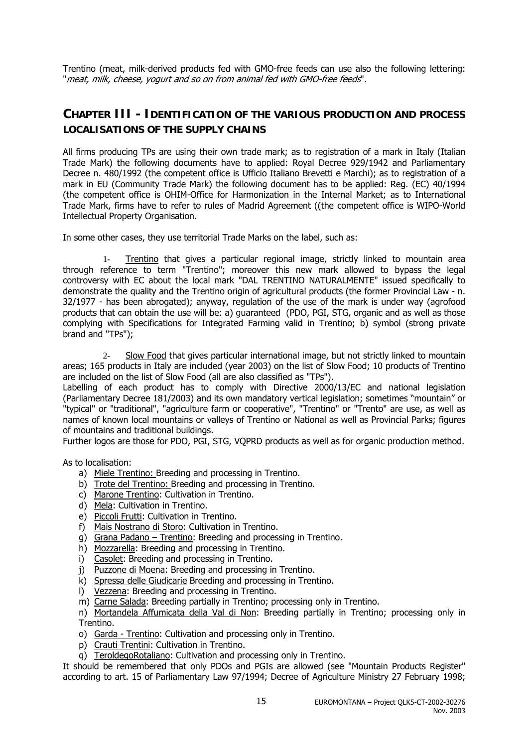Trentino (meat, milk-derived products fed with GMO-free feeds can use also the following lettering: "meat, milk, cheese, yogurt and so on from animal fed with GMO-free feeds".

### **CHAPTER III - IDENTIFICATION OF THE VARIOUS PRODUCTION AND PROCESS LOCALISATIONS OF THE SUPPLY CHAINS**

All firms producing TPs are using their own trade mark; as to registration of a mark in Italy (Italian Trade Mark) the following documents have to applied: Royal Decree 929/1942 and Parliamentary Decree n. 480/1992 (the competent office is Ufficio Italiano Brevetti e Marchi); as to registration of a mark in EU (Community Trade Mark) the following document has to be applied: Reg. (EC) 40/1994 (the competent office is OHIM-Office for Harmonization in the Internal Market; as to International Trade Mark, firms have to refer to rules of Madrid Agreement ((the competent office is WIPO-World Intellectual Property Organisation.

In some other cases, they use territorial Trade Marks on the label, such as:

1- Trentino that gives a particular regional image, strictly linked to mountain area through reference to term "Trentino"; moreover this new mark allowed to bypass the legal controversy with EC about the local mark "DAL TRENTINO NATURALMENTE" issued specifically to demonstrate the quality and the Trentino origin of agricultural products (the former Provincial Law - n. 32/1977 - has been abrogated); anyway, regulation of the use of the mark is under way (agrofood products that can obtain the use will be: a) guaranteed (PDO, PGI, STG, organic and as well as those complying with Specifications for Integrated Farming valid in Trentino; b) symbol (strong private brand and "TPs");

2- Slow Food that gives particular international image, but not strictly linked to mountain areas; 165 products in Italy are included (year 2003) on the list of Slow Food; 10 products of Trentino are included on the list of Slow Food (all are also classified as "TPs").

Labelling of each product has to comply with Directive 2000/13/EC and national legislation (Parliamentary Decree 181/2003) and its own mandatory vertical legislation; sometimes "mountain" or "typical" or "traditional", "agriculture farm or cooperative", "Trentino" or "Trento" are use, as well as names of known local mountains or valleys of Trentino or National as well as Provincial Parks; figures of mountains and traditional buildings.

Further logos are those for PDO, PGI, STG, VQPRD products as well as for organic production method.

As to localisation:

- a) Miele Trentino: Breeding and processing in Trentino.
- b) Trote del Trentino: Breeding and processing in Trentino.
- c) Marone Trentino: Cultivation in Trentino.
- d) Mela: Cultivation in Trentino.
- e) Piccoli Frutti: Cultivation in Trentino.
- f) Mais Nostrano di Storo: Cultivation in Trentino.
- g) Grana Padano Trentino: Breeding and processing in Trentino.
- h) Mozzarella: Breeding and processing in Trentino.
- i) Casolet: Breeding and processing in Trentino.
- j) Puzzone di Moena: Breeding and processing in Trentino.
- k) Spressa delle Giudicarie Breeding and processing in Trentino.
- l) Vezzena: Breeding and processing in Trentino.
- m) Carne Salada: Breeding partially in Trentino; processing only in Trentino.
- n) Mortandela Affumicata della Val di Non: Breeding partially in Trentino; processing only in Trentino.
- o) Garda Trentino: Cultivation and processing only in Trentino.
- p) Crauti Trentini: Cultivation in Trentino.
- q) TeroldegoRotaliano: Cultivation and processing only in Trentino.

It should be remembered that only PDOs and PGIs are allowed (see "Mountain Products Register" according to art. 15 of Parliamentary Law 97/1994; Decree of Agriculture Ministry 27 February 1998;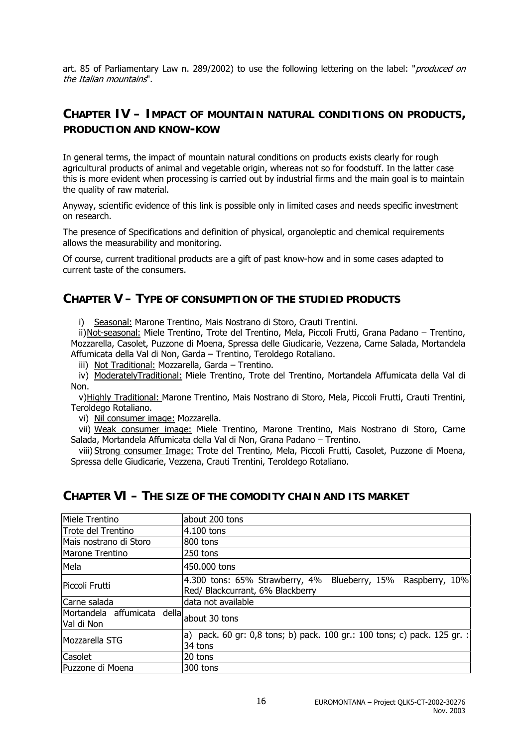art. 85 of Parliamentary Law n. 289/2002) to use the following lettering on the label: "produced on the Italian mountains".

### **CHAPTER IV – IMPACT OF MOUNTAIN NATURAL CONDITIONS ON PRODUCTS, PRODUCTION AND KNOW-KOW**

In general terms, the impact of mountain natural conditions on products exists clearly for rough agricultural products of animal and vegetable origin, whereas not so for foodstuff. In the latter case this is more evident when processing is carried out by industrial firms and the main goal is to maintain the quality of raw material.

Anyway, scientific evidence of this link is possible only in limited cases and needs specific investment on research.

The presence of Specifications and definition of physical, organoleptic and chemical requirements allows the measurability and monitoring.

Of course, current traditional products are a gift of past know-how and in some cases adapted to current taste of the consumers.

### **CHAPTER V – TYPE OF CONSUMPTION OF THE STUDIED PRODUCTS**

i) Seasonal: Marone Trentino, Mais Nostrano di Storo, Crauti Trentini.

ii)Not-seasonal: Miele Trentino, Trote del Trentino, Mela, Piccoli Frutti, Grana Padano – Trentino, Mozzarella, Casolet, Puzzone di Moena, Spressa delle Giudicarie, Vezzena, Carne Salada, Mortandela Affumicata della Val di Non, Garda – Trentino, Teroldego Rotaliano.

iii) Not Traditional: Mozzarella, Garda - Trentino.

iv) ModeratelyTraditional: Miele Trentino, Trote del Trentino, Mortandela Affumicata della Val di Non.

v)Highly Traditional: Marone Trentino, Mais Nostrano di Storo, Mela, Piccoli Frutti, Crauti Trentini, Teroldego Rotaliano.

vi) Nil consumer image: Mozzarella.

vii) Weak consumer image: Miele Trentino, Marone Trentino, Mais Nostrano di Storo, Carne Salada, Mortandela Affumicata della Val di Non, Grana Padano – Trentino.

viii) Strong consumer Image: Trote del Trentino, Mela, Piccoli Frutti, Casolet, Puzzone di Moena, Spressa delle Giudicarie, Vezzena, Crauti Trentini, Teroldego Rotaliano.

### **CHAPTER VI – THE SIZE OF THE COMODITY CHAIN AND ITS MARKET**

| Miele Trentino                                          | about 200 tons                                                                                         |  |  |  |  |
|---------------------------------------------------------|--------------------------------------------------------------------------------------------------------|--|--|--|--|
| Trote del Trentino                                      | 4.100 tons                                                                                             |  |  |  |  |
| Mais nostrano di Storo                                  | 800 tons                                                                                               |  |  |  |  |
| Marone Trentino                                         | 250 tons                                                                                               |  |  |  |  |
| Mela                                                    | 450.000 tons                                                                                           |  |  |  |  |
| Piccoli Frutti                                          | $ 4.300$ tons: 65% Strawberry, 4%<br>Blueberry, 15% Raspberry, 10%<br>Red/ Blackcurrant, 6% Blackberry |  |  |  |  |
| Carne salada                                            | data not available                                                                                     |  |  |  |  |
| Mortandela affumicata della about 30 tons<br>Val di Non |                                                                                                        |  |  |  |  |
| Mozzarella STG                                          | a) pack. 60 gr: 0,8 tons; b) pack. 100 gr.: 100 tons; c) pack. 125 gr. :<br>34 tons                    |  |  |  |  |
| Casolet                                                 | 20 tons                                                                                                |  |  |  |  |
| Puzzone di Moena                                        | 300 tons                                                                                               |  |  |  |  |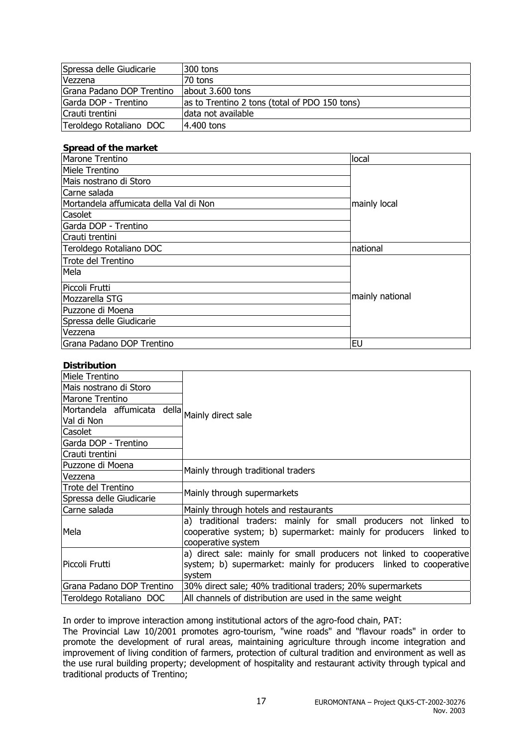| Spressa delle Giudicarie  | I300 tons                                     |
|---------------------------|-----------------------------------------------|
| Vezzena                   | 70 tons                                       |
| Grana Padano DOP Trentino | about 3.600 tons                              |
| Garda DOP - Trentino      | as to Trentino 2 tons (total of PDO 150 tons) |
| Crauti trentini           | data not available                            |
| Teroldego Rotaliano DOC   | 4.400 tons                                    |

#### **Spread of the market**

| Marone Trentino                        | local           |  |
|----------------------------------------|-----------------|--|
| Miele Trentino                         |                 |  |
| Mais nostrano di Storo                 |                 |  |
| Carne salada                           |                 |  |
| Mortandela affumicata della Val di Non | mainly local    |  |
| Casolet                                |                 |  |
| Garda DOP - Trentino                   |                 |  |
| Crauti trentini                        |                 |  |
| Teroldego Rotaliano DOC                | national        |  |
| Trote del Trentino                     |                 |  |
| Mela                                   |                 |  |
| Piccoli Frutti                         |                 |  |
| Mozzarella STG                         | mainly national |  |
| Puzzone di Moena                       |                 |  |
| Spressa delle Giudicarie               |                 |  |
| Vezzena                                |                 |  |
| Grana Padano DOP Trentino              | <b>EU</b>       |  |

#### **Distribution**

| PIJU INUUVI                                    |                                                                                                                                                                  |  |  |
|------------------------------------------------|------------------------------------------------------------------------------------------------------------------------------------------------------------------|--|--|
| Miele Trentino                                 |                                                                                                                                                                  |  |  |
| Mais nostrano di Storo                         |                                                                                                                                                                  |  |  |
| Marone Trentino                                |                                                                                                                                                                  |  |  |
| Mortandela affumicata della Mainly direct sale |                                                                                                                                                                  |  |  |
| Val di Non                                     |                                                                                                                                                                  |  |  |
| Casolet                                        |                                                                                                                                                                  |  |  |
| Garda DOP - Trentino                           |                                                                                                                                                                  |  |  |
| Crauti trentini                                |                                                                                                                                                                  |  |  |
| Puzzone di Moena                               |                                                                                                                                                                  |  |  |
| Vezzena                                        | Mainly through traditional traders                                                                                                                               |  |  |
| Trote del Trentino                             | Mainly through supermarkets                                                                                                                                      |  |  |
| Spressa delle Giudicarie                       |                                                                                                                                                                  |  |  |
| Carne salada                                   | Mainly through hotels and restaurants                                                                                                                            |  |  |
| Mela                                           | a) traditional traders: mainly for small producers not linked to<br>cooperative system; b) supermarket: mainly for producers<br>linked tol<br>cooperative system |  |  |
| Piccoli Frutti                                 | a) direct sale: mainly for small producers not linked to cooperative<br>system; b) supermarket: mainly for producers linked to cooperative<br>system             |  |  |
| Grana Padano DOP Trentino                      | 30% direct sale; 40% traditional traders; 20% supermarkets                                                                                                       |  |  |
| Teroldego Rotaliano DOC                        | All channels of distribution are used in the same weight                                                                                                         |  |  |
|                                                |                                                                                                                                                                  |  |  |

In order to improve interaction among institutional actors of the agro-food chain, PAT:

The Provincial Law 10/2001 promotes agro-tourism, "wine roads" and "flavour roads" in order to promote the development of rural areas, maintaining agriculture through income integration and improvement of living condition of farmers, protection of cultural tradition and environment as well as the use rural building property; development of hospitality and restaurant activity through typical and traditional products of Trentino;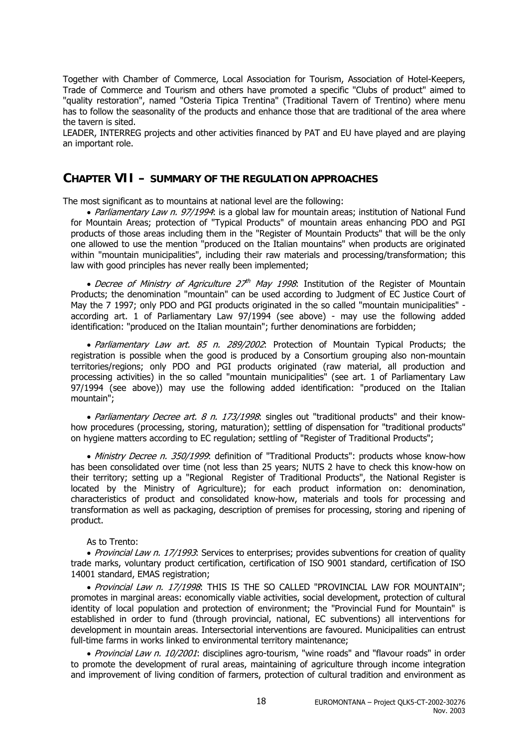Together with Chamber of Commerce, Local Association for Tourism, Association of Hotel-Keepers, Trade of Commerce and Tourism and others have promoted a specific "Clubs of product" aimed to "quality restoration", named "Osteria Tipica Trentina" (Traditional Tavern of Trentino) where menu has to follow the seasonality of the products and enhance those that are traditional of the area where the tavern is sited.

LEADER, INTERREG projects and other activities financed by PAT and EU have played and are playing an important role.

### **CHAPTER VII – SUMMARY OF THE REGULATION APPROACHES**

The most significant as to mountains at national level are the following:

• Parliamentary Law n. 97/1994: is a global law for mountain areas; institution of National Fund for Mountain Areas; protection of "Typical Products" of mountain areas enhancing PDO and PGI products of those areas including them in the "Register of Mountain Products" that will be the only one allowed to use the mention "produced on the Italian mountains" when products are originated within "mountain municipalities", including their raw materials and processing/transformation; this law with good principles has never really been implemented;

• Decree of Ministry of Agriculture  $27<sup>th</sup>$  May 1998: Institution of the Register of Mountain Products; the denomination "mountain" can be used according to Judgment of EC Justice Court of May the 7 1997; only PDO and PGI products originated in the so called "mountain municipalities" according art. 1 of Parliamentary Law 97/1994 (see above) - may use the following added identification: "produced on the Italian mountain"; further denominations are forbidden;

• Parliamentary Law art. 85 n. 289/2002: Protection of Mountain Typical Products; the registration is possible when the good is produced by a Consortium grouping also non-mountain territories/regions; only PDO and PGI products originated (raw material, all production and processing activities) in the so called "mountain municipalities" (see art. 1 of Parliamentary Law 97/1994 (see above)) may use the following added identification: "produced on the Italian mountain";

• Parliamentary Decree art. 8 n. 173/1998: singles out "traditional products" and their knowhow procedures (processing, storing, maturation); settling of dispensation for "traditional products" on hygiene matters according to EC regulation; settling of "Register of Traditional Products";

• Ministry Decree n. 350/1999: definition of "Traditional Products": products whose know-how has been consolidated over time (not less than 25 years; NUTS 2 have to check this know-how on their territory; setting up a "Regional Register of Traditional Products", the National Register is located by the Ministry of Agriculture); for each product information on: denomination, characteristics of product and consolidated know-how, materials and tools for processing and transformation as well as packaging, description of premises for processing, storing and ripening of product.

#### As to Trento:

• Provincial Law n. 17/1993: Services to enterprises; provides subventions for creation of quality trade marks, voluntary product certification, certification of ISO 9001 standard, certification of ISO 14001 standard, EMAS registration;

• Provincial Law n. 17/1998: THIS IS THE SO CALLED "PROVINCIAL LAW FOR MOUNTAIN"; promotes in marginal areas: economically viable activities, social development, protection of cultural identity of local population and protection of environment; the "Provincial Fund for Mountain" is established in order to fund (through provincial, national, EC subventions) all interventions for development in mountain areas. Intersectorial interventions are favoured. Municipalities can entrust full-time farms in works linked to environmental territory maintenance;

• Provincial Law n. 10/2001: disciplines agro-tourism, "wine roads" and "flavour roads" in order to promote the development of rural areas, maintaining of agriculture through income integration and improvement of living condition of farmers, protection of cultural tradition and environment as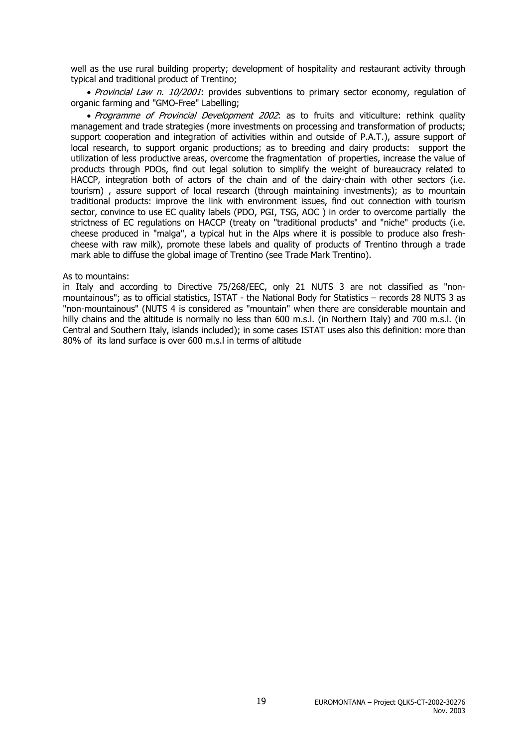well as the use rural building property; development of hospitality and restaurant activity through typical and traditional product of Trentino;

• Provincial Law n. 10/2001: provides subventions to primary sector economy, regulation of organic farming and "GMO-Free" Labelling;

• Programme of Provincial Development 2002: as to fruits and viticulture: rethink quality management and trade strategies (more investments on processing and transformation of products; support cooperation and integration of activities within and outside of P.A.T.), assure support of local research, to support organic productions; as to breeding and dairy products: support the utilization of less productive areas, overcome the fragmentation of properties, increase the value of products through PDOs, find out legal solution to simplify the weight of bureaucracy related to HACCP, integration both of actors of the chain and of the dairy-chain with other sectors (i.e. tourism) , assure support of local research (through maintaining investments); as to mountain traditional products: improve the link with environment issues, find out connection with tourism sector, convince to use EC quality labels (PDO, PGI, TSG, AOC) in order to overcome partially the strictness of EC regulations on HACCP (treaty on "traditional products" and "niche" products (i.e. cheese produced in "malga", a typical hut in the Alps where it is possible to produce also freshcheese with raw milk), promote these labels and quality of products of Trentino through a trade mark able to diffuse the global image of Trentino (see Trade Mark Trentino).

#### As to mountains:

in Italy and according to Directive 75/268/EEC, only 21 NUTS 3 are not classified as "nonmountainous"; as to official statistics, ISTAT - the National Body for Statistics – records 28 NUTS 3 as "non-mountainous" (NUTS 4 is considered as "mountain" when there are considerable mountain and hilly chains and the altitude is normally no less than 600 m.s.l. (in Northern Italy) and 700 m.s.l. (in Central and Southern Italy, islands included); in some cases ISTAT uses also this definition: more than 80% of its land surface is over 600 m.s.l in terms of altitude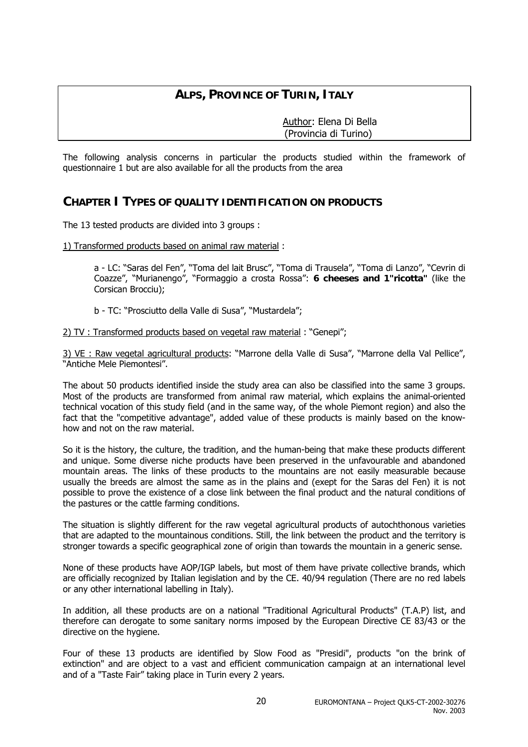### **ALPS, PROVINCE OF TURIN, ITALY**

 Author: Elena Di Bella (Provincia di Turino)

The following analysis concerns in particular the products studied within the framework of questionnaire 1 but are also available for all the products from the area

### **CHAPTER I TYPES OF QUALITY IDENTIFICATION ON PRODUCTS**

The 13 tested products are divided into 3 groups :

1) Transformed products based on animal raw material :

a - LC: "Saras del Fen", "Toma del lait Brusc", "Toma di Trausela", "Toma di Lanzo", "Cevrin di Coazze", "Murianengo", "Formaggio a crosta Rossa": **6 cheeses and 1"ricotta"** (like the Corsican Brocciu);

b - TC: "Prosciutto della Valle di Susa", "Mustardela";

2) TV : Transformed products based on vegetal raw material : "Genepi";

3) VE : Raw vegetal agricultural products: "Marrone della Valle di Susa", "Marrone della Val Pellice", "Antiche Mele Piemontesi".

The about 50 products identified inside the study area can also be classified into the same 3 groups. Most of the products are transformed from animal raw material, which explains the animal-oriented technical vocation of this study field (and in the same way, of the whole Piemont region) and also the fact that the "competitive advantage", added value of these products is mainly based on the knowhow and not on the raw material.

So it is the history, the culture, the tradition, and the human-being that make these products different and unique. Some diverse niche products have been preserved in the unfavourable and abandoned mountain areas. The links of these products to the mountains are not easily measurable because usually the breeds are almost the same as in the plains and (exept for the Saras del Fen) it is not possible to prove the existence of a close link between the final product and the natural conditions of the pastures or the cattle farming conditions.

The situation is slightly different for the raw vegetal agricultural products of autochthonous varieties that are adapted to the mountainous conditions. Still, the link between the product and the territory is stronger towards a specific geographical zone of origin than towards the mountain in a generic sense.

None of these products have AOP/IGP labels, but most of them have private collective brands, which are officially recognized by Italian legislation and by the CE. 40/94 regulation (There are no red labels or any other international labelling in Italy).

In addition, all these products are on a national "Traditional Agricultural Products" (T.A.P) list, and therefore can derogate to some sanitary norms imposed by the European Directive CE 83/43 or the directive on the hygiene.

Four of these 13 products are identified by Slow Food as "Presidi", products "on the brink of extinction" and are object to a vast and efficient communication campaign at an international level and of a "Taste Fair" taking place in Turin every 2 years.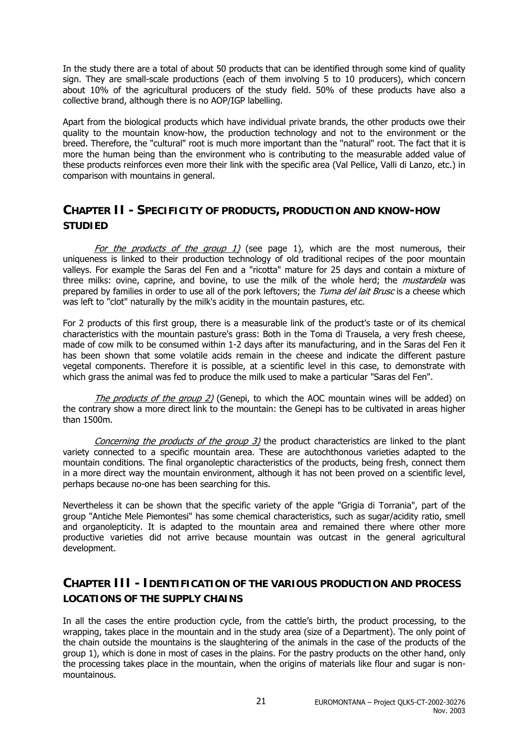In the study there are a total of about 50 products that can be identified through some kind of quality sign. They are small-scale productions (each of them involving 5 to 10 producers), which concern about 10% of the agricultural producers of the study field. 50% of these products have also a collective brand, although there is no AOP/IGP labelling.

Apart from the biological products which have individual private brands, the other products owe their quality to the mountain know-how, the production technology and not to the environment or the breed. Therefore, the "cultural" root is much more important than the "natural" root. The fact that it is more the human being than the environment who is contributing to the measurable added value of these products reinforces even more their link with the specific area (Val Pellice, Valli di Lanzo, etc.) in comparison with mountains in general.

### **CHAPTER II - SPECIFICITY OF PRODUCTS, PRODUCTION AND KNOW-HOW STUDIED**

For the products of the group 1) (see page 1), which are the most numerous, their uniqueness is linked to their production technology of old traditional recipes of the poor mountain valleys. For example the Saras del Fen and a "ricotta" mature for 25 days and contain a mixture of three milks: ovine, caprine, and bovine, to use the milk of the whole herd; the *mustardela* was prepared by families in order to use all of the pork leftovers; the Tuma del lait Brusc is a cheese which was left to "clot" naturally by the milk's acidity in the mountain pastures, etc.

For 2 products of this first group, there is a measurable link of the product's taste or of its chemical characteristics with the mountain pasture's grass: Both in the Toma di Trausela, a very fresh cheese, made of cow milk to be consumed within 1-2 days after its manufacturing, and in the Saras del Fen it has been shown that some volatile acids remain in the cheese and indicate the different pasture vegetal components. Therefore it is possible, at a scientific level in this case, to demonstrate with which grass the animal was fed to produce the milk used to make a particular "Saras del Fen".

The products of the group 2) (Genepi, to which the AOC mountain wines will be added) on the contrary show a more direct link to the mountain: the Genepi has to be cultivated in areas higher than 1500m.

Concerning the products of the group  $3$ ) the product characteristics are linked to the plant variety connected to a specific mountain area. These are autochthonous varieties adapted to the mountain conditions. The final organoleptic characteristics of the products, being fresh, connect them in a more direct way the mountain environment, although it has not been proved on a scientific level, perhaps because no-one has been searching for this.

Nevertheless it can be shown that the specific variety of the apple "Grigia di Torrania", part of the group "Antiche Mele Piemontesi" has some chemical characteristics, such as sugar/acidity ratio, smell and organolepticity. It is adapted to the mountain area and remained there where other more productive varieties did not arrive because mountain was outcast in the general agricultural development.

### **CHAPTER III - IDENTIFICATION OF THE VARIOUS PRODUCTION AND PROCESS LOCATIONS OF THE SUPPLY CHAINS**

In all the cases the entire production cycle, from the cattle's birth, the product processing, to the wrapping, takes place in the mountain and in the study area (size of a Department). The only point of the chain outside the mountains is the slaughtering of the animals in the case of the products of the group 1), which is done in most of cases in the plains. For the pastry products on the other hand, only the processing takes place in the mountain, when the origins of materials like flour and sugar is nonmountainous.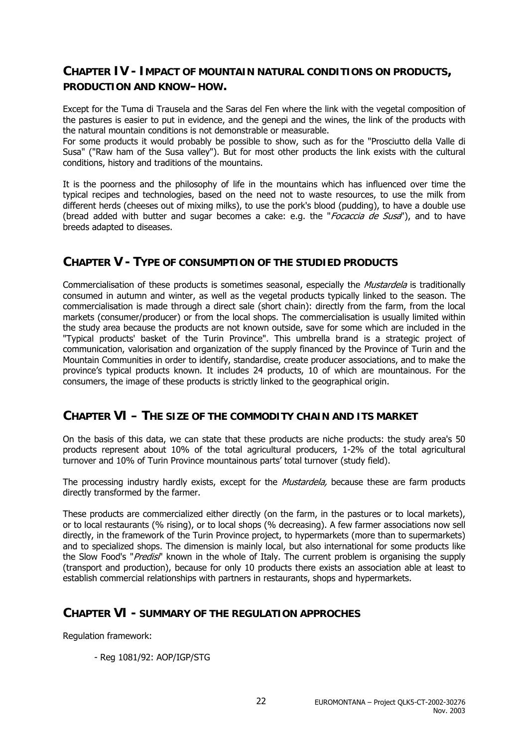### **CHAPTER IV - IMPACT OF MOUNTAIN NATURAL CONDITIONS ON PRODUCTS, PRODUCTION AND KNOW–HOW.**

Except for the Tuma di Trausela and the Saras del Fen where the link with the vegetal composition of the pastures is easier to put in evidence, and the genepi and the wines, the link of the products with the natural mountain conditions is not demonstrable or measurable.

For some products it would probably be possible to show, such as for the "Prosciutto della Valle di Susa" ("Raw ham of the Susa valley"). But for most other products the link exists with the cultural conditions, history and traditions of the mountains.

It is the poorness and the philosophy of life in the mountains which has influenced over time the typical recipes and technologies, based on the need not to waste resources, to use the milk from different herds (cheeses out of mixing milks), to use the pork's blood (pudding), to have a double use (bread added with butter and sugar becomes a cake: e.g. the "*Focaccia de Susa*"), and to have breeds adapted to diseases.

### **CHAPTER V - TYPE OF CONSUMPTION OF THE STUDIED PRODUCTS**

Commercialisation of these products is sometimes seasonal, especially the Mustardela is traditionally consumed in autumn and winter, as well as the vegetal products typically linked to the season. The commercialisation is made through a direct sale (short chain): directly from the farm, from the local markets (consumer/producer) or from the local shops. The commercialisation is usually limited within the study area because the products are not known outside, save for some which are included in the "Typical products' basket of the Turin Province". This umbrella brand is a strategic project of communication, valorisation and organization of the supply financed by the Province of Turin and the Mountain Communities in order to identify, standardise, create producer associations, and to make the province's typical products known. It includes 24 products, 10 of which are mountainous. For the consumers, the image of these products is strictly linked to the geographical origin.

### **CHAPTER VI – THE SIZE OF THE COMMODITY CHAIN AND ITS MARKET**

On the basis of this data, we can state that these products are niche products: the study area's 50 products represent about 10% of the total agricultural producers, 1-2% of the total agricultural turnover and 10% of Turin Province mountainous parts' total turnover (study field).

The processing industry hardly exists, except for the *Mustardela*, because these are farm products directly transformed by the farmer.

These products are commercialized either directly (on the farm, in the pastures or to local markets), or to local restaurants (% rising), or to local shops (% decreasing). A few farmer associations now sell directly, in the framework of the Turin Province project, to hypermarkets (more than to supermarkets) and to specialized shops. The dimension is mainly local, but also international for some products like the Slow Food's "Predisi" known in the whole of Italy. The current problem is organising the supply (transport and production), because for only 10 products there exists an association able at least to establish commercial relationships with partners in restaurants, shops and hypermarkets.

### **CHAPTER VI - SUMMARY OF THE REGULATION APPROCHES**

Regulation framework:

- Reg 1081/92: AOP/IGP/STG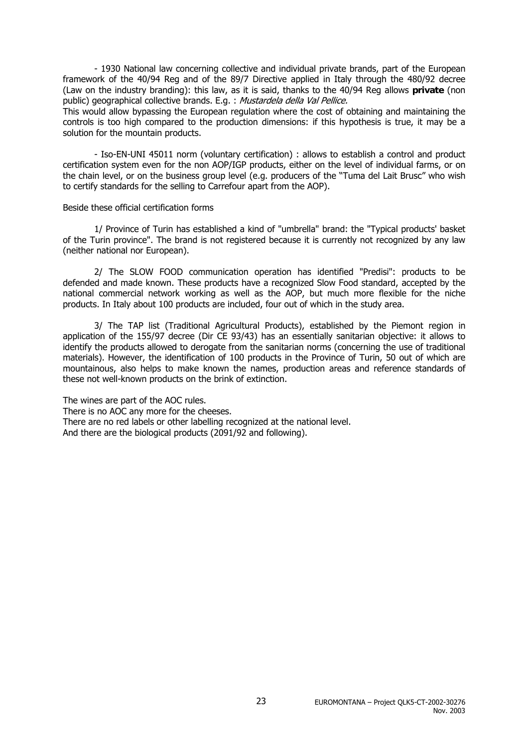- 1930 National law concerning collective and individual private brands, part of the European framework of the 40/94 Reg and of the 89/7 Directive applied in Italy through the 480/92 decree (Law on the industry branding): this law, as it is said, thanks to the 40/94 Reg allows **private** (non public) geographical collective brands. E.g. : Mustardela della Val Pellice.

This would allow bypassing the European regulation where the cost of obtaining and maintaining the controls is too high compared to the production dimensions: if this hypothesis is true, it may be a solution for the mountain products.

- Iso-EN-UNI 45011 norm (voluntary certification) : allows to establish a control and product certification system even for the non AOP/IGP products, either on the level of individual farms, or on the chain level, or on the business group level (e.g. producers of the "Tuma del Lait Brusc" who wish to certify standards for the selling to Carrefour apart from the AOP).

#### Beside these official certification forms

1/ Province of Turin has established a kind of "umbrella" brand: the "Typical products' basket of the Turin province". The brand is not registered because it is currently not recognized by any law (neither national nor European).

2/ The SLOW FOOD communication operation has identified "Predisi": products to be defended and made known. These products have a recognized Slow Food standard, accepted by the national commercial network working as well as the AOP, but much more flexible for the niche products. In Italy about 100 products are included, four out of which in the study area.

3/ The TAP list (Traditional Agricultural Products), established by the Piemont region in application of the 155/97 decree (Dir CE 93/43) has an essentially sanitarian objective: it allows to identify the products allowed to derogate from the sanitarian norms (concerning the use of traditional materials). However, the identification of 100 products in the Province of Turin, 50 out of which are mountainous, also helps to make known the names, production areas and reference standards of these not well-known products on the brink of extinction.

The wines are part of the AOC rules. There is no AOC any more for the cheeses. There are no red labels or other labelling recognized at the national level. And there are the biological products (2091/92 and following).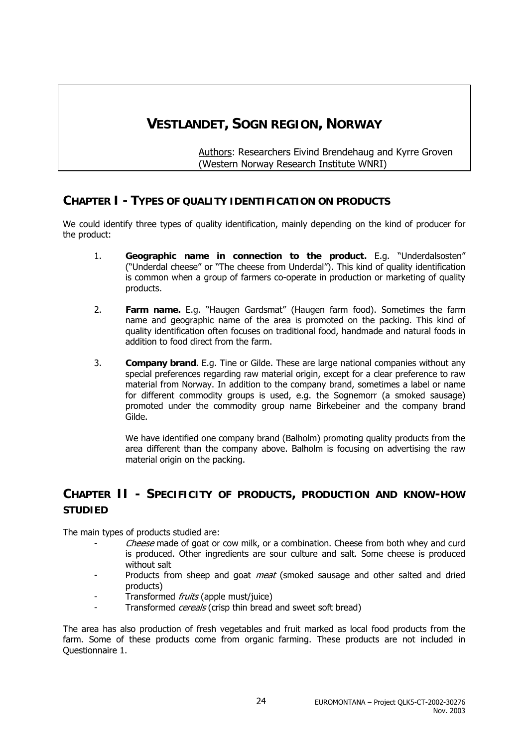## **VESTLANDET, SOGN REGION, NORWAY**

Authors: Researchers Eivind Brendehaug and Kyrre Groven (Western Norway Research Institute WNRI)

### **CHAPTER I - TYPES OF QUALITY IDENTIFICATION ON PRODUCTS**

We could identify three types of quality identification, mainly depending on the kind of producer for the product:

- 1. **Geographic name in connection to the product.** E.g. "Underdalsosten" ("Underdal cheese" or "The cheese from Underdal"). This kind of quality identification is common when a group of farmers co-operate in production or marketing of quality products.
- 2. **Farm name.** E.g. "Haugen Gardsmat" (Haugen farm food). Sometimes the farm name and geographic name of the area is promoted on the packing. This kind of quality identification often focuses on traditional food, handmade and natural foods in addition to food direct from the farm.
- 3. **Company brand**. E.g. Tine or Gilde. These are large national companies without any special preferences regarding raw material origin, except for a clear preference to raw material from Norway. In addition to the company brand, sometimes a label or name for different commodity groups is used, e.g. the Sognemorr (a smoked sausage) promoted under the commodity group name Birkebeiner and the company brand Gilde.

We have identified one company brand (Balholm) promoting quality products from the area different than the company above. Balholm is focusing on advertising the raw material origin on the packing.

### **CHAPTER II - SPECIFICITY OF PRODUCTS, PRODUCTION AND KNOW-HOW STUDIED**

The main types of products studied are:

- Cheese made of goat or cow milk, or a combination. Cheese from both whey and curd is produced. Other ingredients are sour culture and salt. Some cheese is produced without salt
- Products from sheep and goat meat (smoked sausage and other salted and dried products)
- Transformed *fruits* (apple must/juice)
- Transformed *cereals* (crisp thin bread and sweet soft bread)

The area has also production of fresh vegetables and fruit marked as local food products from the farm. Some of these products come from organic farming. These products are not included in Questionnaire 1.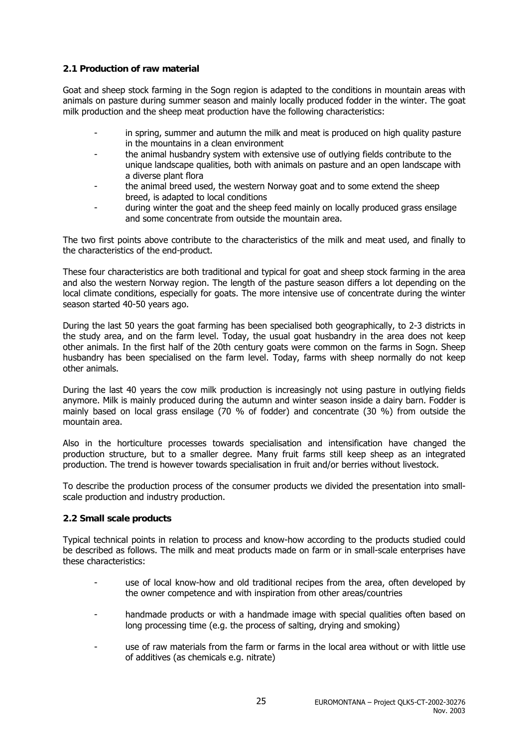#### **2.1 Production of raw material**

Goat and sheep stock farming in the Sogn region is adapted to the conditions in mountain areas with animals on pasture during summer season and mainly locally produced fodder in the winter. The goat milk production and the sheep meat production have the following characteristics:

- in spring, summer and autumn the milk and meat is produced on high quality pasture in the mountains in a clean environment
- the animal husbandry system with extensive use of outlying fields contribute to the unique landscape qualities, both with animals on pasture and an open landscape with a diverse plant flora
- the animal breed used, the western Norway goat and to some extend the sheep breed, is adapted to local conditions
- during winter the goat and the sheep feed mainly on locally produced grass ensilage and some concentrate from outside the mountain area.

The two first points above contribute to the characteristics of the milk and meat used, and finally to the characteristics of the end-product.

These four characteristics are both traditional and typical for goat and sheep stock farming in the area and also the western Norway region. The length of the pasture season differs a lot depending on the local climate conditions, especially for goats. The more intensive use of concentrate during the winter season started 40-50 years ago.

During the last 50 years the goat farming has been specialised both geographically, to 2-3 districts in the study area, and on the farm level. Today, the usual goat husbandry in the area does not keep other animals. In the first half of the 20th century goats were common on the farms in Sogn. Sheep husbandry has been specialised on the farm level. Today, farms with sheep normally do not keep other animals.

During the last 40 years the cow milk production is increasingly not using pasture in outlying fields anymore. Milk is mainly produced during the autumn and winter season inside a dairy barn. Fodder is mainly based on local grass ensilage (70 % of fodder) and concentrate (30 %) from outside the mountain area.

Also in the horticulture processes towards specialisation and intensification have changed the production structure, but to a smaller degree. Many fruit farms still keep sheep as an integrated production. The trend is however towards specialisation in fruit and/or berries without livestock.

To describe the production process of the consumer products we divided the presentation into smallscale production and industry production.

#### **2.2 Small scale products**

Typical technical points in relation to process and know-how according to the products studied could be described as follows. The milk and meat products made on farm or in small-scale enterprises have these characteristics:

- use of local know-how and old traditional recipes from the area, often developed by the owner competence and with inspiration from other areas/countries
- handmade products or with a handmade image with special qualities often based on long processing time (e.g. the process of salting, drying and smoking)
- use of raw materials from the farm or farms in the local area without or with little use of additives (as chemicals e.g. nitrate)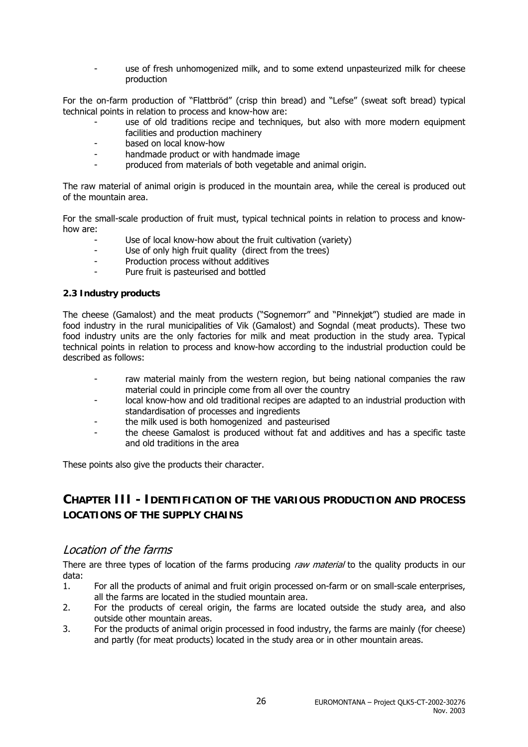use of fresh unhomogenized milk, and to some extend unpasteurized milk for cheese production

For the on-farm production of "Flattbröd" (crisp thin bread) and "Lefse" (sweat soft bread) typical technical points in relation to process and know-how are:

- use of old traditions recipe and techniques, but also with more modern equipment facilities and production machinery
- based on local know-how
- handmade product or with handmade image
- produced from materials of both vegetable and animal origin.

The raw material of animal origin is produced in the mountain area, while the cereal is produced out of the mountain area.

For the small-scale production of fruit must, typical technical points in relation to process and knowhow are:

- Use of local know-how about the fruit cultivation (variety)
- Use of only high fruit quality (direct from the trees)
- Production process without additives
- Pure fruit is pasteurised and bottled

#### **2.3 Industry products**

The cheese (Gamalost) and the meat products ("Sognemorr" and "Pinnekjøt") studied are made in food industry in the rural municipalities of Vik (Gamalost) and Sogndal (meat products). These two food industry units are the only factories for milk and meat production in the study area. Typical technical points in relation to process and know-how according to the industrial production could be described as follows:

- raw material mainly from the western region, but being national companies the raw material could in principle come from all over the country
- local know-how and old traditional recipes are adapted to an industrial production with standardisation of processes and ingredients
- the milk used is both homogenized and pasteurised
- the cheese Gamalost is produced without fat and additives and has a specific taste and old traditions in the area

These points also give the products their character.

### **CHAPTER III - IDENTIFICATION OF THE VARIOUS PRODUCTION AND PROCESS LOCATIONS OF THE SUPPLY CHAINS**

### Location of the farms

There are three types of location of the farms producing raw material to the quality products in our data:

- 1. For all the products of animal and fruit origin processed on-farm or on small-scale enterprises, all the farms are located in the studied mountain area.
- 2. For the products of cereal origin, the farms are located outside the study area, and also outside other mountain areas.
- 3. For the products of animal origin processed in food industry, the farms are mainly (for cheese) and partly (for meat products) located in the study area or in other mountain areas.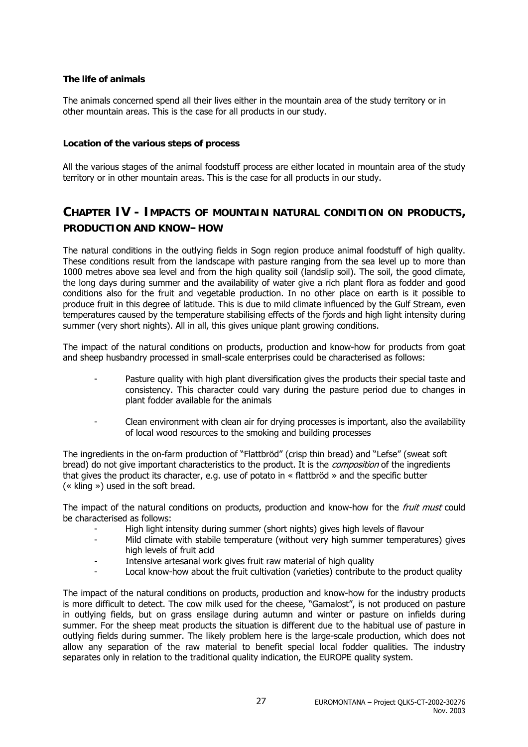#### **The life of animals**

The animals concerned spend all their lives either in the mountain area of the study territory or in other mountain areas. This is the case for all products in our study.

#### **Location of the various steps of process**

All the various stages of the animal foodstuff process are either located in mountain area of the study territory or in other mountain areas. This is the case for all products in our study.

### **CHAPTER IV - IMPACTS OF MOUNTAIN NATURAL CONDITION ON PRODUCTS, PRODUCTION AND KNOW–HOW**

The natural conditions in the outlying fields in Sogn region produce animal foodstuff of high quality. These conditions result from the landscape with pasture ranging from the sea level up to more than 1000 metres above sea level and from the high quality soil (landslip soil). The soil, the good climate, the long days during summer and the availability of water give a rich plant flora as fodder and good conditions also for the fruit and vegetable production. In no other place on earth is it possible to produce fruit in this degree of latitude. This is due to mild climate influenced by the Gulf Stream, even temperatures caused by the temperature stabilising effects of the fjords and high light intensity during summer (very short nights). All in all, this gives unique plant growing conditions.

The impact of the natural conditions on products, production and know-how for products from goat and sheep husbandry processed in small-scale enterprises could be characterised as follows:

- Pasture quality with high plant diversification gives the products their special taste and consistency. This character could vary during the pasture period due to changes in plant fodder available for the animals
- Clean environment with clean air for drying processes is important, also the availability of local wood resources to the smoking and building processes

The ingredients in the on-farm production of "Flattbröd" (crisp thin bread) and "Lefse" (sweat soft bread) do not give important characteristics to the product. It is the *composition* of the ingredients that gives the product its character, e.g. use of potato in « flattbröd » and the specific butter (« kling ») used in the soft bread.

The impact of the natural conditions on products, production and know-how for the *fruit must* could be characterised as follows:

- High light intensity during summer (short nights) gives high levels of flavour
- Mild climate with stabile temperature (without very high summer temperatures) gives high levels of fruit acid
- Intensive artesanal work gives fruit raw material of high quality
- Local know-how about the fruit cultivation (varieties) contribute to the product quality

The impact of the natural conditions on products, production and know-how for the industry products is more difficult to detect. The cow milk used for the cheese, "Gamalost", is not produced on pasture in outlying fields, but on grass ensilage during autumn and winter or pasture on infields during summer. For the sheep meat products the situation is different due to the habitual use of pasture in outlying fields during summer. The likely problem here is the large-scale production, which does not allow any separation of the raw material to benefit special local fodder qualities. The industry separates only in relation to the traditional quality indication, the EUROPE quality system.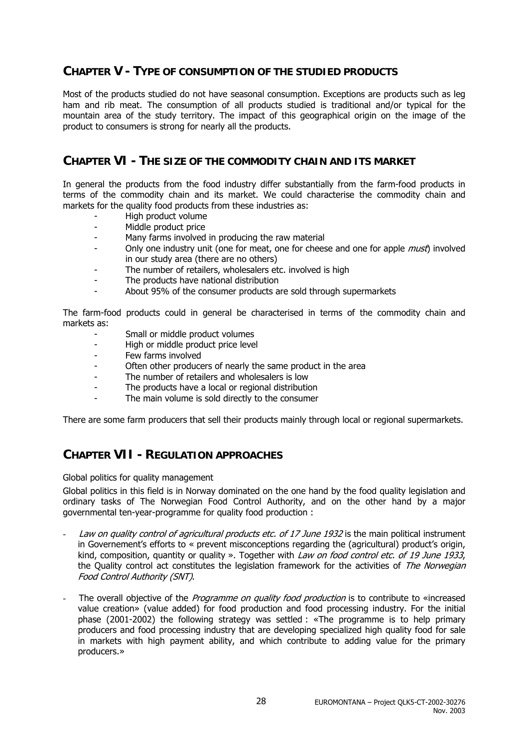### **CHAPTER V - TYPE OF CONSUMPTION OF THE STUDIED PRODUCTS**

Most of the products studied do not have seasonal consumption. Exceptions are products such as leg ham and rib meat. The consumption of all products studied is traditional and/or typical for the mountain area of the study territory. The impact of this geographical origin on the image of the product to consumers is strong for nearly all the products.

### **CHAPTER VI - THE SIZE OF THE COMMODITY CHAIN AND ITS MARKET**

In general the products from the food industry differ substantially from the farm-food products in terms of the commodity chain and its market. We could characterise the commodity chain and markets for the quality food products from these industries as:

- High product volume
- Middle product price
- Many farms involved in producing the raw material
- Only one industry unit (one for meat, one for cheese and one for apple *must*) involved in our study area (there are no others)
- The number of retailers, wholesalers etc. involved is high
- The products have national distribution
- About 95% of the consumer products are sold through supermarkets

The farm-food products could in general be characterised in terms of the commodity chain and markets as:

- Small or middle product volumes
- High or middle product price level
- Few farms involved
- Often other producers of nearly the same product in the area
- The number of retailers and wholesalers is low
- The products have a local or regional distribution
- The main volume is sold directly to the consumer

There are some farm producers that sell their products mainly through local or regional supermarkets.

### **CHAPTER VII - REGULATION APPROACHES**

Global politics for quality management

Global politics in this field is in Norway dominated on the one hand by the food quality legislation and ordinary tasks of The Norwegian Food Control Authority, and on the other hand by a major governmental ten-year-programme for quality food production :

- Law on quality control of agricultural products etc. of 17 June 1932 is the main political instrument in Governement's efforts to « prevent misconceptions regarding the (agricultural) product's origin, kind, composition, quantity or quality ». Together with Law on food control etc. of 19 June 1933, the Quality control act constitutes the legislation framework for the activities of The Norwegian Food Control Authority (SNT).
- The overall objective of the Programme on quality food production is to contribute to «increased value creation» (value added) for food production and food processing industry. For the initial phase (2001-2002) the following strategy was settled : «The programme is to help primary producers and food processing industry that are developing specialized high quality food for sale in markets with high payment ability, and which contribute to adding value for the primary producers.»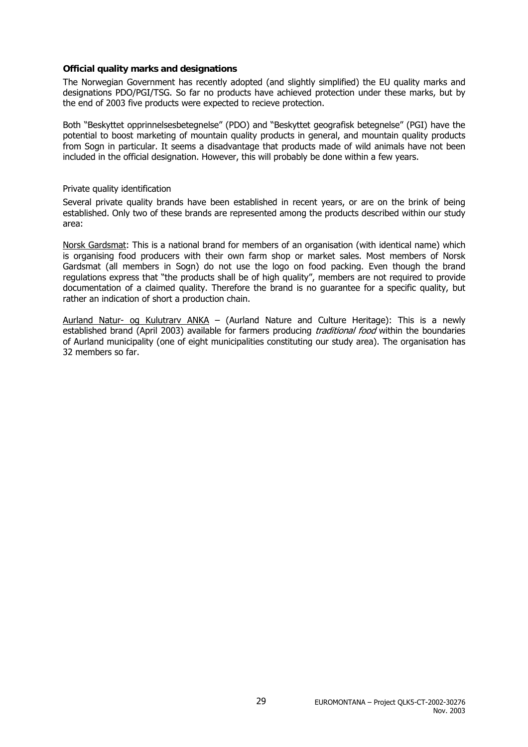#### **Official quality marks and designations**

The Norwegian Government has recently adopted (and slightly simplified) the EU quality marks and designations PDO/PGI/TSG. So far no products have achieved protection under these marks, but by the end of 2003 five products were expected to recieve protection.

Both "Beskyttet opprinnelsesbetegnelse" (PDO) and "Beskyttet geografisk betegnelse" (PGI) have the potential to boost marketing of mountain quality products in general, and mountain quality products from Sogn in particular. It seems a disadvantage that products made of wild animals have not been included in the official designation. However, this will probably be done within a few years.

#### Private quality identification

Several private quality brands have been established in recent years, or are on the brink of being established. Only two of these brands are represented among the products described within our study area:

Norsk Gardsmat: This is a national brand for members of an organisation (with identical name) which is organising food producers with their own farm shop or market sales. Most members of Norsk Gardsmat (all members in Sogn) do not use the logo on food packing. Even though the brand regulations express that "the products shall be of high quality", members are not required to provide documentation of a claimed quality. Therefore the brand is no guarantee for a specific quality, but rather an indication of short a production chain.

Aurland Natur- og Kulutrarv ANKA – (Aurland Nature and Culture Heritage): This is a newly established brand (April 2003) available for farmers producing *traditional food* within the boundaries of Aurland municipality (one of eight municipalities constituting our study area). The organisation has 32 members so far.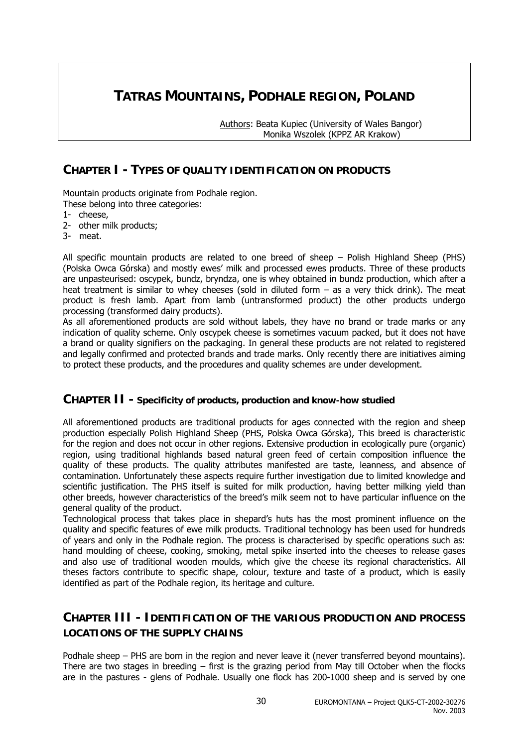### **TATRAS MOUNTAINS, PODHALE REGION, POLAND**

 Authors: Beata Kupiec (University of Wales Bangor) Monika Wszolek (KPPZ AR Krakow)

### **CHAPTER I - TYPES OF QUALITY IDENTIFICATION ON PRODUCTS**

Mountain products originate from Podhale region. These belong into three categories:

- 1- cheese,
- 2- other milk products;
- 3- meat.

All specific mountain products are related to one breed of sheep – Polish Highland Sheep (PHS) (Polska Owca Górska) and mostly ewes' milk and processed ewes products. Three of these products are unpasteurised: oscypek, bundz, bryndza, one is whey obtained in bundz production, which after a heat treatment is similar to whey cheeses (sold in diluted form – as a very thick drink). The meat product is fresh lamb. Apart from lamb (untransformed product) the other products undergo processing (transformed dairy products).

As all aforementioned products are sold without labels, they have no brand or trade marks or any indication of quality scheme. Only oscypek cheese is sometimes vacuum packed, but it does not have a brand or quality signifiers on the packaging. In general these products are not related to registered and legally confirmed and protected brands and trade marks. Only recently there are initiatives aiming to protect these products, and the procedures and quality schemes are under development.

### **CHAPTER II - Specificity of products, production and know-how studied**

All aforementioned products are traditional products for ages connected with the region and sheep production especially Polish Highland Sheep (PHS, Polska Owca Górska), This breed is characteristic for the region and does not occur in other regions. Extensive production in ecologically pure (organic) region, using traditional highlands based natural green feed of certain composition influence the quality of these products. The quality attributes manifested are taste, leanness, and absence of contamination. Unfortunately these aspects require further investigation due to limited knowledge and scientific justification. The PHS itself is suited for milk production, having better milking yield than other breeds, however characteristics of the breed's milk seem not to have particular influence on the general quality of the product.

Technological process that takes place in shepard's huts has the most prominent influence on the quality and specific features of ewe milk products. Traditional technology has been used for hundreds of years and only in the Podhale region. The process is characterised by specific operations such as: hand moulding of cheese, cooking, smoking, metal spike inserted into the cheeses to release gases and also use of traditional wooden moulds, which give the cheese its regional characteristics. All theses factors contribute to specific shape, colour, texture and taste of a product, which is easily identified as part of the Podhale region, its heritage and culture.

### **CHAPTER III - IDENTIFICATION OF THE VARIOUS PRODUCTION AND PROCESS LOCATIONS OF THE SUPPLY CHAINS**

Podhale sheep – PHS are born in the region and never leave it (never transferred beyond mountains). There are two stages in breeding  $-$  first is the grazing period from May till October when the flocks are in the pastures - glens of Podhale. Usually one flock has 200-1000 sheep and is served by one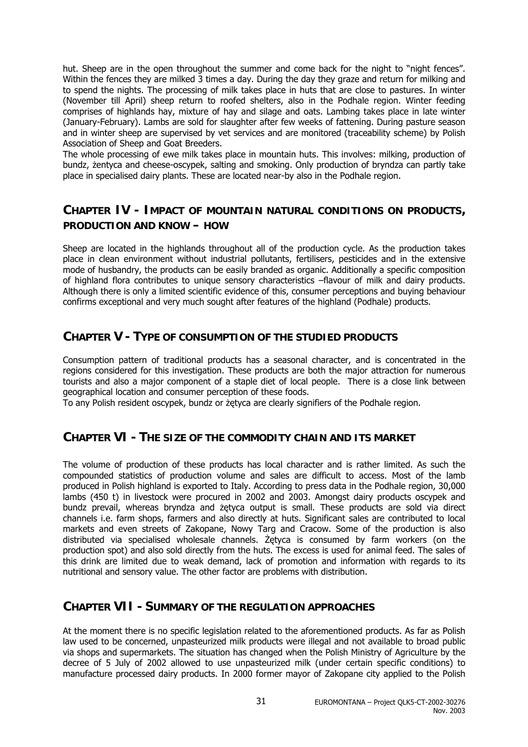hut. Sheep are in the open throughout the summer and come back for the night to "night fences". Within the fences they are milked 3 times a day. During the day they graze and return for milking and to spend the nights. The processing of milk takes place in huts that are close to pastures. In winter (November till April) sheep return to roofed shelters, also in the Podhale region. Winter feeding comprises of highlands hay, mixture of hay and silage and oats. Lambing takes place in late winter (January-February). Lambs are sold for slaughter after few weeks of fattening. During pasture season and in winter sheep are supervised by vet services and are monitored (traceability scheme) by Polish Association of Sheep and Goat Breeders.

The whole processing of ewe milk takes place in mountain huts. This involves: milking, production of bundz, żentyca and cheese-oscypek, salting and smoking. Only production of bryndza can partly take place in specialised dairy plants. These are located near-by also in the Podhale region.

### **CHAPTER IV - IMPACT OF MOUNTAIN NATURAL CONDITIONS ON PRODUCTS, PRODUCTION AND KNOW – HOW**

Sheep are located in the highlands throughout all of the production cycle. As the production takes place in clean environment without industrial pollutants, fertilisers, pesticides and in the extensive mode of husbandry, the products can be easily branded as organic. Additionally a specific composition of highland flora contributes to unique sensory characteristics –flavour of milk and dairy products. Although there is only a limited scientific evidence of this, consumer perceptions and buying behaviour confirms exceptional and very much sought after features of the highland (Podhale) products.

### **CHAPTER V - TYPE OF CONSUMPTION OF THE STUDIED PRODUCTS**

Consumption pattern of traditional products has a seasonal character, and is concentrated in the regions considered for this investigation. These products are both the major attraction for numerous tourists and also a major component of a staple diet of local people. There is a close link between geographical location and consumer perception of these foods.

To any Polish resident oscypek, bundz or żętyca are clearly signifiers of the Podhale region.

### **CHAPTER VI - THE SIZE OF THE COMMODITY CHAIN AND ITS MARKET**

The volume of production of these products has local character and is rather limited. As such the compounded statistics of production volume and sales are difficult to access. Most of the lamb produced in Polish highland is exported to Italy. According to press data in the Podhale region, 30,000 lambs (450 t) in livestock were procured in 2002 and 2003. Amongst dairy products oscypek and bundz prevail, whereas bryndza and żętyca output is small. These products are sold via direct channels i.e. farm shops, farmers and also directly at huts. Significant sales are contributed to local markets and even streets of Zakopane, Nowy Targ and Cracow. Some of the production is also distributed via specialised wholesale channels. Żętyca is consumed by farm workers (on the production spot) and also sold directly from the huts. The excess is used for animal feed. The sales of this drink are limited due to weak demand, lack of promotion and information with regards to its nutritional and sensory value. The other factor are problems with distribution.

### **CHAPTER VII - SUMMARY OF THE REGULATION APPROACHES**

At the moment there is no specific legislation related to the aforementioned products. As far as Polish law used to be concerned, unpasteurized milk products were illegal and not available to broad public via shops and supermarkets. The situation has changed when the Polish Ministry of Agriculture by the decree of 5 July of 2002 allowed to use unpasteurized milk (under certain specific conditions) to manufacture processed dairy products. In 2000 former mayor of Zakopane city applied to the Polish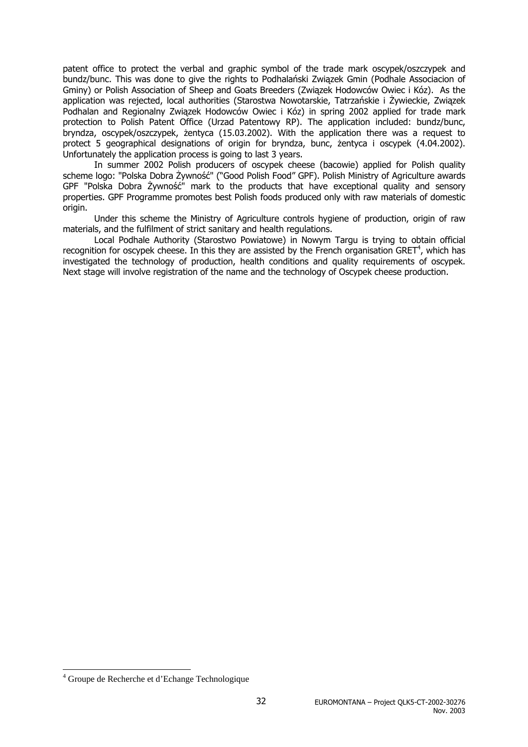patent office to protect the verbal and graphic symbol of the trade mark oscypek/oszczypek and bundz/bunc. This was done to give the rights to Podhalański Związek Gmin (Podhale Associacion of Gminy) or Polish Association of Sheep and Goats Breeders (Związek Hodowców Owiec i Kóz). As the application was rejected, local authorities (Starostwa Nowotarskie, Tatrzańskie i Żywieckie, Związek Podhalan and Regionalny Związek Hodowców Owiec i Kóz) in spring 2002 applied for trade mark protection to Polish Patent Office (Urzad Patentowy RP). The application included: bundz/bunc, bryndza, oscypek/oszczypek, żentyca (15.03.2002). With the application there was a request to protect 5 geographical designations of origin for bryndza, bunc, żentyca i oscypek (4.04.2002). Unfortunately the application process is going to last 3 years.

In summer 2002 Polish producers of oscypek cheese (bacowie) applied for Polish quality scheme logo: "Polska Dobra Żywność" ("Good Polish Food" GPF). Polish Ministry of Agriculture awards GPF "Polska Dobra Żywność" mark to the products that have exceptional quality and sensory properties. GPF Programme promotes best Polish foods produced only with raw materials of domestic origin.

Under this scheme the Ministry of Agriculture controls hygiene of production, origin of raw materials, and the fulfilment of strict sanitary and health regulations.

Local Podhale Authority (Starostwo Powiatowe) in Nowym Targu is trying to obtain official recognition for oscypek cheese. In this they are assisted by the French organisation GRET<sup>4</sup>, which has investigated the technology of production, health conditions and quality requirements of oscypek. Next stage will involve registration of the name and the technology of Oscypek cheese production.

 $\overline{\phantom{a}}$ 

<sup>4</sup> Groupe de Recherche et d'Echange Technologique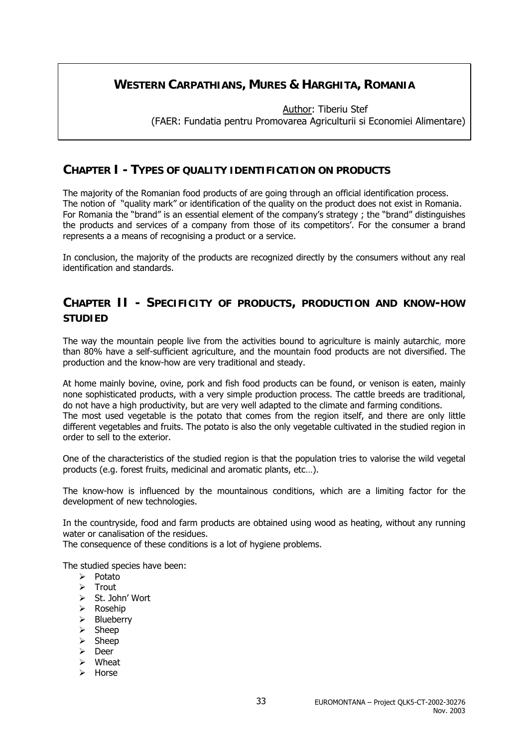### **WESTERN CARPATHIANS, MURES & HARGHITA, ROMANIA**

 Author: Tiberiu Stef (FAER: Fundatia pentru Promovarea Agriculturii si Economiei Alimentare)

### **CHAPTER I - TYPES OF QUALITY IDENTIFICATION ON PRODUCTS**

The majority of the Romanian food products of are going through an official identification process. The notion of "quality mark" or identification of the quality on the product does not exist in Romania. For Romania the "brand" is an essential element of the company's strategy ; the "brand" distinguishes the products and services of a company from those of its competitors'. For the consumer a brand represents a a means of recognising a product or a service.

In conclusion, the majority of the products are recognized directly by the consumers without any real identification and standards.

### **CHAPTER II - SPECIFICITY OF PRODUCTS, PRODUCTION AND KNOW-HOW STUDIED**

The way the mountain people live from the activities bound to agriculture is mainly autarchic, more than 80% have a self-sufficient agriculture, and the mountain food products are not diversified. The production and the know-how are very traditional and steady.

At home mainly bovine, ovine, pork and fish food products can be found, or venison is eaten, mainly none sophisticated products, with a very simple production process. The cattle breeds are traditional, do not have a high productivity, but are very well adapted to the climate and farming conditions. The most used vegetable is the potato that comes from the region itself, and there are only little different vegetables and fruits. The potato is also the only vegetable cultivated in the studied region in order to sell to the exterior.

One of the characteristics of the studied region is that the population tries to valorise the wild vegetal products (e.g. forest fruits, medicinal and aromatic plants, etc…).

The know-how is influenced by the mountainous conditions, which are a limiting factor for the development of new technologies.

In the countryside, food and farm products are obtained using wood as heating, without any running water or canalisation of the residues.

The consequence of these conditions is a lot of hygiene problems.

The studied species have been:

- $\triangleright$  Potato
- $\triangleright$  Trout
- ¾ St. John' Wort
- ¾ Rosehip
- $\triangleright$  Blueberry
- $\triangleright$  Sheep
- $\triangleright$  Sheep
- ¾ Deer
- $\triangleright$  Wheat
- ¾ Horse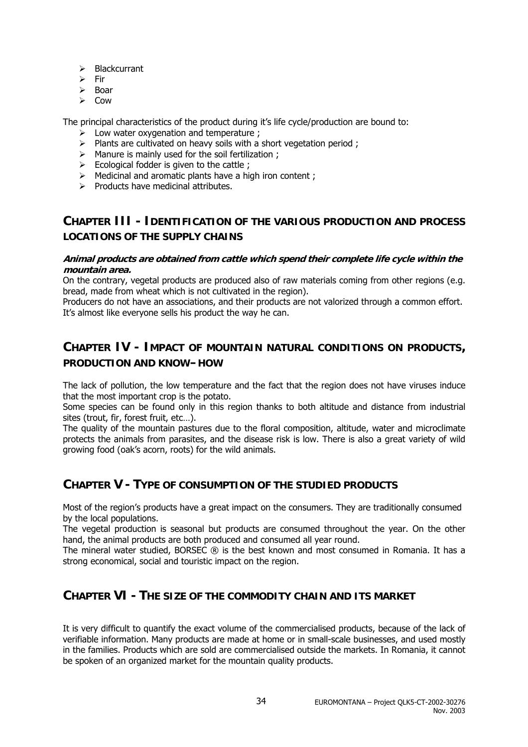- $\triangleright$  Blackcurrant
- $\triangleright$  Fir
- ¾ Boar
- $\triangleright$  Cow

The principal characteristics of the product during it's life cycle/production are bound to:

- $\geq$  Low water oxygenation and temperature ;
- $\triangleright$  Plants are cultivated on heavy soils with a short vegetation period;
- $\triangleright$  Manure is mainly used for the soil fertilization ;
- $\triangleright$  Ecological fodder is given to the cattle;
- $\triangleright$  Medicinal and aromatic plants have a high iron content ;
- $\triangleright$  Products have medicinal attributes.

### **CHAPTER III - IDENTIFICATION OF THE VARIOUS PRODUCTION AND PROCESS LOCATIONS OF THE SUPPLY CHAINS**

#### **Animal products are obtained from cattle which spend their complete life cycle within the mountain area.**

On the contrary, vegetal products are produced also of raw materials coming from other regions (e.g. bread, made from wheat which is not cultivated in the region).

Producers do not have an associations, and their products are not valorized through a common effort. It's almost like everyone sells his product the way he can.

### **CHAPTER IV - IMPACT OF MOUNTAIN NATURAL CONDITIONS ON PRODUCTS, PRODUCTION AND KNOW–HOW**

The lack of pollution, the low temperature and the fact that the region does not have viruses induce that the most important crop is the potato.

Some species can be found only in this region thanks to both altitude and distance from industrial sites (trout, fir, forest fruit, etc…).

The quality of the mountain pastures due to the floral composition, altitude, water and microclimate protects the animals from parasites, and the disease risk is low. There is also a great variety of wild growing food (oak's acorn, roots) for the wild animals.

### **CHAPTER V - TYPE OF CONSUMPTION OF THE STUDIED PRODUCTS**

Most of the region's products have a great impact on the consumers. They are traditionally consumed by the local populations.

The vegetal production is seasonal but products are consumed throughout the year. On the other hand, the animal products are both produced and consumed all year round.

The mineral water studied, BORSEC ® is the best known and most consumed in Romania. It has a strong economical, social and touristic impact on the region.

### **CHAPTER VI - THE SIZE OF THE COMMODITY CHAIN AND ITS MARKET**

It is very difficult to quantify the exact volume of the commercialised products, because of the lack of verifiable information. Many products are made at home or in small-scale businesses, and used mostly in the families. Products which are sold are commercialised outside the markets. In Romania, it cannot be spoken of an organized market for the mountain quality products.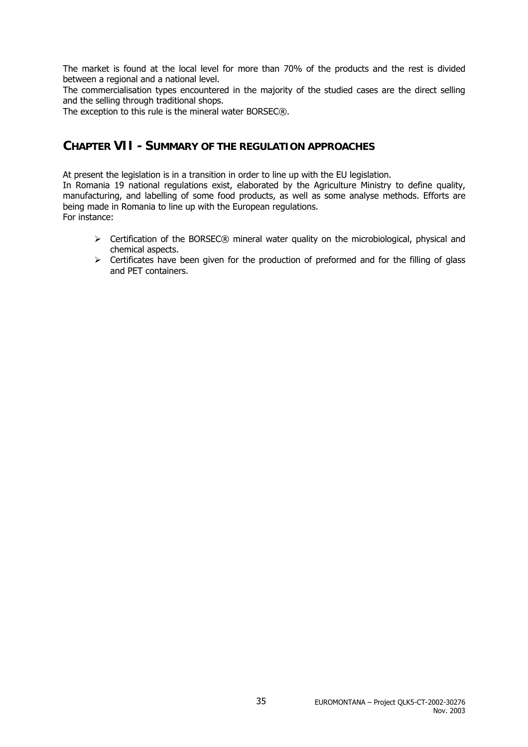The market is found at the local level for more than 70% of the products and the rest is divided between a regional and a national level.

The commercialisation types encountered in the majority of the studied cases are the direct selling and the selling through traditional shops.

The exception to this rule is the mineral water BORSEC®.

### **CHAPTER VII - SUMMARY OF THE REGULATION APPROACHES**

At present the legislation is in a transition in order to line up with the EU legislation.

In Romania 19 national regulations exist, elaborated by the Agriculture Ministry to define quality, manufacturing, and labelling of some food products, as well as some analyse methods. Efforts are being made in Romania to line up with the European regulations. For instance:

- $\triangleright$  Certification of the BORSEC® mineral water quality on the microbiological, physical and chemical aspects.
- $\triangleright$  Certificates have been given for the production of preformed and for the filling of glass and PET containers.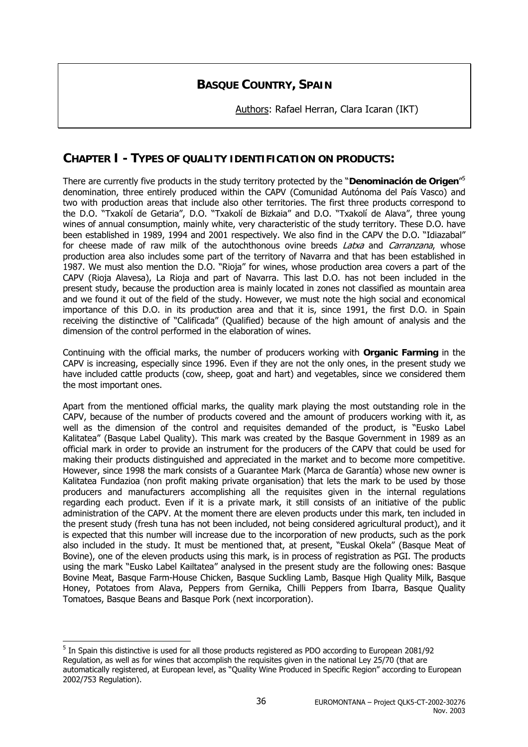### **BASQUE COUNTRY, SPAIN**

Authors: Rafael Herran, Clara Icaran (IKT)

### **CHAPTER I - TYPES OF QUALITY IDENTIFICATION ON PRODUCTS:**

There are currently five products in the study territory protected by the "**Denominación de Origen**" 5 denomination, three entirely produced within the CAPV (Comunidad Autónoma del País Vasco) and two with production areas that include also other territories. The first three products correspond to the D.O. "Txakolí de Getaria", D.O. "Txakolí de Bizkaia" and D.O. "Txakolí de Alava", three young wines of annual consumption, mainly white, very characteristic of the study territory. These D.O. have been established in 1989, 1994 and 2001 respectively. We also find in the CAPV the D.O. "Idiazabal" for cheese made of raw milk of the autochthonous ovine breeds *Latxa* and *Carranzana*, whose production area also includes some part of the territory of Navarra and that has been established in 1987. We must also mention the D.O. "Rioja" for wines, whose production area covers a part of the CAPV (Rioja Alavesa), La Rioja and part of Navarra. This last D.O. has not been included in the present study, because the production area is mainly located in zones not classified as mountain area and we found it out of the field of the study. However, we must note the high social and economical importance of this D.O. in its production area and that it is, since 1991, the first D.O. in Spain receiving the distinctive of "Calificada" (Qualified) because of the high amount of analysis and the dimension of the control performed in the elaboration of wines.

Continuing with the official marks, the number of producers working with **Organic Farming** in the CAPV is increasing, especially since 1996. Even if they are not the only ones, in the present study we have included cattle products (cow, sheep, goat and hart) and vegetables, since we considered them the most important ones.

Apart from the mentioned official marks, the quality mark playing the most outstanding role in the CAPV, because of the number of products covered and the amount of producers working with it, as well as the dimension of the control and requisites demanded of the product, is "Eusko Label Kalitatea" (Basque Label Quality). This mark was created by the Basque Government in 1989 as an official mark in order to provide an instrument for the producers of the CAPV that could be used for making their products distinguished and appreciated in the market and to become more competitive. However, since 1998 the mark consists of a Guarantee Mark (Marca de Garantía) whose new owner is Kalitatea Fundazioa (non profit making private organisation) that lets the mark to be used by those producers and manufacturers accomplishing all the requisites given in the internal regulations regarding each product. Even if it is a private mark, it still consists of an initiative of the public administration of the CAPV. At the moment there are eleven products under this mark, ten included in the present study (fresh tuna has not been included, not being considered agricultural product), and it is expected that this number will increase due to the incorporation of new products, such as the pork also included in the study. It must be mentioned that, at present, "Euskal Okela" (Basque Meat of Bovine), one of the eleven products using this mark, is in process of registration as PGI. The products using the mark "Eusko Label Kailtatea" analysed in the present study are the following ones: Basque Bovine Meat, Basque Farm-House Chicken, Basque Suckling Lamb, Basque High Quality Milk, Basque Honey, Potatoes from Alava, Peppers from Gernika, Chilli Peppers from Ibarra, Basque Quality Tomatoes, Basque Beans and Basque Pork (next incorporation).

 $\overline{a}$ 

<sup>&</sup>lt;sup>5</sup> In Spain this distinctive is used for all those products registered as PDO according to European 2081/92 Regulation, as well as for wines that accomplish the requisites given in the national Ley 25/70 (that are automatically registered, at European level, as "Quality Wine Produced in Specific Region" according to European 2002/753 Regulation).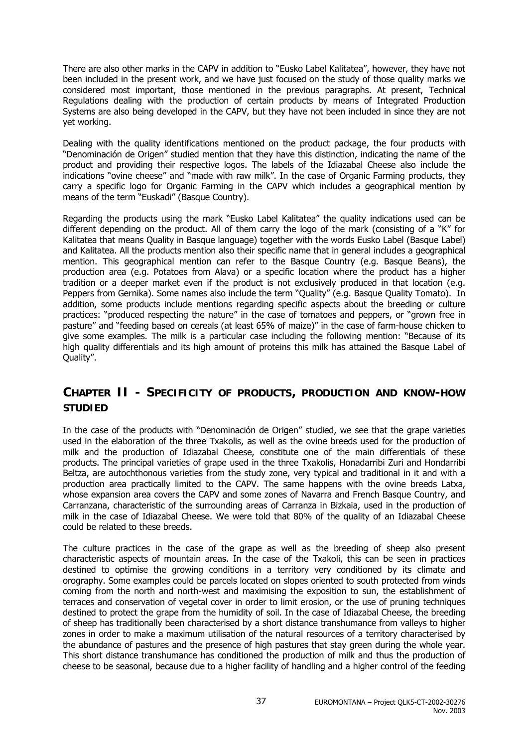There are also other marks in the CAPV in addition to "Eusko Label Kalitatea", however, they have not been included in the present work, and we have just focused on the study of those quality marks we considered most important, those mentioned in the previous paragraphs. At present, Technical Regulations dealing with the production of certain products by means of Integrated Production Systems are also being developed in the CAPV, but they have not been included in since they are not yet working.

Dealing with the quality identifications mentioned on the product package, the four products with "Denominación de Origen" studied mention that they have this distinction, indicating the name of the product and providing their respective logos. The labels of the Idiazabal Cheese also include the indications "ovine cheese" and "made with raw milk". In the case of Organic Farming products, they carry a specific logo for Organic Farming in the CAPV which includes a geographical mention by means of the term "Euskadi" (Basque Country).

Regarding the products using the mark "Eusko Label Kalitatea" the quality indications used can be different depending on the product. All of them carry the logo of the mark (consisting of a "K" for Kalitatea that means Quality in Basque language) together with the words Eusko Label (Basque Label) and Kalitatea. All the products mention also their specific name that in general includes a geographical mention. This geographical mention can refer to the Basque Country (e.g. Basque Beans), the production area (e.g. Potatoes from Alava) or a specific location where the product has a higher tradition or a deeper market even if the product is not exclusively produced in that location (e.g. Peppers from Gernika). Some names also include the term "Quality" (e.g. Basque Quality Tomato). In addition, some products include mentions regarding specific aspects about the breeding or culture practices: "produced respecting the nature" in the case of tomatoes and peppers, or "grown free in pasture" and "feeding based on cereals (at least 65% of maize)" in the case of farm-house chicken to give some examples. The milk is a particular case including the following mention: "Because of its high quality differentials and its high amount of proteins this milk has attained the Basque Label of Quality".

### **CHAPTER II - SPECIFICITY OF PRODUCTS, PRODUCTION AND KNOW-HOW STUDIED**

In the case of the products with "Denominación de Origen" studied, we see that the grape varieties used in the elaboration of the three Txakolis, as well as the ovine breeds used for the production of milk and the production of Idiazabal Cheese, constitute one of the main differentials of these products. The principal varieties of grape used in the three Txakolis, Honadarribi Zuri and Hondarribi Beltza, are autochthonous varieties from the study zone, very typical and traditional in it and with a production area practically limited to the CAPV. The same happens with the ovine breeds Latxa, whose expansion area covers the CAPV and some zones of Navarra and French Basque Country, and Carranzana, characteristic of the surrounding areas of Carranza in Bizkaia, used in the production of milk in the case of Idiazabal Cheese. We were told that 80% of the quality of an Idiazabal Cheese could be related to these breeds.

The culture practices in the case of the grape as well as the breeding of sheep also present characteristic aspects of mountain areas. In the case of the Txakoli, this can be seen in practices destined to optimise the growing conditions in a territory very conditioned by its climate and orography. Some examples could be parcels located on slopes oriented to south protected from winds coming from the north and north-west and maximising the exposition to sun, the establishment of terraces and conservation of vegetal cover in order to limit erosion, or the use of pruning techniques destined to protect the grape from the humidity of soil. In the case of Idiazabal Cheese, the breeding of sheep has traditionally been characterised by a short distance transhumance from valleys to higher zones in order to make a maximum utilisation of the natural resources of a territory characterised by the abundance of pastures and the presence of high pastures that stay green during the whole year. This short distance transhumance has conditioned the production of milk and thus the production of cheese to be seasonal, because due to a higher facility of handling and a higher control of the feeding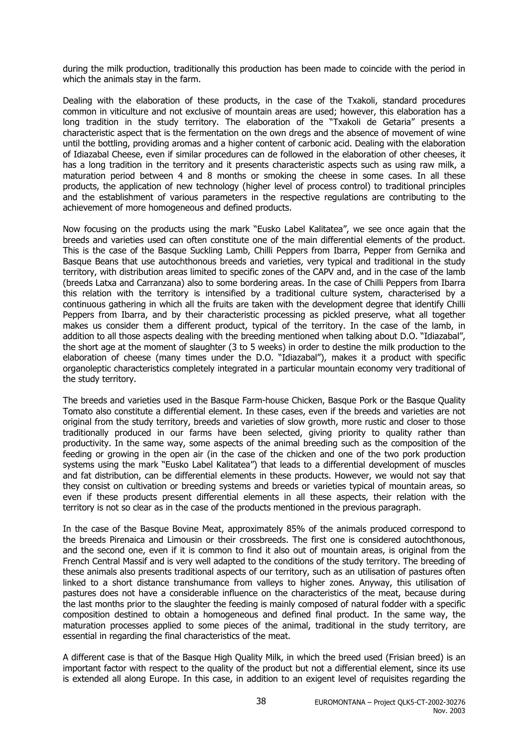during the milk production, traditionally this production has been made to coincide with the period in which the animals stay in the farm.

Dealing with the elaboration of these products, in the case of the Txakoli, standard procedures common in viticulture and not exclusive of mountain areas are used; however, this elaboration has a long tradition in the study territory. The elaboration of the "Txakoli de Getaria" presents a characteristic aspect that is the fermentation on the own dregs and the absence of movement of wine until the bottling, providing aromas and a higher content of carbonic acid. Dealing with the elaboration of Idiazabal Cheese, even if similar procedures can de followed in the elaboration of other cheeses, it has a long tradition in the territory and it presents characteristic aspects such as using raw milk, a maturation period between 4 and 8 months or smoking the cheese in some cases. In all these products, the application of new technology (higher level of process control) to traditional principles and the establishment of various parameters in the respective regulations are contributing to the achievement of more homogeneous and defined products.

Now focusing on the products using the mark "Eusko Label Kalitatea", we see once again that the breeds and varieties used can often constitute one of the main differential elements of the product. This is the case of the Basque Suckling Lamb, Chilli Peppers from Ibarra, Pepper from Gernika and Basque Beans that use autochthonous breeds and varieties, very typical and traditional in the study territory, with distribution areas limited to specific zones of the CAPV and, and in the case of the lamb (breeds Latxa and Carranzana) also to some bordering areas. In the case of Chilli Peppers from Ibarra this relation with the territory is intensified by a traditional culture system, characterised by a continuous gathering in which all the fruits are taken with the development degree that identify Chilli Peppers from Ibarra, and by their characteristic processing as pickled preserve, what all together makes us consider them a different product, typical of the territory. In the case of the lamb, in addition to all those aspects dealing with the breeding mentioned when talking about D.O. "Idiazabal", the short age at the moment of slaughter (3 to 5 weeks) in order to destine the milk production to the elaboration of cheese (many times under the D.O. "Idiazabal"), makes it a product with specific organoleptic characteristics completely integrated in a particular mountain economy very traditional of the study territory.

The breeds and varieties used in the Basque Farm-house Chicken, Basque Pork or the Basque Quality Tomato also constitute a differential element. In these cases, even if the breeds and varieties are not original from the study territory, breeds and varieties of slow growth, more rustic and closer to those traditionally produced in our farms have been selected, giving priority to quality rather than productivity. In the same way, some aspects of the animal breeding such as the composition of the feeding or growing in the open air (in the case of the chicken and one of the two pork production systems using the mark "Eusko Label Kalitatea") that leads to a differential development of muscles and fat distribution, can be differential elements in these products. However, we would not say that they consist on cultivation or breeding systems and breeds or varieties typical of mountain areas, so even if these products present differential elements in all these aspects, their relation with the territory is not so clear as in the case of the products mentioned in the previous paragraph.

In the case of the Basque Bovine Meat, approximately 85% of the animals produced correspond to the breeds Pirenaica and Limousin or their crossbreeds. The first one is considered autochthonous, and the second one, even if it is common to find it also out of mountain areas, is original from the French Central Massif and is very well adapted to the conditions of the study territory. The breeding of these animals also presents traditional aspects of our territory, such as an utilisation of pastures often linked to a short distance transhumance from valleys to higher zones. Anyway, this utilisation of pastures does not have a considerable influence on the characteristics of the meat, because during the last months prior to the slaughter the feeding is mainly composed of natural fodder with a specific composition destined to obtain a homogeneous and defined final product. In the same way, the maturation processes applied to some pieces of the animal, traditional in the study territory, are essential in regarding the final characteristics of the meat.

A different case is that of the Basque High Quality Milk, in which the breed used (Frisian breed) is an important factor with respect to the quality of the product but not a differential element, since its use is extended all along Europe. In this case, in addition to an exigent level of requisites regarding the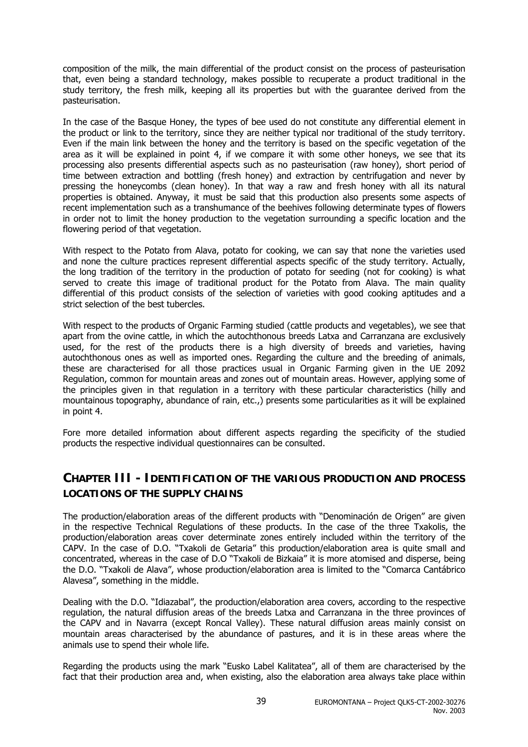composition of the milk, the main differential of the product consist on the process of pasteurisation that, even being a standard technology, makes possible to recuperate a product traditional in the study territory, the fresh milk, keeping all its properties but with the guarantee derived from the pasteurisation.

In the case of the Basque Honey, the types of bee used do not constitute any differential element in the product or link to the territory, since they are neither typical nor traditional of the study territory. Even if the main link between the honey and the territory is based on the specific vegetation of the area as it will be explained in point 4, if we compare it with some other honeys, we see that its processing also presents differential aspects such as no pasteurisation (raw honey), short period of time between extraction and bottling (fresh honey) and extraction by centrifugation and never by pressing the honeycombs (clean honey). In that way a raw and fresh honey with all its natural properties is obtained. Anyway, it must be said that this production also presents some aspects of recent implementation such as a transhumance of the beehives following determinate types of flowers in order not to limit the honey production to the vegetation surrounding a specific location and the flowering period of that vegetation.

With respect to the Potato from Alava, potato for cooking, we can say that none the varieties used and none the culture practices represent differential aspects specific of the study territory. Actually, the long tradition of the territory in the production of potato for seeding (not for cooking) is what served to create this image of traditional product for the Potato from Alava. The main quality differential of this product consists of the selection of varieties with good cooking aptitudes and a strict selection of the best tubercles.

With respect to the products of Organic Farming studied (cattle products and vegetables), we see that apart from the ovine cattle, in which the autochthonous breeds Latxa and Carranzana are exclusively used, for the rest of the products there is a high diversity of breeds and varieties, having autochthonous ones as well as imported ones. Regarding the culture and the breeding of animals, these are characterised for all those practices usual in Organic Farming given in the UE 2092 Regulation, common for mountain areas and zones out of mountain areas. However, applying some of the principles given in that regulation in a territory with these particular characteristics (hilly and mountainous topography, abundance of rain, etc.,) presents some particularities as it will be explained in point 4.

Fore more detailed information about different aspects regarding the specificity of the studied products the respective individual questionnaires can be consulted.

### **CHAPTER III - IDENTIFICATION OF THE VARIOUS PRODUCTION AND PROCESS LOCATIONS OF THE SUPPLY CHAINS**

The production/elaboration areas of the different products with "Denominación de Origen" are given in the respective Technical Regulations of these products. In the case of the three Txakolis, the production/elaboration areas cover determinate zones entirely included within the territory of the CAPV. In the case of D.O. "Txakoli de Getaria" this production/elaboration area is quite small and concentrated, whereas in the case of D.O "Txakoli de Bizkaia" it is more atomised and disperse, being the D.O. "Txakoli de Alava", whose production/elaboration area is limited to the "Comarca Cantábrico Alavesa", something in the middle.

Dealing with the D.O. "Idiazabal", the production/elaboration area covers, according to the respective regulation, the natural diffusion areas of the breeds Latxa and Carranzana in the three provinces of the CAPV and in Navarra (except Roncal Valley). These natural diffusion areas mainly consist on mountain areas characterised by the abundance of pastures, and it is in these areas where the animals use to spend their whole life.

Regarding the products using the mark "Eusko Label Kalitatea", all of them are characterised by the fact that their production area and, when existing, also the elaboration area always take place within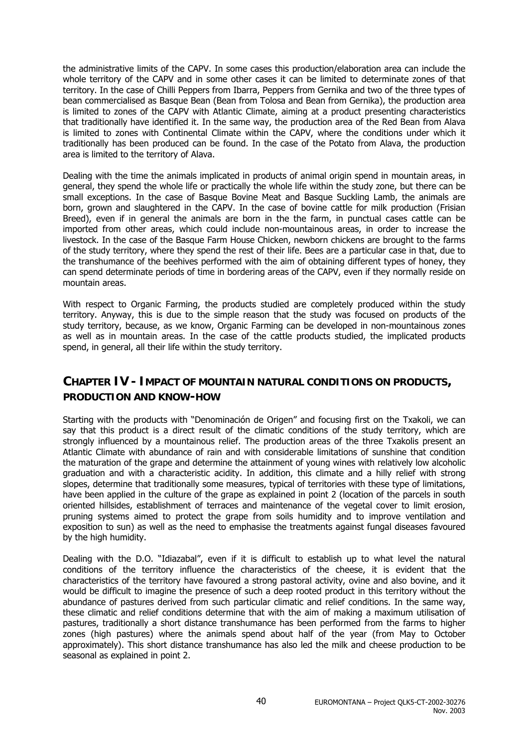the administrative limits of the CAPV. In some cases this production/elaboration area can include the whole territory of the CAPV and in some other cases it can be limited to determinate zones of that territory. In the case of Chilli Peppers from Ibarra, Peppers from Gernika and two of the three types of bean commercialised as Basque Bean (Bean from Tolosa and Bean from Gernika), the production area is limited to zones of the CAPV with Atlantic Climate, aiming at a product presenting characteristics that traditionally have identified it. In the same way, the production area of the Red Bean from Alava is limited to zones with Continental Climate within the CAPV, where the conditions under which it traditionally has been produced can be found. In the case of the Potato from Alava, the production area is limited to the territory of Alava.

Dealing with the time the animals implicated in products of animal origin spend in mountain areas, in general, they spend the whole life or practically the whole life within the study zone, but there can be small exceptions. In the case of Basque Bovine Meat and Basque Suckling Lamb, the animals are born, grown and slaughtered in the CAPV. In the case of bovine cattle for milk production (Frisian Breed), even if in general the animals are born in the the farm, in punctual cases cattle can be imported from other areas, which could include non-mountainous areas, in order to increase the livestock. In the case of the Basque Farm House Chicken, newborn chickens are brought to the farms of the study territory, where they spend the rest of their life. Bees are a particular case in that, due to the transhumance of the beehives performed with the aim of obtaining different types of honey, they can spend determinate periods of time in bordering areas of the CAPV, even if they normally reside on mountain areas.

With respect to Organic Farming, the products studied are completely produced within the study territory. Anyway, this is due to the simple reason that the study was focused on products of the study territory, because, as we know, Organic Farming can be developed in non-mountainous zones as well as in mountain areas. In the case of the cattle products studied, the implicated products spend, in general, all their life within the study territory.

### **CHAPTER IV - IMPACT OF MOUNTAIN NATURAL CONDITIONS ON PRODUCTS, PRODUCTION AND KNOW-HOW**

Starting with the products with "Denominación de Origen" and focusing first on the Txakoli, we can say that this product is a direct result of the climatic conditions of the study territory, which are strongly influenced by a mountainous relief. The production areas of the three Txakolis present an Atlantic Climate with abundance of rain and with considerable limitations of sunshine that condition the maturation of the grape and determine the attainment of young wines with relatively low alcoholic graduation and with a characteristic acidity. In addition, this climate and a hilly relief with strong slopes, determine that traditionally some measures, typical of territories with these type of limitations, have been applied in the culture of the grape as explained in point 2 (location of the parcels in south oriented hillsides, establishment of terraces and maintenance of the vegetal cover to limit erosion, pruning systems aimed to protect the grape from soils humidity and to improve ventilation and exposition to sun) as well as the need to emphasise the treatments against fungal diseases favoured by the high humidity.

Dealing with the D.O. "Idiazabal", even if it is difficult to establish up to what level the natural conditions of the territory influence the characteristics of the cheese, it is evident that the characteristics of the territory have favoured a strong pastoral activity, ovine and also bovine, and it would be difficult to imagine the presence of such a deep rooted product in this territory without the abundance of pastures derived from such particular climatic and relief conditions. In the same way, these climatic and relief conditions determine that with the aim of making a maximum utilisation of pastures, traditionally a short distance transhumance has been performed from the farms to higher zones (high pastures) where the animals spend about half of the year (from May to October approximately). This short distance transhumance has also led the milk and cheese production to be seasonal as explained in point 2.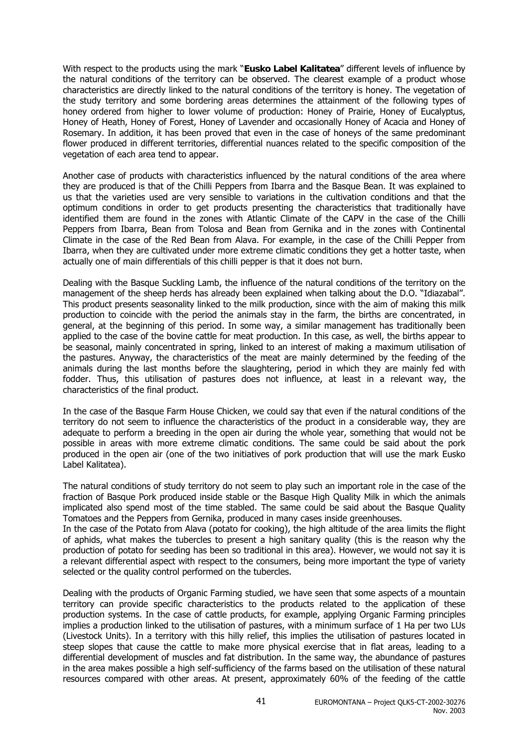With respect to the products using the mark "**Eusko Label Kalitatea**" different levels of influence by the natural conditions of the territory can be observed. The clearest example of a product whose characteristics are directly linked to the natural conditions of the territory is honey. The vegetation of the study territory and some bordering areas determines the attainment of the following types of honey ordered from higher to lower volume of production: Honey of Prairie, Honey of Eucalyptus, Honey of Heath, Honey of Forest, Honey of Lavender and occasionally Honey of Acacia and Honey of Rosemary. In addition, it has been proved that even in the case of honeys of the same predominant flower produced in different territories, differential nuances related to the specific composition of the vegetation of each area tend to appear.

Another case of products with characteristics influenced by the natural conditions of the area where they are produced is that of the Chilli Peppers from Ibarra and the Basque Bean. It was explained to us that the varieties used are very sensible to variations in the cultivation conditions and that the optimum conditions in order to get products presenting the characteristics that traditionally have identified them are found in the zones with Atlantic Climate of the CAPV in the case of the Chilli Peppers from Ibarra, Bean from Tolosa and Bean from Gernika and in the zones with Continental Climate in the case of the Red Bean from Alava. For example, in the case of the Chilli Pepper from Ibarra, when they are cultivated under more extreme climatic conditions they get a hotter taste, when actually one of main differentials of this chilli pepper is that it does not burn.

Dealing with the Basque Suckling Lamb, the influence of the natural conditions of the territory on the management of the sheep herds has already been explained when talking about the D.O. "Idiazabal". This product presents seasonality linked to the milk production, since with the aim of making this milk production to coincide with the period the animals stay in the farm, the births are concentrated, in general, at the beginning of this period. In some way, a similar management has traditionally been applied to the case of the bovine cattle for meat production. In this case, as well, the births appear to be seasonal, mainly concentrated in spring, linked to an interest of making a maximum utilisation of the pastures. Anyway, the characteristics of the meat are mainly determined by the feeding of the animals during the last months before the slaughtering, period in which they are mainly fed with fodder. Thus, this utilisation of pastures does not influence, at least in a relevant way, the characteristics of the final product.

In the case of the Basque Farm House Chicken, we could say that even if the natural conditions of the territory do not seem to influence the characteristics of the product in a considerable way, they are adequate to perform a breeding in the open air during the whole year, something that would not be possible in areas with more extreme climatic conditions. The same could be said about the pork produced in the open air (one of the two initiatives of pork production that will use the mark Eusko Label Kalitatea).

The natural conditions of study territory do not seem to play such an important role in the case of the fraction of Basque Pork produced inside stable or the Basque High Quality Milk in which the animals implicated also spend most of the time stabled. The same could be said about the Basque Quality Tomatoes and the Peppers from Gernika, produced in many cases inside greenhouses.

In the case of the Potato from Alava (potato for cooking), the high altitude of the area limits the flight of aphids, what makes the tubercles to present a high sanitary quality (this is the reason why the production of potato for seeding has been so traditional in this area). However, we would not say it is a relevant differential aspect with respect to the consumers, being more important the type of variety selected or the quality control performed on the tubercles.

Dealing with the products of Organic Farming studied, we have seen that some aspects of a mountain territory can provide specific characteristics to the products related to the application of these production systems. In the case of cattle products, for example, applying Organic Farming principles implies a production linked to the utilisation of pastures, with a minimum surface of 1 Ha per two LUs (Livestock Units). In a territory with this hilly relief, this implies the utilisation of pastures located in steep slopes that cause the cattle to make more physical exercise that in flat areas, leading to a differential development of muscles and fat distribution. In the same way, the abundance of pastures in the area makes possible a high self-sufficiency of the farms based on the utilisation of these natural resources compared with other areas. At present, approximately 60% of the feeding of the cattle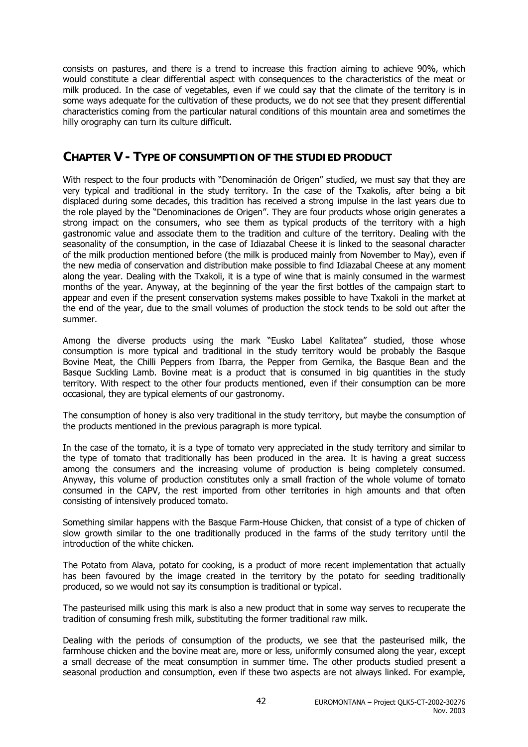consists on pastures, and there is a trend to increase this fraction aiming to achieve 90%, which would constitute a clear differential aspect with consequences to the characteristics of the meat or milk produced. In the case of vegetables, even if we could say that the climate of the territory is in some ways adequate for the cultivation of these products, we do not see that they present differential characteristics coming from the particular natural conditions of this mountain area and sometimes the hilly orography can turn its culture difficult.

### **CHAPTER V - TYPE OF CONSUMPTION OF THE STUDIED PRODUCT**

With respect to the four products with "Denominación de Origen" studied, we must say that they are very typical and traditional in the study territory. In the case of the Txakolis, after being a bit displaced during some decades, this tradition has received a strong impulse in the last years due to the role played by the "Denominaciones de Origen". They are four products whose origin generates a strong impact on the consumers, who see them as typical products of the territory with a high gastronomic value and associate them to the tradition and culture of the territory. Dealing with the seasonality of the consumption, in the case of Idiazabal Cheese it is linked to the seasonal character of the milk production mentioned before (the milk is produced mainly from November to May), even if the new media of conservation and distribution make possible to find Idiazabal Cheese at any moment along the year. Dealing with the Txakoli, it is a type of wine that is mainly consumed in the warmest months of the year. Anyway, at the beginning of the year the first bottles of the campaign start to appear and even if the present conservation systems makes possible to have Txakoli in the market at the end of the year, due to the small volumes of production the stock tends to be sold out after the summer.

Among the diverse products using the mark "Eusko Label Kalitatea" studied, those whose consumption is more typical and traditional in the study territory would be probably the Basque Bovine Meat, the Chilli Peppers from Ibarra, the Pepper from Gernika, the Basque Bean and the Basque Suckling Lamb. Bovine meat is a product that is consumed in big quantities in the study territory. With respect to the other four products mentioned, even if their consumption can be more occasional, they are typical elements of our gastronomy.

The consumption of honey is also very traditional in the study territory, but maybe the consumption of the products mentioned in the previous paragraph is more typical.

In the case of the tomato, it is a type of tomato very appreciated in the study territory and similar to the type of tomato that traditionally has been produced in the area. It is having a great success among the consumers and the increasing volume of production is being completely consumed. Anyway, this volume of production constitutes only a small fraction of the whole volume of tomato consumed in the CAPV, the rest imported from other territories in high amounts and that often consisting of intensively produced tomato.

Something similar happens with the Basque Farm-House Chicken, that consist of a type of chicken of slow growth similar to the one traditionally produced in the farms of the study territory until the introduction of the white chicken.

The Potato from Alava, potato for cooking, is a product of more recent implementation that actually has been favoured by the image created in the territory by the potato for seeding traditionally produced, so we would not say its consumption is traditional or typical.

The pasteurised milk using this mark is also a new product that in some way serves to recuperate the tradition of consuming fresh milk, substituting the former traditional raw milk.

Dealing with the periods of consumption of the products, we see that the pasteurised milk, the farmhouse chicken and the bovine meat are, more or less, uniformly consumed along the year, except a small decrease of the meat consumption in summer time. The other products studied present a seasonal production and consumption, even if these two aspects are not always linked. For example,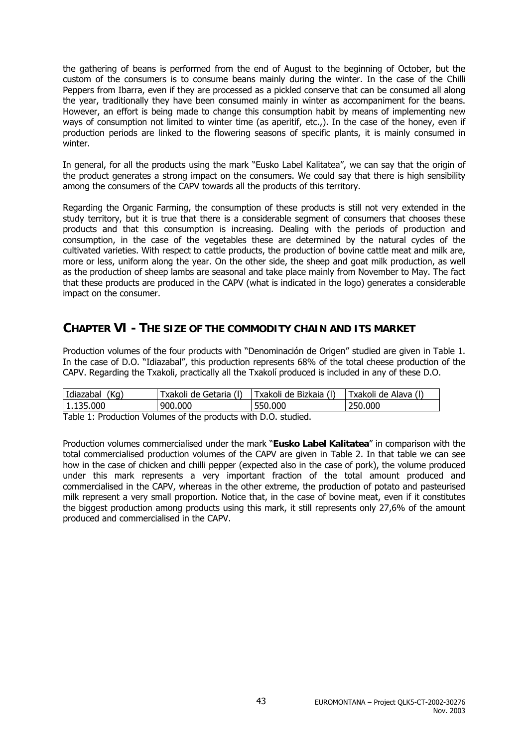the gathering of beans is performed from the end of August to the beginning of October, but the custom of the consumers is to consume beans mainly during the winter. In the case of the Chilli Peppers from Ibarra, even if they are processed as a pickled conserve that can be consumed all along the year, traditionally they have been consumed mainly in winter as accompaniment for the beans. However, an effort is being made to change this consumption habit by means of implementing new ways of consumption not limited to winter time (as aperitif, etc.,). In the case of the honey, even if production periods are linked to the flowering seasons of specific plants, it is mainly consumed in winter.

In general, for all the products using the mark "Eusko Label Kalitatea", we can say that the origin of the product generates a strong impact on the consumers. We could say that there is high sensibility among the consumers of the CAPV towards all the products of this territory.

Regarding the Organic Farming, the consumption of these products is still not very extended in the study territory, but it is true that there is a considerable segment of consumers that chooses these products and that this consumption is increasing. Dealing with the periods of production and consumption, in the case of the vegetables these are determined by the natural cycles of the cultivated varieties. With respect to cattle products, the production of bovine cattle meat and milk are, more or less, uniform along the year. On the other side, the sheep and goat milk production, as well as the production of sheep lambs are seasonal and take place mainly from November to May. The fact that these products are produced in the CAPV (what is indicated in the logo) generates a considerable impact on the consumer.

### **CHAPTER VI - THE SIZE OF THE COMMODITY CHAIN AND ITS MARKET**

Production volumes of the four products with "Denominación de Origen" studied are given in Table 1. In the case of D.O. "Idiazabal", this production represents 68% of the total cheese production of the CAPV. Regarding the Txakoli, practically all the Txakolí produced is included in any of these D.O.

| Idiazabal (Kg) | Txakoli de Getaria (I) | Txakoli de Bizkaia (I) | Txakoli de Alava (I) |
|----------------|------------------------|------------------------|----------------------|
| 1.135.000      | 900.000                | 550,000                | 250,000              |

Table 1: Production Volumes of the products with D.O. studied.

Production volumes commercialised under the mark "**Eusko Label Kalitatea**" in comparison with the total commercialised production volumes of the CAPV are given in Table 2. In that table we can see how in the case of chicken and chilli pepper (expected also in the case of pork), the volume produced under this mark represents a very important fraction of the total amount produced and commercialised in the CAPV, whereas in the other extreme, the production of potato and pasteurised milk represent a very small proportion. Notice that, in the case of bovine meat, even if it constitutes the biggest production among products using this mark, it still represents only 27,6% of the amount produced and commercialised in the CAPV.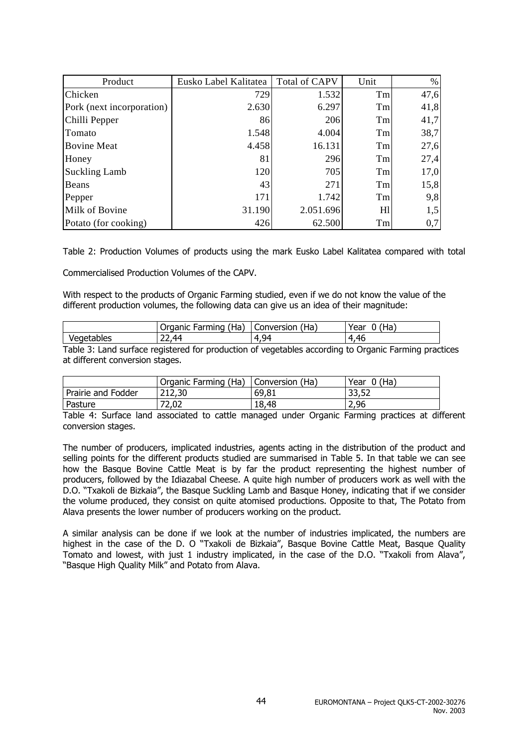| Product                   | Eusko Label Kalitatea | <b>Total of CAPV</b> | Unit | $\%$ |
|---------------------------|-----------------------|----------------------|------|------|
| Chicken                   | 729                   | 1.532                | Tm   | 47,6 |
| Pork (next incorporation) | 2.630                 | 6.297                | Tm   | 41,8 |
| Chilli Pepper             | 86                    | 206                  | Tm   | 41,7 |
| Tomato                    | 1.548                 | 4.004                | Tm   | 38,7 |
| <b>Bovine Meat</b>        | 4.458                 | 16.131               | Tm   | 27,6 |
| Honey                     | 81                    | 296                  | Tm   | 27,4 |
| <b>Suckling Lamb</b>      | 120                   | 705                  | Tm   | 17,0 |
| Beans                     | 43                    | 271                  | Tm   | 15,8 |
| Pepper                    | 171                   | 1.742                | Tm   | 9,8  |
| Milk of Bovine            | 31.190                | 2.051.696            | H1   | 1,5  |
| Potato (for cooking)      | 426                   | 62.500               | Tm   | 0,7  |

Table 2: Production Volumes of products using the mark Eusko Label Kalitatea compared with total

Commercialised Production Volumes of the CAPV.

With respect to the products of Organic Farming studied, even if we do not know the value of the different production volumes, the following data can give us an idea of their magnitude:

|            | Farming<br>Organic<br>Ha<br>. . | Ha.<br>onversion:      | 'Ha<br>rear |
|------------|---------------------------------|------------------------|-------------|
| Vegetables | 44<br>.                         | 94<br>$\sqrt{ }$<br>'' | 1,46<br>. . |

Table 3: Land surface registered for production of vegetables according to Organic Farming practices at different conversion stages.

|                    | Organic Farming (Ha) | Conversion (Ha) | $0$ (Ha)<br>Year |
|--------------------|----------------------|-----------------|------------------|
| Prairie and Fodder | 212,30               | 69,81           | 33,52            |
| Pasture            | 72,02                | 18,48           | 2,96             |

Table 4: Surface land associated to cattle managed under Organic Farming practices at different conversion stages.

The number of producers, implicated industries, agents acting in the distribution of the product and selling points for the different products studied are summarised in Table 5. In that table we can see how the Basque Bovine Cattle Meat is by far the product representing the highest number of producers, followed by the Idiazabal Cheese. A quite high number of producers work as well with the D.O. "Txakoli de Bizkaia", the Basque Suckling Lamb and Basque Honey, indicating that if we consider the volume produced, they consist on quite atomised productions. Opposite to that, The Potato from Alava presents the lower number of producers working on the product.

A similar analysis can be done if we look at the number of industries implicated, the numbers are highest in the case of the D. O "Txakoli de Bizkaia", Basque Bovine Cattle Meat, Basque Quality Tomato and lowest, with just 1 industry implicated, in the case of the D.O. "Txakoli from Alava", "Basque High Quality Milk" and Potato from Alava.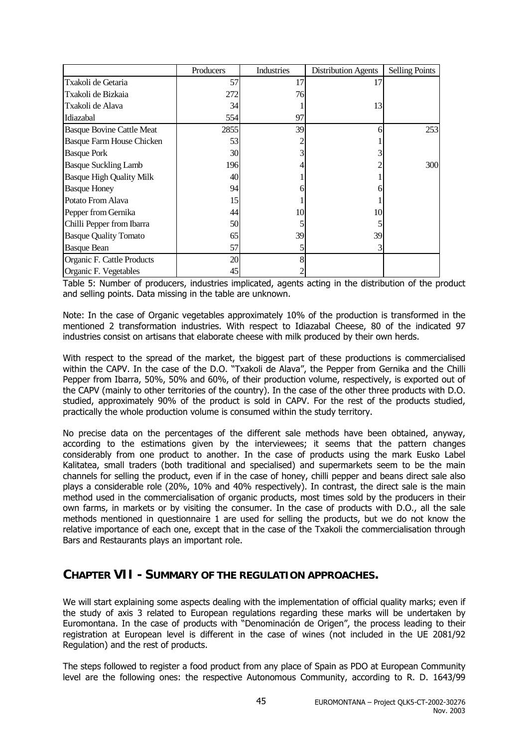|                                  | Producers | Industries | <b>Distribution Agents</b> | <b>Selling Points</b> |
|----------------------------------|-----------|------------|----------------------------|-----------------------|
| Txakoli de Getaria               | 57        | 17         | 17                         |                       |
| Txakoli de Bizkaia               | 272       | 76         |                            |                       |
| Txakoli de Alava                 | 34        |            | 13                         |                       |
| Idiazabal                        | 554       | 97         |                            |                       |
| <b>Basque Bovine Cattle Meat</b> | 2855      | 39         | 6                          | 253                   |
| Basque Farm House Chicken        | 53        |            |                            |                       |
| <b>Basque Pork</b>               | 30        |            |                            |                       |
| <b>Basque Suckling Lamb</b>      | 196       |            |                            | 300                   |
| <b>Basque High Quality Milk</b>  | 40        |            |                            |                       |
| <b>Basque Honey</b>              | 94        |            |                            |                       |
| Potato From Alava                | 15        |            |                            |                       |
| Pepper from Gernika              | 44        | 10         | 10                         |                       |
| Chilli Pepper from Ibarra        | 50        |            |                            |                       |
| <b>Basque Quality Tomato</b>     | 65        | 39         | 39                         |                       |
| <b>Basque Bean</b>               | 57        |            |                            |                       |
| Organic F. Cattle Products       | 20        |            |                            |                       |
| Organic F. Vegetables            | 45        |            |                            |                       |

Table 5: Number of producers, industries implicated, agents acting in the distribution of the product and selling points. Data missing in the table are unknown.

Note: In the case of Organic vegetables approximately 10% of the production is transformed in the mentioned 2 transformation industries. With respect to Idiazabal Cheese, 80 of the indicated 97 industries consist on artisans that elaborate cheese with milk produced by their own herds.

With respect to the spread of the market, the biggest part of these productions is commercialised within the CAPV. In the case of the D.O. "Txakoli de Alava", the Pepper from Gernika and the Chilli Pepper from Ibarra, 50%, 50% and 60%, of their production volume, respectively, is exported out of the CAPV (mainly to other territories of the country). In the case of the other three products with D.O. studied, approximately 90% of the product is sold in CAPV. For the rest of the products studied, practically the whole production volume is consumed within the study territory.

No precise data on the percentages of the different sale methods have been obtained, anyway, according to the estimations given by the interviewees; it seems that the pattern changes considerably from one product to another. In the case of products using the mark Eusko Label Kalitatea, small traders (both traditional and specialised) and supermarkets seem to be the main channels for selling the product, even if in the case of honey, chilli pepper and beans direct sale also plays a considerable role (20%, 10% and 40% respectively). In contrast, the direct sale is the main method used in the commercialisation of organic products, most times sold by the producers in their own farms, in markets or by visiting the consumer. In the case of products with D.O., all the sale methods mentioned in questionnaire 1 are used for selling the products, but we do not know the relative importance of each one, except that in the case of the Txakoli the commercialisation through Bars and Restaurants plays an important role.

### **CHAPTER VII - SUMMARY OF THE REGULATION APPROACHES.**

We will start explaining some aspects dealing with the implementation of official quality marks; even if the study of axis 3 related to European regulations regarding these marks will be undertaken by Euromontana. In the case of products with "Denominación de Origen", the process leading to their registration at European level is different in the case of wines (not included in the UE 2081/92 Regulation) and the rest of products.

The steps followed to register a food product from any place of Spain as PDO at European Community level are the following ones: the respective Autonomous Community, according to R. D. 1643/99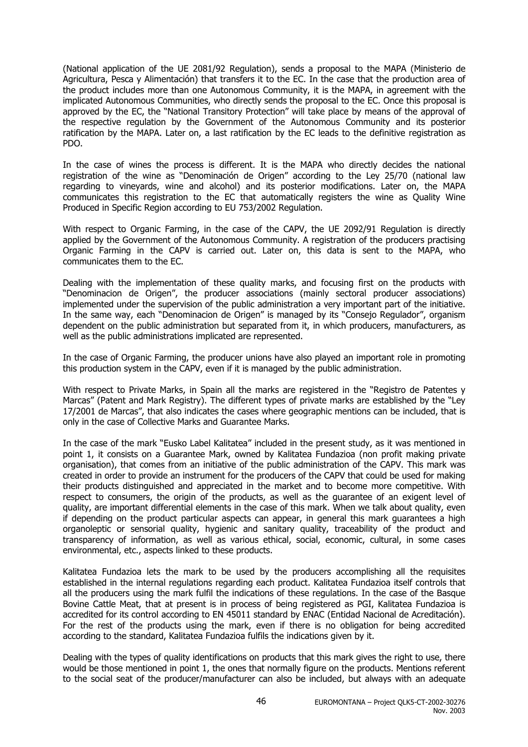(National application of the UE 2081/92 Regulation), sends a proposal to the MAPA (Ministerio de Agricultura, Pesca y Alimentación) that transfers it to the EC. In the case that the production area of the product includes more than one Autonomous Community, it is the MAPA, in agreement with the implicated Autonomous Communities, who directly sends the proposal to the EC. Once this proposal is approved by the EC, the "National Transitory Protection" will take place by means of the approval of the respective regulation by the Government of the Autonomous Community and its posterior ratification by the MAPA. Later on, a last ratification by the EC leads to the definitive registration as PDO.

In the case of wines the process is different. It is the MAPA who directly decides the national registration of the wine as "Denominación de Origen" according to the Ley 25/70 (national law regarding to vineyards, wine and alcohol) and its posterior modifications. Later on, the MAPA communicates this registration to the EC that automatically registers the wine as Quality Wine Produced in Specific Region according to EU 753/2002 Regulation.

With respect to Organic Farming, in the case of the CAPV, the UE 2092/91 Regulation is directly applied by the Government of the Autonomous Community. A registration of the producers practising Organic Farming in the CAPV is carried out. Later on, this data is sent to the MAPA, who communicates them to the EC.

Dealing with the implementation of these quality marks, and focusing first on the products with "Denominacion de Origen", the producer associations (mainly sectoral producer associations) implemented under the supervision of the public administration a very important part of the initiative. In the same way, each "Denominacion de Origen" is managed by its "Consejo Regulador", organism dependent on the public administration but separated from it, in which producers, manufacturers, as well as the public administrations implicated are represented.

In the case of Organic Farming, the producer unions have also played an important role in promoting this production system in the CAPV, even if it is managed by the public administration.

With respect to Private Marks, in Spain all the marks are registered in the "Registro de Patentes y Marcas" (Patent and Mark Registry). The different types of private marks are established by the "Ley 17/2001 de Marcas", that also indicates the cases where geographic mentions can be included, that is only in the case of Collective Marks and Guarantee Marks.

In the case of the mark "Eusko Label Kalitatea" included in the present study, as it was mentioned in point 1, it consists on a Guarantee Mark, owned by Kalitatea Fundazioa (non profit making private organisation), that comes from an initiative of the public administration of the CAPV. This mark was created in order to provide an instrument for the producers of the CAPV that could be used for making their products distinguished and appreciated in the market and to become more competitive. With respect to consumers, the origin of the products, as well as the guarantee of an exigent level of quality, are important differential elements in the case of this mark. When we talk about quality, even if depending on the product particular aspects can appear, in general this mark guarantees a high organoleptic or sensorial quality, hygienic and sanitary quality, traceability of the product and transparency of information, as well as various ethical, social, economic, cultural, in some cases environmental, etc., aspects linked to these products.

Kalitatea Fundazioa lets the mark to be used by the producers accomplishing all the requisites established in the internal regulations regarding each product. Kalitatea Fundazioa itself controls that all the producers using the mark fulfil the indications of these regulations. In the case of the Basque Bovine Cattle Meat, that at present is in process of being registered as PGI, Kalitatea Fundazioa is accredited for its control according to EN 45011 standard by ENAC (Entidad Nacional de Acreditación). For the rest of the products using the mark, even if there is no obligation for being accredited according to the standard, Kalitatea Fundazioa fulfils the indications given by it.

Dealing with the types of quality identifications on products that this mark gives the right to use, there would be those mentioned in point 1, the ones that normally figure on the products. Mentions referent to the social seat of the producer/manufacturer can also be included, but always with an adequate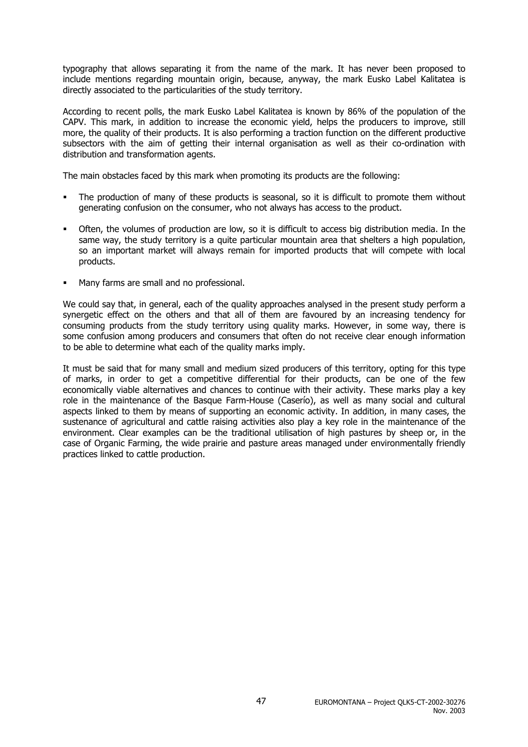typography that allows separating it from the name of the mark. It has never been proposed to include mentions regarding mountain origin, because, anyway, the mark Eusko Label Kalitatea is directly associated to the particularities of the study territory.

According to recent polls, the mark Eusko Label Kalitatea is known by 86% of the population of the CAPV. This mark, in addition to increase the economic yield, helps the producers to improve, still more, the quality of their products. It is also performing a traction function on the different productive subsectors with the aim of getting their internal organisation as well as their co-ordination with distribution and transformation agents.

The main obstacles faced by this mark when promoting its products are the following:

- The production of many of these products is seasonal, so it is difficult to promote them without generating confusion on the consumer, who not always has access to the product.
- Often, the volumes of production are low, so it is difficult to access big distribution media. In the same way, the study territory is a quite particular mountain area that shelters a high population, so an important market will always remain for imported products that will compete with local products.
- Many farms are small and no professional.

We could say that, in general, each of the quality approaches analysed in the present study perform a synergetic effect on the others and that all of them are favoured by an increasing tendency for consuming products from the study territory using quality marks. However, in some way, there is some confusion among producers and consumers that often do not receive clear enough information to be able to determine what each of the quality marks imply.

It must be said that for many small and medium sized producers of this territory, opting for this type of marks, in order to get a competitive differential for their products, can be one of the few economically viable alternatives and chances to continue with their activity. These marks play a key role in the maintenance of the Basque Farm-House (Caserío), as well as many social and cultural aspects linked to them by means of supporting an economic activity. In addition, in many cases, the sustenance of agricultural and cattle raising activities also play a key role in the maintenance of the environment. Clear examples can be the traditional utilisation of high pastures by sheep or, in the case of Organic Farming, the wide prairie and pasture areas managed under environmentally friendly practices linked to cattle production.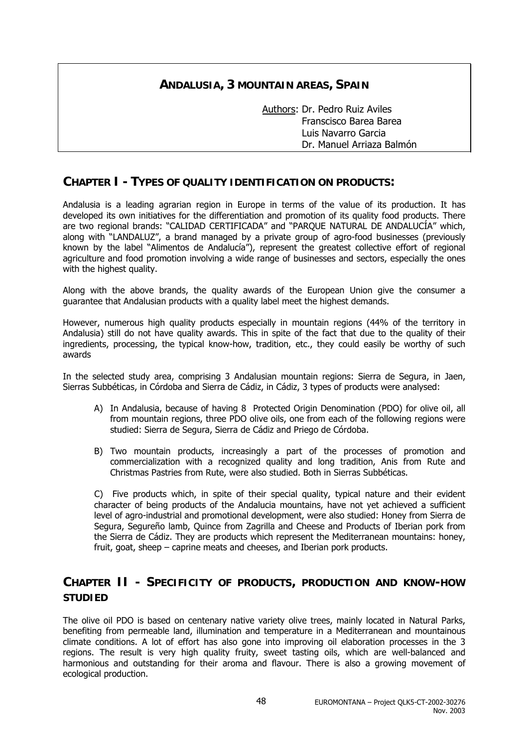### **ANDALUSIA, 3 MOUNTAIN AREAS, SPAIN**

 Authors: Dr. Pedro Ruiz Aviles Franscisco Barea Barea Luis Navarro Garcia Dr. Manuel Arriaza Balmón

### **CHAPTER I - TYPES OF QUALITY IDENTIFICATION ON PRODUCTS:**

Andalusia is a leading agrarian region in Europe in terms of the value of its production. It has developed its own initiatives for the differentiation and promotion of its quality food products. There are two regional brands: "CALIDAD CERTIFICADA" and "PARQUE NATURAL DE ANDALUCÍA" which, along with "LANDALUZ", a brand managed by a private group of agro-food businesses (previously known by the label "Alimentos de Andalucía"), represent the greatest collective effort of regional agriculture and food promotion involving a wide range of businesses and sectors, especially the ones with the highest quality.

Along with the above brands, the quality awards of the European Union give the consumer a guarantee that Andalusian products with a quality label meet the highest demands.

However, numerous high quality products especially in mountain regions (44% of the territory in Andalusia) still do not have quality awards. This in spite of the fact that due to the quality of their ingredients, processing, the typical know-how, tradition, etc., they could easily be worthy of such awards

In the selected study area, comprising 3 Andalusian mountain regions: Sierra de Segura, in Jaen, Sierras Subbéticas, in Córdoba and Sierra de Cádiz, in Cádiz, 3 types of products were analysed:

- A) In Andalusia, because of having 8 Protected Origin Denomination (PDO) for olive oil, all from mountain regions, three PDO olive oils, one from each of the following regions were studied: Sierra de Segura, Sierra de Cádiz and Priego de Córdoba.
- B) Two mountain products, increasingly a part of the processes of promotion and commercialization with a recognized quality and long tradition, Anis from Rute and Christmas Pastries from Rute, were also studied. Both in Sierras Subbéticas.

C) Five products which, in spite of their special quality, typical nature and their evident character of being products of the Andalucia mountains, have not yet achieved a sufficient level of agro-industrial and promotional development, were also studied: Honey from Sierra de Segura, Segureño lamb, Quince from Zagrilla and Cheese and Products of Iberian pork from the Sierra de Cádiz. They are products which represent the Mediterranean mountains: honey, fruit, goat, sheep – caprine meats and cheeses, and Iberian pork products.

### **CHAPTER II - SPECIFICITY OF PRODUCTS, PRODUCTION AND KNOW-HOW STUDIED**

The olive oil PDO is based on centenary native variety olive trees, mainly located in Natural Parks, benefiting from permeable land, illumination and temperature in a Mediterranean and mountainous climate conditions. A lot of effort has also gone into improving oil elaboration processes in the 3 regions. The result is very high quality fruity, sweet tasting oils, which are well-balanced and harmonious and outstanding for their aroma and flavour. There is also a growing movement of ecological production.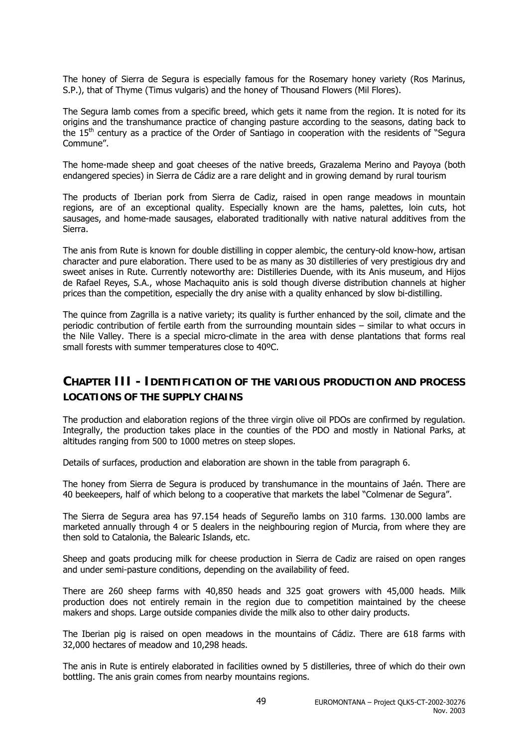The honey of Sierra de Segura is especially famous for the Rosemary honey variety (Ros Marinus, S.P.), that of Thyme (Timus vulgaris) and the honey of Thousand Flowers (Mil Flores).

The Segura lamb comes from a specific breed, which gets it name from the region. It is noted for its origins and the transhumance practice of changing pasture according to the seasons, dating back to the 15<sup>th</sup> century as a practice of the Order of Santiago in cooperation with the residents of "Segura Commune".

The home-made sheep and goat cheeses of the native breeds, Grazalema Merino and Payoya (both endangered species) in Sierra de Cádiz are a rare delight and in growing demand by rural tourism

The products of Iberian pork from Sierra de Cadiz, raised in open range meadows in mountain regions, are of an exceptional quality. Especially known are the hams, palettes, loin cuts, hot sausages, and home-made sausages, elaborated traditionally with native natural additives from the Sierra.

The anis from Rute is known for double distilling in copper alembic, the century-old know-how, artisan character and pure elaboration. There used to be as many as 30 distilleries of very prestigious dry and sweet anises in Rute. Currently noteworthy are: Distilleries Duende, with its Anis museum, and Hijos de Rafael Reyes, S.A., whose Machaquito anis is sold though diverse distribution channels at higher prices than the competition, especially the dry anise with a quality enhanced by slow bi-distilling.

The quince from Zagrilla is a native variety; its quality is further enhanced by the soil, climate and the periodic contribution of fertile earth from the surrounding mountain sides – similar to what occurs in the Nile Valley. There is a special micro-climate in the area with dense plantations that forms real small forests with summer temperatures close to 40ºC.

### **CHAPTER III - IDENTIFICATION OF THE VARIOUS PRODUCTION AND PROCESS LOCATIONS OF THE SUPPLY CHAINS**

The production and elaboration regions of the three virgin olive oil PDOs are confirmed by regulation. Integrally, the production takes place in the counties of the PDO and mostly in National Parks, at altitudes ranging from 500 to 1000 metres on steep slopes.

Details of surfaces, production and elaboration are shown in the table from paragraph 6.

The honey from Sierra de Segura is produced by transhumance in the mountains of Jaén. There are 40 beekeepers, half of which belong to a cooperative that markets the label "Colmenar de Segura".

The Sierra de Segura area has 97.154 heads of Segureño lambs on 310 farms. 130.000 lambs are marketed annually through 4 or 5 dealers in the neighbouring region of Murcia, from where they are then sold to Catalonia, the Balearic Islands, etc.

Sheep and goats producing milk for cheese production in Sierra de Cadiz are raised on open ranges and under semi-pasture conditions, depending on the availability of feed.

There are 260 sheep farms with 40,850 heads and 325 goat growers with 45,000 heads. Milk production does not entirely remain in the region due to competition maintained by the cheese makers and shops. Large outside companies divide the milk also to other dairy products.

The Iberian pig is raised on open meadows in the mountains of Cádiz. There are 618 farms with 32,000 hectares of meadow and 10,298 heads.

The anis in Rute is entirely elaborated in facilities owned by 5 distilleries, three of which do their own bottling. The anis grain comes from nearby mountains regions.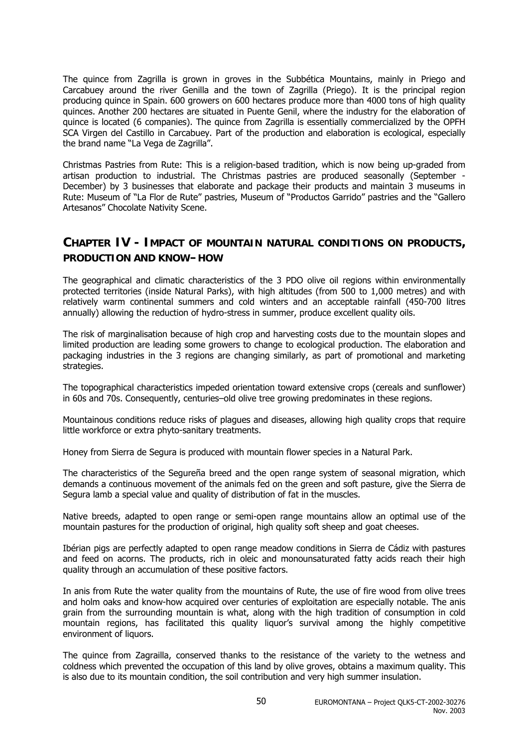The quince from Zagrilla is grown in groves in the Subbética Mountains, mainly in Priego and Carcabuey around the river Genilla and the town of Zagrilla (Priego). It is the principal region producing quince in Spain. 600 growers on 600 hectares produce more than 4000 tons of high quality quinces. Another 200 hectares are situated in Puente Genil, where the industry for the elaboration of quince is located (6 companies). The quince from Zagrilla is essentially commercialized by the OPFH SCA Virgen del Castillo in Carcabuey. Part of the production and elaboration is ecological, especially the brand name "La Vega de Zagrilla".

Christmas Pastries from Rute: This is a religion-based tradition, which is now being up-graded from artisan production to industrial. The Christmas pastries are produced seasonally (September - December) by 3 businesses that elaborate and package their products and maintain 3 museums in Rute: Museum of "La Flor de Rute" pastries, Museum of "Productos Garrido" pastries and the "Gallero Artesanos" Chocolate Nativity Scene.

### **CHAPTER IV - IMPACT OF MOUNTAIN NATURAL CONDITIONS ON PRODUCTS, PRODUCTION AND KNOW–HOW**

The geographical and climatic characteristics of the 3 PDO olive oil regions within environmentally protected territories (inside Natural Parks), with high altitudes (from 500 to 1,000 metres) and with relatively warm continental summers and cold winters and an acceptable rainfall (450-700 litres annually) allowing the reduction of hydro-stress in summer, produce excellent quality oils.

The risk of marginalisation because of high crop and harvesting costs due to the mountain slopes and limited production are leading some growers to change to ecological production. The elaboration and packaging industries in the 3 regions are changing similarly, as part of promotional and marketing strategies.

The topographical characteristics impeded orientation toward extensive crops (cereals and sunflower) in 60s and 70s. Consequently, centuries–old olive tree growing predominates in these regions.

Mountainous conditions reduce risks of plagues and diseases, allowing high quality crops that require little workforce or extra phyto-sanitary treatments.

Honey from Sierra de Segura is produced with mountain flower species in a Natural Park.

The characteristics of the Segureña breed and the open range system of seasonal migration, which demands a continuous movement of the animals fed on the green and soft pasture, give the Sierra de Segura lamb a special value and quality of distribution of fat in the muscles.

Native breeds, adapted to open range or semi-open range mountains allow an optimal use of the mountain pastures for the production of original, high quality soft sheep and goat cheeses.

Ibérian pigs are perfectly adapted to open range meadow conditions in Sierra de Cádiz with pastures and feed on acorns. The products, rich in oleic and monounsaturated fatty acids reach their high quality through an accumulation of these positive factors.

In anis from Rute the water quality from the mountains of Rute, the use of fire wood from olive trees and holm oaks and know-how acquired over centuries of exploitation are especially notable. The anis grain from the surrounding mountain is what, along with the high tradition of consumption in cold mountain regions, has facilitated this quality liquor's survival among the highly competitive environment of liquors.

The quince from Zagrailla, conserved thanks to the resistance of the variety to the wetness and coldness which prevented the occupation of this land by olive groves, obtains a maximum quality. This is also due to its mountain condition, the soil contribution and very high summer insulation.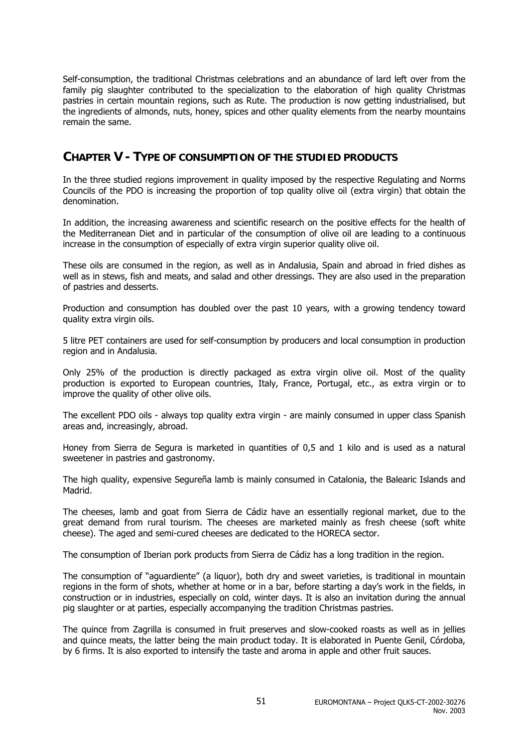Self-consumption, the traditional Christmas celebrations and an abundance of lard left over from the family pig slaughter contributed to the specialization to the elaboration of high quality Christmas pastries in certain mountain regions, such as Rute. The production is now getting industrialised, but the ingredients of almonds, nuts, honey, spices and other quality elements from the nearby mountains remain the same.

### **CHAPTER V - TYPE OF CONSUMPTION OF THE STUDIED PRODUCTS**

In the three studied regions improvement in quality imposed by the respective Regulating and Norms Councils of the PDO is increasing the proportion of top quality olive oil (extra virgin) that obtain the denomination.

In addition, the increasing awareness and scientific research on the positive effects for the health of the Mediterranean Diet and in particular of the consumption of olive oil are leading to a continuous increase in the consumption of especially of extra virgin superior quality olive oil.

These oils are consumed in the region, as well as in Andalusia, Spain and abroad in fried dishes as well as in stews, fish and meats, and salad and other dressings. They are also used in the preparation of pastries and desserts.

Production and consumption has doubled over the past 10 years, with a growing tendency toward quality extra virgin oils.

5 litre PET containers are used for self-consumption by producers and local consumption in production region and in Andalusia.

Only 25% of the production is directly packaged as extra virgin olive oil. Most of the quality production is exported to European countries, Italy, France, Portugal, etc., as extra virgin or to improve the quality of other olive oils.

The excellent PDO oils - always top quality extra virgin - are mainly consumed in upper class Spanish areas and, increasingly, abroad.

Honey from Sierra de Segura is marketed in quantities of 0,5 and 1 kilo and is used as a natural sweetener in pastries and gastronomy.

The high quality, expensive Segureña lamb is mainly consumed in Catalonia, the Balearic Islands and Madrid.

The cheeses, lamb and goat from Sierra de Cádiz have an essentially regional market, due to the great demand from rural tourism. The cheeses are marketed mainly as fresh cheese (soft white cheese). The aged and semi-cured cheeses are dedicated to the HORECA sector.

The consumption of Iberian pork products from Sierra de Cádiz has a long tradition in the region.

The consumption of "aguardiente" (a liquor), both dry and sweet varieties, is traditional in mountain regions in the form of shots, whether at home or in a bar, before starting a day's work in the fields, in construction or in industries, especially on cold, winter days. It is also an invitation during the annual pig slaughter or at parties, especially accompanying the tradition Christmas pastries.

The quince from Zagrilla is consumed in fruit preserves and slow-cooked roasts as well as in jellies and quince meats, the latter being the main product today. It is elaborated in Puente Genil, Córdoba, by 6 firms. It is also exported to intensify the taste and aroma in apple and other fruit sauces.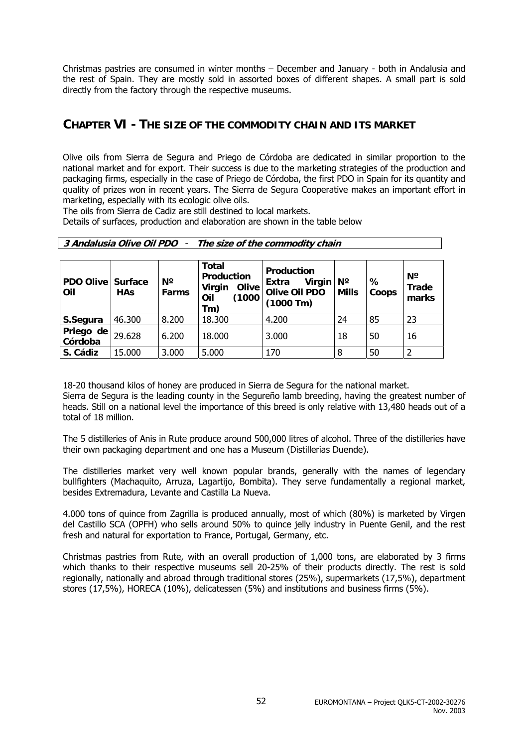Christmas pastries are consumed in winter months – December and January - both in Andalusia and the rest of Spain. They are mostly sold in assorted boxes of different shapes. A small part is sold directly from the factory through the respective museums.

### **CHAPTER VI - THE SIZE OF THE COMMODITY CHAIN AND ITS MARKET**

Olive oils from Sierra de Segura and Priego de Córdoba are dedicated in similar proportion to the national market and for export. Their success is due to the marketing strategies of the production and packaging firms, especially in the case of Priego de Córdoba, the first PDO in Spain for its quantity and quality of prizes won in recent years. The Sierra de Segura Cooperative makes an important effort in marketing, especially with its ecologic olive oils.

The oils from Sierra de Cadiz are still destined to local markets.

Details of surfaces, production and elaboration are shown in the table below

| <u>J Andarasia Unit Un i DU</u><br>THE SIZE OF the commodity chain |            |                      |                                                                              |                                                                                      |              |            |                               |
|--------------------------------------------------------------------|------------|----------------------|------------------------------------------------------------------------------|--------------------------------------------------------------------------------------|--------------|------------|-------------------------------|
| PDO Olive   Surface<br>Oil                                         | <b>HAs</b> | $N^{\circ}$<br>Farms | <b>Total</b><br>Production<br>Virgin<br><b>Olive</b><br>(1000)<br>Oil<br>Tm) | <b>Production</b><br>Virgin $\vert$ N°<br>Extra<br><b>Olive Oil PDO</b><br>(1000 Tm) | <b>Mills</b> | ℅<br>Coops | $N^{\circ}$<br>Trade<br>marks |
| S.Segura                                                           | 46.300     | 8.200                | 18.300                                                                       | 4.200                                                                                | 24           | 85         | 23                            |
| Priego de<br>Córdoba                                               | 29,628     | 6.200                | 18.000                                                                       | 3.000                                                                                | 18           | 50         | 16                            |
| S. Cádiz                                                           | 15.000     | 3.000                | 5.000                                                                        | 170                                                                                  | 8            | 50         |                               |

**3 Andalusia Olive Oil PDO** - **The size of the commodity chain**

18-20 thousand kilos of honey are produced in Sierra de Segura for the national market. Sierra de Segura is the leading county in the Segureño lamb breeding, having the greatest number of heads. Still on a national level the importance of this breed is only relative with 13,480 heads out of a total of 18 million.

The 5 distilleries of Anis in Rute produce around 500,000 litres of alcohol. Three of the distilleries have their own packaging department and one has a Museum (Distillerias Duende).

The distilleries market very well known popular brands, generally with the names of legendary bullfighters (Machaquito, Arruza, Lagartijo, Bombita). They serve fundamentally a regional market, besides Extremadura, Levante and Castilla La Nueva.

4.000 tons of quince from Zagrilla is produced annually, most of which (80%) is marketed by Virgen del Castillo SCA (OPFH) who sells around 50% to quince jelly industry in Puente Genil, and the rest fresh and natural for exportation to France, Portugal, Germany, etc.

Christmas pastries from Rute, with an overall production of 1,000 tons, are elaborated by 3 firms which thanks to their respective museums sell 20-25% of their products directly. The rest is sold regionally, nationally and abroad through traditional stores (25%), supermarkets (17,5%), department stores (17,5%), HORECA (10%), delicatessen (5%) and institutions and business firms (5%).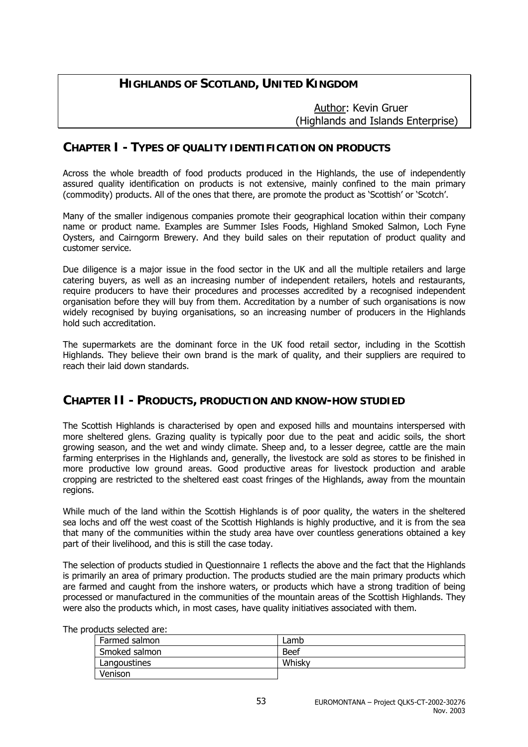### **HIGHLANDS OF SCOTLAND, UNITED KINGDOM**

 Author: Kevin Gruer (Highlands and Islands Enterprise)

### **CHAPTER I - TYPES OF QUALITY IDENTIFICATION ON PRODUCTS**

Across the whole breadth of food products produced in the Highlands, the use of independently assured quality identification on products is not extensive, mainly confined to the main primary (commodity) products. All of the ones that there, are promote the product as 'Scottish' or 'Scotch'.

Many of the smaller indigenous companies promote their geographical location within their company name or product name. Examples are Summer Isles Foods, Highland Smoked Salmon, Loch Fyne Oysters, and Cairngorm Brewery. And they build sales on their reputation of product quality and customer service.

Due diligence is a major issue in the food sector in the UK and all the multiple retailers and large catering buyers, as well as an increasing number of independent retailers, hotels and restaurants, require producers to have their procedures and processes accredited by a recognised independent organisation before they will buy from them. Accreditation by a number of such organisations is now widely recognised by buying organisations, so an increasing number of producers in the Highlands hold such accreditation.

The supermarkets are the dominant force in the UK food retail sector, including in the Scottish Highlands. They believe their own brand is the mark of quality, and their suppliers are required to reach their laid down standards.

### **CHAPTER II - PRODUCTS, PRODUCTION AND KNOW-HOW STUDIED**

The Scottish Highlands is characterised by open and exposed hills and mountains interspersed with more sheltered glens. Grazing quality is typically poor due to the peat and acidic soils, the short growing season, and the wet and windy climate. Sheep and, to a lesser degree, cattle are the main farming enterprises in the Highlands and, generally, the livestock are sold as stores to be finished in more productive low ground areas. Good productive areas for livestock production and arable cropping are restricted to the sheltered east coast fringes of the Highlands, away from the mountain regions.

While much of the land within the Scottish Highlands is of poor quality, the waters in the sheltered sea lochs and off the west coast of the Scottish Highlands is highly productive, and it is from the sea that many of the communities within the study area have over countless generations obtained a key part of their livelihood, and this is still the case today.

The selection of products studied in Questionnaire 1 reflects the above and the fact that the Highlands is primarily an area of primary production. The products studied are the main primary products which are farmed and caught from the inshore waters, or products which have a strong tradition of being processed or manufactured in the communities of the mountain areas of the Scottish Highlands. They were also the products which, in most cases, have quality initiatives associated with them.

| vuucts seleeteu ule. |        |  |
|----------------------|--------|--|
| Farmed salmon        | Lamb   |  |
| Smoked salmon        | Beef   |  |
| Langoustines         | Whisky |  |
| Venison              |        |  |

The products selected are: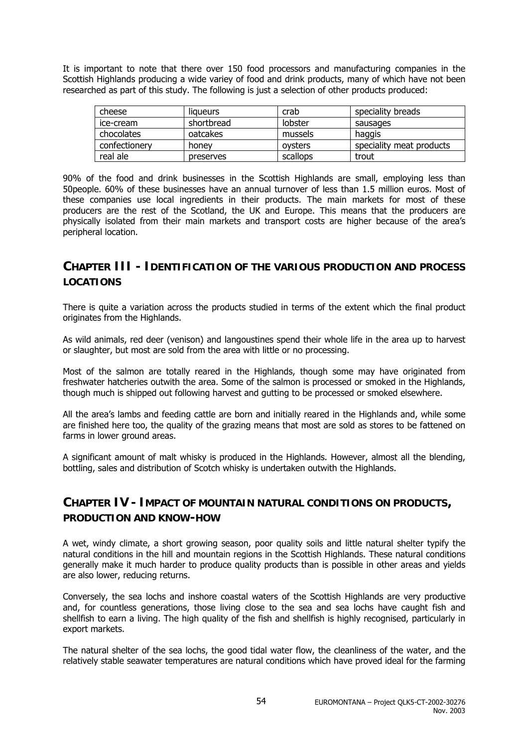It is important to note that there over 150 food processors and manufacturing companies in the Scottish Highlands producing a wide variey of food and drink products, many of which have not been researched as part of this study. The following is just a selection of other products produced:

| cheese        | liqueurs   | crab     | speciality breads        |
|---------------|------------|----------|--------------------------|
| ice-cream     | shortbread | lobster  | sausages                 |
| chocolates    | oatcakes   | mussels  | haggis                   |
| confectionery | honey      | ovsters  | speciality meat products |
| real ale      | preserves  | scallops | trout                    |

90% of the food and drink businesses in the Scottish Highlands are small, employing less than 50people. 60% of these businesses have an annual turnover of less than 1.5 million euros. Most of these companies use local ingredients in their products. The main markets for most of these producers are the rest of the Scotland, the UK and Europe. This means that the producers are physically isolated from their main markets and transport costs are higher because of the area's peripheral location.

### **CHAPTER III - IDENTIFICATION OF THE VARIOUS PRODUCTION AND PROCESS LOCATIONS**

There is quite a variation across the products studied in terms of the extent which the final product originates from the Highlands.

As wild animals, red deer (venison) and langoustines spend their whole life in the area up to harvest or slaughter, but most are sold from the area with little or no processing.

Most of the salmon are totally reared in the Highlands, though some may have originated from freshwater hatcheries outwith the area. Some of the salmon is processed or smoked in the Highlands, though much is shipped out following harvest and gutting to be processed or smoked elsewhere.

All the area's lambs and feeding cattle are born and initially reared in the Highlands and, while some are finished here too, the quality of the grazing means that most are sold as stores to be fattened on farms in lower ground areas.

A significant amount of malt whisky is produced in the Highlands. However, almost all the blending, bottling, sales and distribution of Scotch whisky is undertaken outwith the Highlands.

### **CHAPTER IV - IMPACT OF MOUNTAIN NATURAL CONDITIONS ON PRODUCTS, PRODUCTION AND KNOW-HOW**

A wet, windy climate, a short growing season, poor quality soils and little natural shelter typify the natural conditions in the hill and mountain regions in the Scottish Highlands. These natural conditions generally make it much harder to produce quality products than is possible in other areas and yields are also lower, reducing returns.

Conversely, the sea lochs and inshore coastal waters of the Scottish Highlands are very productive and, for countless generations, those living close to the sea and sea lochs have caught fish and shellfish to earn a living. The high quality of the fish and shellfish is highly recognised, particularly in export markets.

The natural shelter of the sea lochs, the good tidal water flow, the cleanliness of the water, and the relatively stable seawater temperatures are natural conditions which have proved ideal for the farming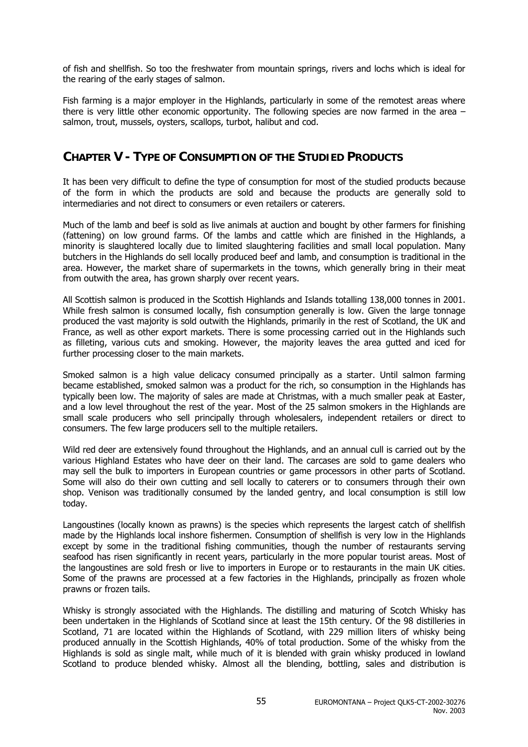of fish and shellfish. So too the freshwater from mountain springs, rivers and lochs which is ideal for the rearing of the early stages of salmon.

Fish farming is a major employer in the Highlands, particularly in some of the remotest areas where there is very little other economic opportunity. The following species are now farmed in the area – salmon, trout, mussels, oysters, scallops, turbot, halibut and cod.

### **CHAPTER V - TYPE OF CONSUMPTION OF THE STUDIED PRODUCTS**

It has been very difficult to define the type of consumption for most of the studied products because of the form in which the products are sold and because the products are generally sold to intermediaries and not direct to consumers or even retailers or caterers.

Much of the lamb and beef is sold as live animals at auction and bought by other farmers for finishing (fattening) on low ground farms. Of the lambs and cattle which are finished in the Highlands, a minority is slaughtered locally due to limited slaughtering facilities and small local population. Many butchers in the Highlands do sell locally produced beef and lamb, and consumption is traditional in the area. However, the market share of supermarkets in the towns, which generally bring in their meat from outwith the area, has grown sharply over recent years.

All Scottish salmon is produced in the Scottish Highlands and Islands totalling 138,000 tonnes in 2001. While fresh salmon is consumed locally, fish consumption generally is low. Given the large tonnage produced the vast majority is sold outwith the Highlands, primarily in the rest of Scotland, the UK and France, as well as other export markets. There is some processing carried out in the Highlands such as filleting, various cuts and smoking. However, the majority leaves the area gutted and iced for further processing closer to the main markets.

Smoked salmon is a high value delicacy consumed principally as a starter. Until salmon farming became established, smoked salmon was a product for the rich, so consumption in the Highlands has typically been low. The majority of sales are made at Christmas, with a much smaller peak at Easter, and a low level throughout the rest of the year. Most of the 25 salmon smokers in the Highlands are small scale producers who sell principally through wholesalers, independent retailers or direct to consumers. The few large producers sell to the multiple retailers.

Wild red deer are extensively found throughout the Highlands, and an annual cull is carried out by the various Highland Estates who have deer on their land. The carcases are sold to game dealers who may sell the bulk to importers in European countries or game processors in other parts of Scotland. Some will also do their own cutting and sell locally to caterers or to consumers through their own shop. Venison was traditionally consumed by the landed gentry, and local consumption is still low today.

Langoustines (locally known as prawns) is the species which represents the largest catch of shellfish made by the Highlands local inshore fishermen. Consumption of shellfish is very low in the Highlands except by some in the traditional fishing communities, though the number of restaurants serving seafood has risen significantly in recent years, particularly in the more popular tourist areas. Most of the langoustines are sold fresh or live to importers in Europe or to restaurants in the main UK cities. Some of the prawns are processed at a few factories in the Highlands, principally as frozen whole prawns or frozen tails.

Whisky is strongly associated with the Highlands. The distilling and maturing of Scotch Whisky has been undertaken in the Highlands of Scotland since at least the 15th century. Of the 98 distilleries in Scotland, 71 are located within the Highlands of Scotland, with 229 million liters of whisky being produced annually in the Scottish Highlands, 40% of total production. Some of the whisky from the Highlands is sold as single malt, while much of it is blended with grain whisky produced in lowland Scotland to produce blended whisky. Almost all the blending, bottling, sales and distribution is